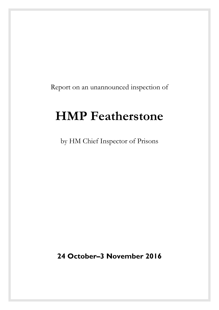Report on an unannounced inspection of

# **HMP Featherstone**

by HM Chief Inspector of Prisons

**24 October–3 November 2016**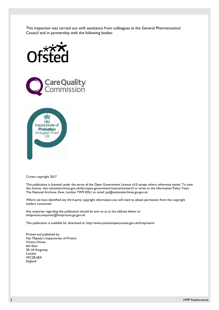This inspection was carried out with assistance from colleagues at the General Pharmaceutical Council and in partnership with the following bodies:







Crown copyright 2017

This publication is licensed under the terms of the Open Government Licence v3.0 except where otherwise stated. To view this licence, visit [nationalarchives.gov.uk/doc/open-government-licence/version/3](http://nationalarchives.gov.uk/doc/open-government-licence/version/3/) or write to the Information Policy Team, The National Archives, Kew, London TW9 4DU, or email: [psi@nationalarchives.gsi.gov.uk](mailto:psi@nationalarchives.gsi.gov.uk).

Where we have identified any third party copyright information you will need to obtain permission from the copyright holders concerned.

Any enquiries regarding this publication should be sent to us at the address below or: [hmiprisons.enquiries@hmiprisons.gsi.gov.uk](mailto:hmiprisons.enquiries@hmiprisons.gsi.gov.uk) 

This publication is available for download at: <http://www.justiceinspectorates.gov.uk/hmiprisons/>

Printed and published by: Her Majesty's Inspectorate of Prisons Victory House 6th floor 30–34 Kingsway London WC2B 6EX England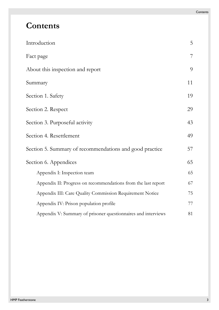# **Contents**

| Introduction                                                  | 5  |
|---------------------------------------------------------------|----|
| Fact page                                                     | 7  |
| About this inspection and report                              | 9  |
| Summary                                                       | 11 |
| Section 1. Safety                                             | 19 |
| Section 2. Respect                                            | 29 |
| Section 3. Purposeful activity                                |    |
| Section 4. Resettlement                                       |    |
| Section 5. Summary of recommendations and good practice       |    |
| Section 6. Appendices                                         |    |
| Appendix I: Inspection team                                   | 65 |
| Appendix II: Progress on recommendations from the last report | 67 |
| Appendix III: Care Quality Commission Requirement Notice      | 75 |
| Appendix IV: Prison population profile                        | 77 |
| Appendix V: Summary of prisoner questionnaires and interviews | 81 |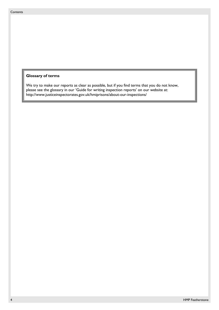#### **Glossary of terms**

We try to make our reports as clear as possible, but if you find terms that you do not know, please see the glossary in our 'Guide for writing inspection reports' on our website at: http://www.justiceinspectorates.gov.uk/hmiprisons/about-our-inspections/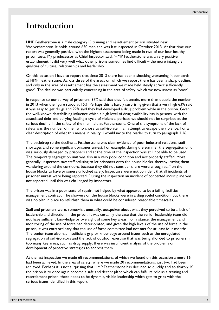# <span id="page-4-0"></span>**Introduction**

HMP Featherstone is a male category C training and resettlement prison situated near Wolverhampton. It holds around 650 men and was last inspected in October 2013. At that time our report was generally positive, with the highest assessment being made in two of our four healthy prison tests. My predecessor as Chief Inspector said: 'HMP Featherstone was a very positive establishment. It did very well what other prisons sometimes find difficult – the more intangible qualities of culture, relationships and leadership.'

On this occasion I have to report that since 2013 there has been a shocking worsening in standards at HMP Featherstone. Across three of the areas on which we report there has been a sharp decline, and only in the area of resettlement has the assessment we made held steady at 'not sufficiently good'. The decline was particularly concerning in the area of safety, which we now assess as 'poor'.

In response to our survey of prisoners, 37% said that they felt unsafe, more than double the number in 2013 when the figure stood at 15%. Perhaps this is hardly surprising given that a very high 63% said it was easy to get drugs and 22% said they had developed a drug problem while in the prison. Given the well-known destabilising influence which a high level of drug availability has in prisons, with the associated debt and bullying feeding a cycle of violence, perhaps we should not be surprised at the serious decline in the safety of the men held at Featherstone. One of the symptoms of the lack of safety was the number of men who chose to self-isolate in an attempt to escape the violence. For a clear description of what this means in reality, I would invite the reader to turn to paragraph [1.16.](#page-20-0)

The backdrop to the decline at Featherstone was clear evidence of poor industrial relations, staff shortages and some significant prisoner unrest. For example, during the summer the segregation unit was seriously damaged by prisoners and at the time of the inspection was still not able to be used. The temporary segregation unit was also in a very poor condition and not properly staffed. More generally, inspectors saw staff refusing to let prisoners onto the house blocks, thereby leaving them wandering around the corridors, because they did not consider there were enough staff on the house blocks to have prisoners unlocked safely. Inspectors were not confident that all incidents of prisoner unrest were being reported. During the inspection an incident of concerted indiscipline was not reported until this was challenged by inspectors.

The prison was in a poor state of repair, not helped by what appeared to be a failing facilities management contract. The showers on the house blocks were in a disgraceful condition, but there was no plan in place to refurbish them in what could be considered reasonable timescales.

Staff and prisoners were, somewhat unusually, outspoken about what they perceived to be a lack of leadership and direction in the prison. It was certainly the case that the senior leadership team did not have sufficient knowledge or oversight of some key areas. For instance, the management and monitoring of the use of force had deteriorated, and given the high levels of the use of force in the prison, it was extraordinary that the use of force committee had not met for at least four months. The senior team also had insufficient grip or knowledge around issues such as the unregulated segregation of self-isolators and the lack of outdoor exercise that was being afforded to prisoners. In too many key areas, such as drug supply, there was insufficient analysis of the problems or development of proactive strategies to address them.

At the last inspection we made 68 recommendations, of which we found on this occasion a mere 16 had been achieved. In the area of safety, where we made 20 recommendations, just two had been achieved. Perhaps it is not surprising that HMP Featherstone has declined so quickly and so sharply. If the prison is to once again become a safe and decent place which can fulfil its role as a training and resettlement prison, there needs to be dynamic, visible leadership which gets to grips with the serious issues identified in this report.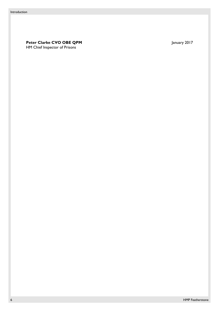**Peter Clarke CVO OBE QPM** January 2017 HM Chief Inspector of Prisons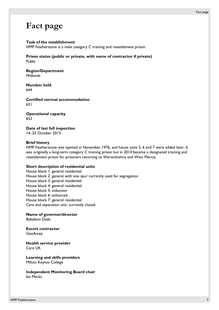# <span id="page-6-0"></span>**Fact page**

#### **Task of the establishment**

HMP Featherstone is a male category C training and resettlement prison.

**Prison status (public or private, with name of contractor if private)**  Public

**Region/Department Midlands** 

**Number held**  644

**Certified normal accommodation**  621

**Operational capacity**  653

**Date of last full inspection**  14–25 October 2013

#### **Brief history**

HMP Featherstone was opened in November 1976, and house units 5, 6 and 7 were added later. It was originally a long-term category C training prison but in 2014 became a designated training and resettlement prison for prisoners returning to Warwickshire and West Mercia.

#### **Short description of residential units**

House block 1: general residential House block 2: general with one spur currently used for segregation House block 3: general residential House block 4: general residential House block 5: induction House block 6: enhanced House block 7: general residential Care and separation unit: currently closed

**Name of governor/director**  Babafemi Dada

**Escort contractor**  GeoAmey

**Health service provider**  Care UK

**Learning and skills providers**  Milton Keynes College

**Independent Monitoring Board chair**  Ian Marks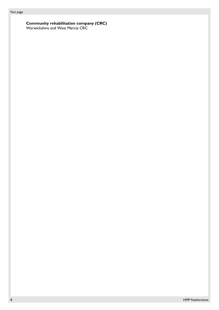#### **Community rehabilitation company (CRC)**

Warwickshire and West Mercia CRC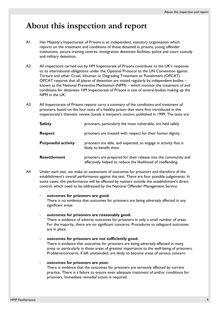# <span id="page-8-0"></span>**About this inspection and report**

- A1 Her Majesty's Inspectorate of Prisons is an independent, statutory organisation which reports on the treatment and conditions of those detained in prisons, young offender institutions, secure training centres, immigration detention facilities, police and court custody and military detention.
- A2 All inspections carried out by HM Inspectorate of Prisons contribute to the UK's response to its international obligations under the Optional Protocol to the UN Convention against Torture and other Cruel, Inhuman or Degrading Treatment or Punishment (OPCAT). OPCAT requires that all places of detention are visited regularly by independent bodies – known as the National Preventive Mechanism (NPM) – which monitor the treatment of and conditions for detainees. HM Inspectorate of Prisons is one of several bodies making up the NPM in the UK.
- A3 All Inspectorate of Prisons reports carry a summary of the conditions and treatment of prisoners, based on the four tests of a healthy prison that were first introduced in this inspectorate's thematic review *Suicide is everyone's concern*, published in 1999. The tests are:

| <b>Safety</b>              | prisoners, particularly the most vulnerable, are held safely                                                                   |
|----------------------------|--------------------------------------------------------------------------------------------------------------------------------|
| <b>Respect</b>             | prisoners are treated with respect for their human dignity                                                                     |
| <b>Purposeful activity</b> | prisoners are able, and expected, to engage in activity that is<br>likely to benefit them                                      |
| <b>Resettlement</b>        | prisoners are prepared for their release into the community and<br>effectively helped to reduce the likelihood of reoffending. |

A4 Under each test, we make an assessment of outcomes for prisoners and therefore of the establishment's overall performance against the test. There are four possible judgements: In some cases, this performance will be affected by matters outside the establishment's direct control, which need to be addressed by the National Offender Management Service.

#### - **outcomes for prisoners are good.**

There is no evidence that outcomes for prisoners are being adversely affected in any significant areas.

#### - **outcomes for prisoners are reasonably good.**

There is evidence of adverse outcomes for prisoners in only a small number of areas. For the majority, there are no significant concerns. Procedures to safeguard outcomes are in place.

- **outcomes for prisoners are not sufficiently good.**  There is evidence that outcomes for prisoners are being adversely affected in many areas or particularly in those areas of greatest importance to the well-being of prisoners.

#### - **outcomes for prisoners are poor.**

There is evidence that the outcomes for prisoners are seriously affected by current practice. There is a failure to ensure even adequate treatment of and/or conditions for prisoners. Immediate remedial action is required.

Problems/concerns, if left unattended, are likely to become areas of serious concern.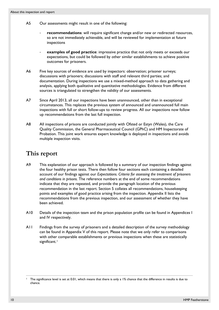- A5 Our assessments might result in one of the following:
	- recommendations: will require significant change and/or new or redirected resources, so are not immediately achievable, and will be reviewed for implementation at future inspections
	- examples of good practice: impressive practice that not only meets or exceeds our expectations, but could be followed by other similar establishments to achieve positive outcomes for prisoners.
- A6 Five key sources of evidence are used by inspectors: observation; prisoner surveys; discussions with prisoners; discussions with staff and relevant third parties; and documentation. During inspections we use a mixed-method approach to data gathering and analysis, applying both qualitative and quantitative methodologies. Evidence from different sources is triangulated to strengthen the validity of our assessments.
- A7 Since April 2013, all our inspections have been unannounced, other than in exceptional circumstances. This replaces the previous system of announced and unannounced full main inspections with full or short follow-ups to review progress. All our inspections now follow up recommendations from the last full inspection.
- A8 All inspections of prisons are conducted jointly with Ofsted or Estyn (Wales), the Care Quality Commission, the General Pharmaceutical Council (GPhC) and HM Inspectorate of Probation. This joint work ensures expert knowledge is deployed in inspections and avoids multiple inspection visits.

### **This report**

- A9 This explanation of our approach is followed by a summary of our inspection findings against the four healthy prison tests. There then follow four sections each containing a detailed account of our findings against our *Expectations. Criteria for assessing the treatment of prisoners and conditions in prisons.* The reference numbers at the end of some recommendations indicate that they are repeated, and provide the paragraph location of the previous recommendation in the last report. Section 5 collates all recommendations, housekeeping points and examples of good practice arising from the inspection. Appendix II lists the recommendations from the previous inspection, and our assessment of whether they have been achieved.
- A10 Details of the inspection team and the prison population profile can be found in Appendices I and IV respectively.
- A11 Findings from the survey of prisoners and a detailed description of the survey methodology can be found in Appendix V of this report. Please note that we only refer to comparisons with other comparable establishments or previous inspections when these are statistically significant.<sup>[1](#page-9-0)</sup>

 $\overline{a}$ 

<span id="page-9-0"></span><sup>&</sup>lt;sup>1</sup> The significance level is set at 0.01, which means that there is only a 1% chance that the difference in results is due to chance.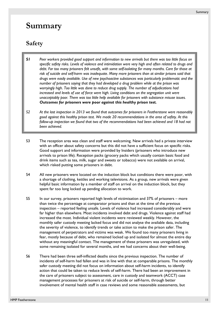# <span id="page-10-0"></span>**Summary**

### **Safety**

- *S1 Peer workers provided good support and information to new arrivals but there was too little focus on specific safety risks. Levels of violence and intimidation were very high and often related to drugs and debt. Far too many prisoners felt unsafe, with some self-isolating for many months. Care for those at risk of suicide and self-harm was inadequate. Many more prisoners than at similar prisons said that drugs were easily available. Use of new psychoactive substances was particularly problematic and the number of prisoners saying that they had developed a drug problem while at the prison was worryingly high. Too little was done to reduce drug supply. The number of adjudications had increased and levels of use of force were high. Living conditions on the segregation unit were unacceptably poor. There was too little help available for prisoners with substance misuse issues. Outcomes for prisoners were poor against this healthy prison test.*
- *S2 At the last inspection in 2013 we found that outcomes for prisoners in Featherstone were reasonably good against this healthy prison test. We made 20 recommendations in the area of safety. At this follow-up inspection we found that two of the recommendations had been achieved and 18 had not been achieved.*
- S3 The reception area was clean and staff were welcoming. New arrivals had a private interview with an officer about safety concerns but this did not have a sufficient focus on specific risks. Good support and information were provided by Insiders (prisoners who introduce new arrivals to prison life). Reception packs (grocery packs which usually contain basic food and drink items such as tea, milk, sugar and sweets or tobacco) were not available on arrival, which risked putting some prisoners in debt.
- S4 All new prisoners were located on the induction block but conditions there were poor, with a shortage of clothing, kettles and working televisions. As a group, new arrivals were given helpful basic information by a member of staff on arrival on the induction block, but they spent far too long locked up pending allocation to work.
- S5 In our survey, prisoners reported high levels of victimisation and 37% of prisoners more than twice the percentage at comparator prisons and than at the time of the previous inspection – reported feeling unsafe. Levels of violence had increased considerably and were far higher than elsewhere. Most incidents involved debt and drugs. Violence against staff had increased the most. Individual violent incidents were reviewed weekly. However, the monthly safer custody meeting lacked focus and did not analyse the available data, including the severity of violence, to identify trends or take action to make the prison safer. The management of perpetrators and victims was weak. We found too many prisoners living in fear, mostly because of debt, who remained locked up and isolated for almost the entire day without any meaningful contact. The management of these prisoners was unregulated, with some remaining isolated for several months, and we had concerns about their well-being.
- S6 There had been three self-inflicted deaths since the previous inspection. The number of incidents of self-harm had fallen and was in line with that at comparable prisons. The monthly safer custody meeting did not focus on information about self-harm incidents, to identify action that could be taken to reduce levels of self-harm. There had been an improvement in the care of prisoners subject to assessment, care in custody and teamwork (ACCT) case management processes for prisoners at risk of suicide or self-harm, through better involvement of mental health staff in case reviews and some reasonable assessments, but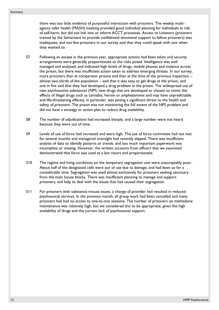there was too little evidence of purposeful interaction with prisoners. The weekly multiagency safer health (MASH) meeting provided good individual planning for individuals at risk of self-harm, but did not link into or inform ACCT processes. Access to Listeners (prisoners trained by the Samaritans to provide confidential emotional support to fellow prisoners) was inadequate, and too few prisoners in our survey said that they could speak with one when they wanted to.

- S7 Following an escape in the previous year, appropriate actions had been taken and security arrangements were generally proportionate to the risks posed. Intelligence was well managed and analysed, and indicated high levels of drugs, mobile phones and violence across the prison, but there was insufficient action taken to address emerging threats. In our survey, more prisoners than at comparator prisons and than at the time of the previous inspection – almost two-thirds of the population – said that it was easy to get drugs at the prison, and one in five said that they had developed a drug problem at the prison. The widespread use of new psychoactive substances (NPS; new drugs that are developed or chosen to mimic the effects of illegal drugs such as cannabis, heroin or amphetamines and may have unpredictable and life-threatening effects), in particular, was posing a significant threat to the health and safety of prisoners. The prison was not monitoring the full extent of the NPS problem and did not have a strategy or action plan to reduce drug availability.
- S8 The number of adjudications had increased sharply, and a large number were not heard because they were out of time.
- S9 Levels of use of force had increased and were high. The use of force committee had not met for several months and managerial oversight had recently slipped. There was insufficient analysis of data to identify patterns or trends, and too much important paperwork was incomplete or missing. However, the written accounts from officers that we examined demonstrated that force was used as a last resort and proportionate.
- S10 The regime and living conditions on the temporary segregation unit were unacceptably poor. About half of the designated cells were out of use due to damage, and had been so for a considerable time. Segregation was used almost exclusively for prisoners seeking sanctuary from the main house blocks. There was insufficient planning to manage and support prisoners, and help to deal with the issues that had caused their segregation.
- S11 For prisoners with substance misuse issues, a change of provider had resulted in reduced psychosocial services. In the previous month, all group work had been cancelled and many prisoners had had no access to one-to-one sessions. The number of prisoners on methadone maintenance was relatively high, but we considered this to be appropriate, given the high availability of drugs and the current lack of psychosocial support.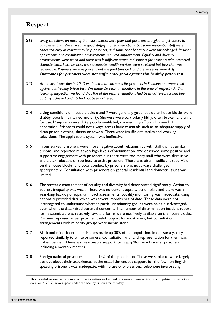### **Respect**

- *S12 Living conditions on most of the house blocks were poor and prisoners struggled to get access to basic essentials. We saw some good staff–prisoner interactions, but some residential staff were either too busy or reluctant to help prisoners, and some poor behaviour went unchallenged. Prisoner applications and consultation arrangements required improvement. Equality and diversity arrangements were weak and there was insufficient structured support for prisoners with protected characteristics. Faith services were adequate. Health services were stretched but provision was reasonable. Prisoners were negative about the food provided, and the serveries were dirty. Outcomes for prisoners were not sufficiently good against this healthy prison test.*
- *S13 At the last inspection in 2013 we found that outcomes for prisoners in Featherstone were good against this healthy prison test. We made 26 recommendations in the area of respect.[2](#page-12-0) At this follow-up inspection we found that five of the recommendations had been achieved, six had been partially achieved and 15 had not been achieved.*
- S14 Living conditions on house blocks 6 and 7 were generally good, but other house blocks were shabby, poorly maintained and dirty. Showers were particularly filthy, often broken and unfit for use. Many cells were dirty, poorly ventilated, covered in graffiti and in need of decoration. Prisoners could not always access basic essentials such as an adequate supply of clean prison clothing, sheets or towels. There were insufficient kettles and working televisions. The applications system was ineffective.
- S15 In our survey, prisoners were more negative about relationships with staff than at similar prisons, and reported relatively high levels of victimisation. We observed some positive and supportive engagement with prisoners but there were too many staff who were dismissive and either reluctant or too busy to assist prisoners. There was often insufficient supervision on the house blocks, and poor conduct by prisoners was not always challenged appropriately. Consultation with prisoners on general residential and domestic issues was limited.
- S16 The strategic management of equality and diversity had deteriorated significantly. Action to address inequality was weak. There was no current equality action plan, and there was a year-long backlog of equality impact assessments. Equality monitoring was inadequate, using nationally provided data which was several months out of date. These data were not interrogated to understand whether particular minority groups were being disadvantaged, even when the data raised potential concerns. The number of discrimination incident report forms submitted was relatively low, and forms were not freely available on the house blocks. Prisoner representatives provided useful support for most areas, but consultation arrangements with minority groups were inconsistent.
- S17 Black and minority ethnic prisoners made up 30% of the population. In our survey, they reported similarly to white prisoners. Consultation with and representation for them was not embedded. There was reasonable support for Gypsy/Romany/Traveller prisoners, including a monthly meeting.
- S18 Foreign national prisoners made up 14% of the population. Those we spoke to were largely positive about their experiences at the establishment but support for the few non-Englishspeaking prisoners was inadequate, with no use of professional telephone interpreting

 $\overline{a}$ 

<span id="page-12-0"></span><sup>&</sup>lt;sup>2</sup> This included recommendations about the incentives and earned privileges scheme which, in our updated Expectations (Version 4, 2012), now appear under the healthy prison area of safety.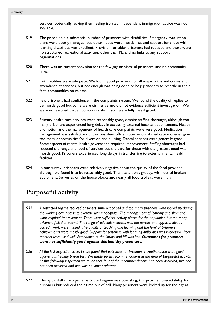services, potentially leaving them feeling isolated. Independent immigration advice was not available.

- S19 The prison held a substantial number of prisoners with disabilities. Emergency evacuation plans were poorly managed, but other needs were mostly met and support for those with learning disabilities was excellent. Provision for older prisoners had reduced and there were no structured recreational activities, other than PE, and no links to any support organisations.
- S20 There was no current provision for the few gay or bisexual prisoners, and no community links.
- S21 Faith facilities were adequate. We found good provision for all major faiths and consistent attendance at services, but not enough was being done to help prisoners to resettle in their faith communities on release.
- S22 Few prisoners had confidence in the complaints system. We found the quality of replies to be mostly good but some were dismissive and did not evidence sufficient investigation. We were not assured that all complaints about staff were fully investigated.
- S23 Primary health care services were reasonably good, despite staffing shortages, although too many prisoners experienced long delays in accessing external hospital appointments. Health promotion and the management of health care complaints were very good. Medication management was satisfactory but inconsistent officer supervision of medication queues gave too many opportunities for diversion and bullying. Dental services were generally good. Some aspects of mental health governance required improvement. Staffing shortages had reduced the range and level of services but the care for those with the greatest need was mostly good. Prisoners experienced long delays in transferring to external mental health facilities.
- S24 In our survey, prisoners were relatively negative about the quality of the food provided, although we found it to be reasonably good. The kitchen was grubby, with lots of broken equipment. Serveries on the house blocks and nearly all food trolleys were filthy.

### **Purposeful activity**

*S25 A restricted regime reduced prisoners' time out of cell and too many prisoners were locked up during the working day. Access to exercise was inadequate. The management of learning and skills and work required improvement. There were sufficient activity places for the population but too many prisoners failed to attend. The range of education classes was too narrow and opportunities to accredit work were missed. The quality of teaching and learning and the level of prisoners' achievements were mostly good. Support for prisoners with learning difficulties was impressive. Peer mentors were used well. Attendance at the library and PE was low. Outcomes for prisoners were not sufficiently good against this healthy prison test.* 

- *S26 At the last inspection in 2013 we found that outcomes for prisoners in Featherstone were good against this healthy prison test. We made seven recommendations in the area of purposeful activity. At this follow-up inspection we found that four of the recommendations had been achieved, two had not been achieved and one was no longer relevant.*
- S27 Owing to staff shortages, a restricted regime was operating; this provided predictability for prisoners but reduced their time out of cell. Many prisoners were locked up for the day at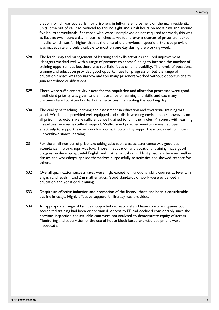5.30pm, which was too early. For prisoners in full-time employment on the main residential units, time out of cell had reduced to around eight and a half hours on most days and around five hours at weekends. For those who were unemployed or not required for work, this was as little as two hours a day. In our roll checks, we found over a quarter of prisoners locked in cells, which was far higher than at the time of the previous inspection. Exercise provision was inadequate and only available to most on one day during the working week.

- S28 The leadership and management of learning and skills activities required improvement. Managers worked well with a range of partners to access funding to increase the number of training opportunities but there was too little focus on employability. The levels of vocational training and education provided good opportunities for progression but the range of education classes was too narrow and too many prisoners worked without opportunities to gain accredited qualifications.
- S29 There were sufficient activity places for the population and allocation processes were good. Insufficient priority was given to the importance of learning and skills, and too many prisoners failed to attend or had other activities interrupting the working day.
- S30 The quality of teaching, learning and assessment in education and vocational training was good. Workshops provided well-equipped and realistic working environments; however, not all prison instructors were sufficiently well trained to fulfil their roles. Prisoners with learning disabilities received excellent support. Well-trained prisoner mentors were deployed effectively to support learners in classrooms. Outstanding support was provided for Open University/distance learning.
- S31 For the small number of prisoners taking education classes, attendance was good but attendance in workshops was low. Those in education and vocational training made good progress in developing useful English and mathematical skills. Most prisoners behaved well in classes and workshops, applied themselves purposefully to activities and showed respect for others.
- S32 Overall qualification success rates were high, except for functional skills courses at level 2 in English and levels 1 and 2 in mathematics. Good standards of work were evidenced in education and vocational training.
- S33 Despite an effective induction and promotion of the library, there had been a considerable decline in usage. Highly effective support for literacy was provided.
- S34 An appropriate range of facilities supported recreational and team sports and games but accredited training had been discontinued. Access to PE had declined considerably since the previous inspection and available data were not analysed to demonstrate equity of access. Monitoring and supervision of the use of house block-based exercise equipment were inadequate.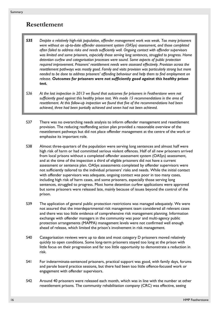### **Resettlement**

- *S35 Despite a relatively high-risk population, offender management work was weak. Too many prisoners were without an up-to-date offender assessment system (OASys) assessment, and those completed often failed to address risks and needs sufficiently well. Ongoing contact with offender supervisors was limited and some prisoners, especially those serving long sentences, struggled to progress. Home detention curfew and categorisation processes were sound. Some aspects of public protection required improvement. Prisoners' resettlement needs were assessed effectively. Provision across the resettlement pathways was mostly good. Family and visits provision was particularly strong but more needed to be done to address prisoners' offending behaviour and help them to find employment on release. Outcomes for prisoners were not sufficiently good against this healthy prison test.*
- *S36 At the last inspection in 2013 we found that outcomes for prisoners in Featherstone were not sufficiently good against this healthy prison test. We made 15 recommendations in the area of resettlement. At this follow-up inspection we found that five of the recommendations had been achieved, three had been partially achieved and seven had not been achieved.*
- S37 There was no overarching needs analysis to inform offender management and resettlement provision. The reducing reoffending action plan provided a reasonable overview of the resettlement pathways but did not place offender management at the centre of the work or emphasise its important role.
- S38 Almost three-quarters of the population were serving long sentences and almost half were high risk of harm or had committed serious violent offences. Half of all new prisoners arrived from local prisons without a completed offender assessment system (OASys) assessment, and at the time of the inspection a third of eligible prisoners did not have a current assessment or sentence plan. OASys assessments completed by offender supervisors were not sufficiently tailored to the individual prisoners' risks and needs. While the initial contact with offender supervisors was adequate, ongoing contact was poor in too many cases, including high risk of harm cases, and some prisoners, especially those serving long sentences, struggled to progress. Most home detention curfew applications were approved but some prisoners were released late, mainly because of issues beyond the control of the prison.
- S39 The application of general public protection restrictions was managed adequately. We were not assured that the interdepartmental risk management team considered all relevant cases and there was too little evidence of comprehensive risk management planning. Information exchange with offender managers in the community was poor and multi-agency public protection arrangements (MAPPA) management levels were not confirmed well enough ahead of release, which limited the prison's involvement in risk management.
- S40 Categorisation reviews were up to date and most category D prisoners moved relatively quickly to open conditions. Some long-term prisoners stayed too long at the prison with little focus on their progression and far too little opportunity to demonstrate a reduction in risk.
- S41 For indeterminate-sentenced prisoners, practical support was good, with family days, forums and parole board practice sessions, but there had been too little offence-focused work or engagement with offender supervisors.
- S42 Around 40 prisoners were released each month, which was in line with the number at other resettlement prisons. The community rehabilitation company (CRC) was effective, seeing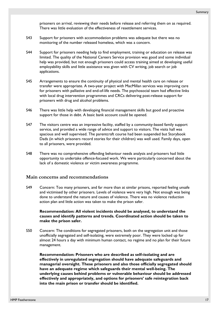prisoners on arrival, reviewing their needs before release and referring them on as required. There was little evaluation of the effectiveness of resettlement services.

- S43 Support for prisoners with accommodation problems was adequate but there was no monitoring of the number released homeless, which was a concern.
- S44 Support for prisoners needing help to find employment, training or education on release was limited. The quality of the National Careers Service provision was good and some individual help was provided, but not enough prisoners could access training aimed at developing useful employability skills and little assistance was given with CV writing, job search or job applications.
- S45 Arrangements to ensure the continuity of physical and mental health care on release or transfer were appropriate. A two-year project with MacMillan services was improving care for prisoners with palliative and end-of-life needs. The psychosocial team had effective links with local drug intervention programmes and CRCs delivering post-release support for prisoners with drug and alcohol problems.
- S46 There was little help with developing financial management skills but good and proactive support for those in debt. A basic bank account could be opened.
- S47 The visitors centre was an impressive facility, staffed by a community-based family support service, and provided a wide range of advice and support to visitors. The visits hall was spacious and well supervised. The parentcraft course had been suspended but Storybook Dads (in which prisoners record stories for their children) was well used. Family days, open to all prisoners, were provided.
- S48 There was no comprehensive offending behaviour needs analysis and prisoners had little opportunity to undertake offence-focused work. We were particularly concerned about the lack of a domestic violence or victim awareness programme.

#### **Main concerns and recommendations**

<span id="page-16-0"></span>S49 Concern: Too many prisoners, and far more than at similar prisons, reported feeling unsafe and victimised by other prisoners. Levels of violence were very high. Not enough was being done to understand the nature and causes of violence. There was no violence reduction action plan and little action was taken to make the prison safer.

**Recommendation: All violent incidents should be analysed, to understand the causes and identify patterns and trends. Coordinated action should be taken to make the prison safer.**

<span id="page-16-1"></span>S50 Concern: The conditions for segregated prisoners, both on the segregation unit and those unofficially segregated and self-isolating, were extremely poor. They were locked up for almost 24 hours a day with minimum human contact, no regime and no plan for their future management.

**Recommendation: Prisoners who are described as self–isolating and are effectively in unregulated segregation should have adequate safeguards and managerial oversight. These prisoners and also those officially segregated should have an adequate regime which safeguards their mental well-being. The underlying causes behind problems or vulnerable behaviour should be addressed effectively and appropriately, and options for prisoners' safe reintegration back into the main prison or transfer should be identified.**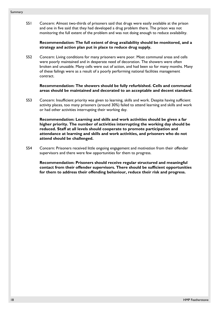<span id="page-17-0"></span>S51 Concern: Almost two-thirds of prisoners said that drugs were easily available at the prison and one in five said that they had developed a drug problem there. The prison was not monitoring the full extent of the problem and was not doing enough to reduce availability.

#### **Recommendation: The full extent of drug availability should be monitored, and a strategy and action plan put in place to reduce drug supply.**

<span id="page-17-1"></span>S52 Concern: Living conditions for many prisoners were poor. Most communal areas and cells were poorly maintained and in desperate need of decoration. The showers were often broken and unusable. Many cells were out of action, and had been so for many months. Many of these failings were as a result of a poorly performing national facilities management contract.

**Recommendation: The showers should be fully refurbished. Cells and communal areas should be maintained and decorated to an acceptable and decent standard.**

S53 Concern: Insufficient priority was given to learning, skills and work. Despite having sufficient activity places, too many prisoners (around 30%) failed to attend learning and skills and work or had other activities interrupting their working day.

**Recommendation: Learning and skills and work activities should be given a far higher priority. The number of activities interrupting the working day should be reduced. Staff at all levels should cooperate to promote participation and attendance at learning and skills and work activities, and prisoners who do not attend should be challenged.**

S54 Concern: Prisoners received little ongoing engagement and motivation from their offender supervisors and there were few opportunities for them to progress.

**Recommendation: Prisoners should receive regular structured and meaningful contact from their offender supervisors. There should be sufficient opportunities for them to address their offending behaviour, reduce their risk and progress.**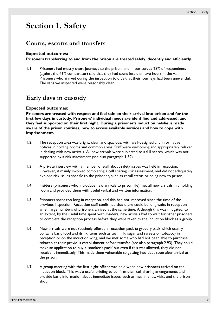# <span id="page-18-0"></span>**Section 1. Safety**

### **Courts, escorts and transfers**

#### **Expected outcomes:**

**Prisoners transferring to and from the prison are treated safely, decently and efficiently.** 

**1.1** Prisoners had mostly short journeys to the prison, and in our survey 28% of respondents (against the 46% comparator) said that they had spent less than two hours in the van. Prisoners who arrived during the inspection told us that their journeys had been uneventful. The vans we inspected were reasonably clean.

### **Early days in custody**

#### **Expected outcomes:**

**Prisoners are treated with respect and feel safe on their arrival into prison and for the first few days in custody. Prisoners' individual needs are identified and addressed, and they feel supported on their first night. During a prisoner's induction he/she is made aware of the prison routines, how to access available services and how to cope with imprisonment.** 

- <span id="page-18-1"></span>**1.2** The reception area was bright, clean and spacious, with well-designed and informative notices in holding rooms and common areas. Staff were welcoming and appropriately relaxed in dealing with new arrivals. All new arrivals were subjected to a full search, which was not supported by a risk assessment (see also paragraph [1.32\)](#page-22-0).
- **1.3** A private interview with a member of staff about safety issues was held in reception. However, it mainly involved completing a cell sharing risk assessment, and did not adequately explore risk issues specific to the prisoner, such as recall status or being new to prison.
- **1.4** Insiders (prisoners who introduce new arrivals to prison life) met all new arrivals in a holding room and provided them with useful verbal and written information.
- **1.5** Prisoners spent too long in reception, and this had not improved since the time of the previous inspection. Reception staff confirmed that there could be long waits in reception when large numbers of prisoners arrived at the same time. Although this was mitigated, to an extent, by the useful time spent with Insiders, new arrivals had to wait for other prisoners to complete the reception process before they were taken to the induction block as a group.
- **1.6** New arrivals were not routinely offered a reception pack (a grocery pack which usually contains basic food and drink items such as tea, milk, sugar and sweets or tobacco) in reception or on the induction wing, and we met some who had not been able to purchase tobacco at their previous establishment before transfer (see also paragraph [2.93](#page-39-0)). They could make an application to buy a 'smoker's pack' but even if this was allowed, they did not receive it immediately. This made them vulnerable to getting into debt soon after arrival at the prison.
- **1.7** A group meeting with the first night officer was held when new prisoners arrived on the induction block. This was a useful briefing to confirm their cell sharing arrangements and provide basic information about immediate issues, such as meal menus, visits and the prison shop.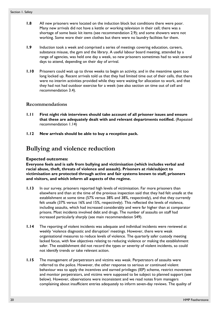- **1.8** All new prisoners were located on the induction block but conditions there were poor. Many new arrivals did not have a kettle or working television in their cell; there was a shortage of some basic kit items (see recommendation [2.9\)](#page-29-0); and some showers were not working. Some wore their own clothes but there were no laundry facilities for them.
- **1.9** Induction took a week and comprised a series of meetings covering education, careers, substance misuse, the gym and the library. A useful labour board meeting, attended by a range of agencies, was held one day a week, so new prisoners sometimes had to wait several days to attend, depending on their day of arrival.
- **1.10** Prisoners could wait up to three weeks to begin an activity, and in the meantime spent too long locked up. Recent arrivals told us that they had limited time out of their cells, that there were no interim activities provided while they were waiting for allocation to work, and that they had not had outdoor exercise for a week (see also section on time out of cell and recommendation [3.4](#page-42-1)).

#### **Recommendations**

- **1.11 First night risk interviews should take account of all prisoner issues and ensure that these are adequately dealt with and relevant departments notified.** (Repeated recommendation 1.14)
- **1.12 New arrivals should be able to buy a reception pack.**

### **Bullying and violence reduction**

#### **Expected outcomes:**

**Everyone feels and is safe from bullying and victimisation (which includes verbal and racial abuse, theft, threats of violence and assault). Prisoners at risk/subject to victimisation are protected through active and fair systems known to staff, prisoners and visitors, and which inform all aspects of the regime.** 

- **1.13** In our survey, prisoners reported high levels of victimisation. Far more prisoners than elsewhere and than at the time of the previous inspection said that they had felt unsafe at the establishment at some time (57% versus 38% and 38%, respectively), and that they currently felt unsafe (37% versus 16% and 15%, respectively). This reflected the levels of violence, including assaults, which had increased considerably and were far higher than at comparator prisons. Most incidents involved debt and drugs. The number of assaults on staff had increased particularly sharply (see main recommendation [S49](#page-16-0)).
- **1.14** The reporting of violent incidents was adequate and individual incidents were reviewed at weekly 'violence diagnostic and disruption' meetings. However, there were weak organisational measures to reduce levels of violence. The quarterly safer custody meeting lacked focus, with few objectives relating to reducing violence or making the establishment safer. The establishment did not record the types or severity of violent incidents, so could not identify trends or take relevant action.
- **1.15** The management of perpetrators and victims was weak. Perpetrators of assaults were referred to the police. However, the other response to serious or continued violent behaviour was to apply the incentives and earned privileges (IEP) scheme, restrict movement and monitor perpetrators, and victims were supposed to be subject to planned support (see below). However, observations were inconsistent and we read notes from managers complaining about insufficient entries adequately to inform seven-day reviews. The quality of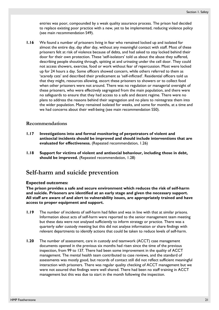entries was poor, compounded by a weak quality assurance process. The prison had decided to replace existing poor practice with a new, yet to be implemented, reducing violence policy (see main recommendation [S49\)](#page-16-0).

<span id="page-20-0"></span>**1.16** We found a number of prisoners living in fear who remained locked up and isolated for almost the entire day, day after day, without any meaningful contact with staff. Most of these prisoners felt at risk of violence because of debts, and had asked to stay locked behind their door for their own protection. These 'self-isolators' told us about the abuse they suffered, describing people shouting through, spitting at and urinating under the cell door. They could not access showers, exercise, food or work without fear of repercussion. Most were locked up for 24 hours a day. Some officers showed concern, while others referred to them as 'scaredy cats' and described their predicament as 'self-inflicted'. Residential officers told us that they might, resources allowing, escort these prisoners to showers or to collect food when other prisoners were not around. There was no regulation or managerial oversight of these prisoners, who were effectively segregated from the main population, and there were no safeguards to ensure that they had access to a safe and decent regime. There were no plans to address the reasons behind their segregation and no plans to reintegrate them into the wider population. Many remained isolated for weeks, and some for months, at a time and we had concerns about their well-being (see main recommendation [S50](#page-16-1)).

#### **Recommendations**

- **1.17 Investigations into and formal monitoring of perpetrators of violent and antisocial incidents should be improved and should include interventions that are evaluated for effectiveness.** (Repeated recommendation, 1.26)
- **1.18 Support for victims of violent and antisocial behaviour, including those in debt, should be improved.** (Repeated recommendation, 1.28)

### **Self-harm and suicide prevention**

#### **Expected outcomes:**

**The prison provides a safe and secure environment which reduces the risk of self-harm and suicide. Prisoners are identified at an early stage and given the necessary support. All staff are aware of and alert to vulnerability issues, are appropriately trained and have access to proper equipment and support.** 

- **1.19** The number of incidents of self-harm had fallen and was in line with that at similar prisons. Information about acts of self-harm were reported to the senior management team meeting but these data were not analysed sufficiently to inform strategy or practice. There was a quarterly safer custody meeting but this did not analyse information or share findings with relevant departments to identify actions that could be taken to reduce levels of self-harm.
- **1.20** The number of assessment, care in custody and teamwork (ACCT) case management documents opened in the previous six months had risen since the time of the previous inspection, from 99 to 137. There had been some improvement in the quality of ACCT management. The mental health team contributed to case reviews, and the standard of assessments was mostly good, but records of contact still did not reflect sufficient meaningful interaction with prisoners. There was regular quality checking of ACCT management but we were not assured that findings were well shared. There had been no staff training in ACCT management but this was due to start in the month following the inspection.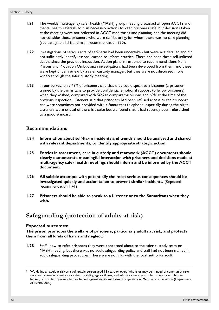- **1.21** The weekly multi-agency safer health (MASH) group meeting discussed all open ACCTs and mental health referrals to plan necessary actions to keep prisoners safe, but decisions taken at the meeting were not reflected in ACCT monitoring and planning, and the meeting did not consider those prisoners who were self-isolating, for whom there was no care planning (see paragraph [1.16](#page-20-0) and main recommendation [S50](#page-16-1)).
- **1.22** Investigations of serious acts of self-harm had been undertaken but were not detailed and did not sufficiently identify lessons learned to inform practice. There had been three self-inflicted deaths since the previous inspection. Action plans in response to recommendations from Prisons and Probation Ombudsman investigations had been developed from them, and these were kept under review by a safer custody manager, but they were not discussed more widely through the safer custody meeting.
- **1.23** In our survey, only 48% of prisoners said that they could speak to a Listener (a prisoner trained by the Samaritans to provide confidential emotional support to fellow prisoners) when they wished, compared with 56% at comparator prisons and 69% at the time of the previous inspection. Listeners said that prisoners had been refused access to their support and were sometimes not provided with a Samaritans telephone, especially during the night. Listeners were critical of the crisis suite but we found that it had recently been refurbished to a good standard.

#### **Recommendations**

- **1.24 Information about self-harm incidents and trends should be analysed and shared with relevant departments, to identify appropriate strategic action.**
- **1.25 Entries in assessment, care in custody and teamwork (ACCT) documents should clearly demonstrate meaningful interaction with prisoners and decisions made at multi-agency safer health meetings should inform and be informed by the ACCT document.**
- **1.26 All suicide attempts with potentially the most serious consequences should be investigated quickly and action taken to prevent similar incidents.** (Repeated recommendation 1.41)
- **1.27 Prisoners should be able to speak to a Listener or to the Samaritans when they wish.**

### **Safeguarding (protection of adults at risk)**

#### **Expected outcomes:**

**The prison promotes the welfare of prisoners, particularly adults at risk, and protects them from all kinds of harm and neglect.[3](#page-21-0)**

**1.28** Staff knew to refer prisoners they were concerned about to the safer custody team or MASH meeting, but there was no adult safeguarding policy and staff had not been trained in adult safeguarding procedures. There were no links with the local authority adult

 $\overline{a}$ 

<span id="page-21-0"></span>We define an adult at risk as a vulnerable person aged 18 years or over, 'who is or may be in need of community care services by reason of mental or other disability, age or illness; and who is or may be unable to take care of him or herself, or unable to protect him or herself against significant harm or exploitation'. 'No secrets' definition (Department of Health 2000).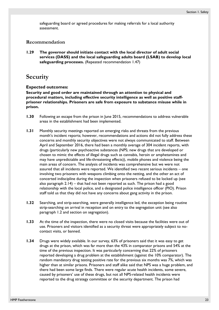safeguarding board or agreed procedures for making referrals for a local authority assessment.

#### **Recommendation**

**1.29 The governor should initiate contact with the local director of adult social services (DASS) and the local safeguarding adults board (LSAB) to develop local safeguarding processes.** (Repeated recommendation 1.47)

### **Security**

#### **Expected outcomes:**

**Security and good order are maintained through an attention to physical and procedural matters, including effective security intelligence as well as positive staffprisoner relationships. Prisoners are safe from exposure to substance misuse while in prison.** 

- **1.30** Following an escape from the prison in June 2015, recommendations to address vulnerable areas in the establishment had been implemented.
- **1.31** Monthly security meetings reported on emerging risks and threats from the previous month's incident reports; however, recommendations and actions did not fully address these concerns and monthly security objectives were not always communicated to staff. Between April and September 2016, there had been a monthly average of 304 incident reports, with drugs (particularly new psychoactive substances (NPS; new drugs that are developed or chosen to mimic the effects of illegal drugs such as cannabis, heroin or amphetamines and may have unpredictable and life-threatening effects)), mobile phones and violence being the main areas of concern. The analysis of incidents was comprehensive but we were not assured that all incidents were reported. We identified two recent serious incidents – one involving two prisoners with weapons climbing onto the netting, and the other an act of concerted indiscipline during the inspection when prisoners refused to be locked up (see also paragraph [2.14](#page-29-1)) – that had not been reported as such. The prison had a good relationship with the local police, and a designated police intelligence officer (PIO). Prison staff told us that they did not have any concerns about gang activity in the prison.
- <span id="page-22-0"></span>**1.32** Searching, and strip-searching, were generally intelligence led, the exception being routine strip-searching on arrival in reception and on entry to the segregation unit (see also paragraph [1.2](#page-18-1) and section on segregation).
- **1.33** At the time of the inspection, there were no closed visits because the facilities were out of use. Prisoners and visitors identified as a security threat were appropriately subject to nocontact visits, or banned.
- **1.34** Drugs were widely available. In our survey, 63% of prisoners said that it was easy to get drugs at the prison, which was far more than the 43% in comparator prisons and 54% at the time of the previous inspection. It was particularly concerning that 22% of prisoners reported developing a drug problem at the establishment (against the 10% comparator). The random mandatory drug testing positive rate for the previous six months was 7%, which was higher than at similar prisons. Prisoners and staff alike said that NPS was a huge problem, and there had been some large finds. There were regular acute health incidents, some severe, caused by prisoners' use of these drugs, but not all NPS-related health incidents were reported to the drug strategy committee or the security department. The prison had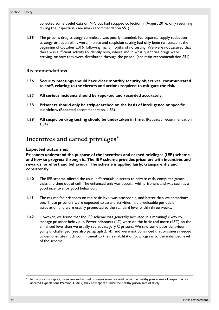collected some useful data on NPS but had stopped collection in August 2016, only resuming during the inspection. (see main recommendation [S51](#page-17-0)).

**1.35** The prison's drug strategy committee was poorly attended. No separate supply reduction strategy or action plans were in place and suspicion testing had only been reinstated at the beginning of October 2016, following many months of no testing. We were not assured that there was sufficient activity to identify how, where and in what quantities drugs were arriving, or how they were distributed through the prison. (see main recommendation [S51\)](#page-17-0).

#### **Recommendations**

- **1.36 Security meetings should have clear monthly security objectives, communicated to staff, relating to the threats and actions required to mitigate the risk.**
- **1.37 All serious incidents should be reported and recorded accurately.**
- <span id="page-23-1"></span>**1.38 Prisoners should only be strip-searched on the basis of intelligence or specific suspicion.** (Repeated recommendation, 1.53)
- **1.39 All suspicion drug testing should be undertaken in time.** (Repeated recommendation, 1.54)

### **Incentives and earned privileges[4](#page-23-0)**

#### **Expected outcomes:**

**Prisoners understand the purpose of the incentives and earned privileges (IEP) scheme and how to progress through it. The IEP scheme provides prisoners with incentives and rewards for effort and behaviour. The scheme is applied fairly, transparently and consistently.** 

- **1.40** The IEP scheme offered the usual differentials in access to private cash, computer games, visits and time out of cell. The enhanced unit was popular with prisoners and was seen as a good incentive for good behaviour.
- **1.41** The regime for prisoners on the basic level was reasonable, and better than we sometimes see. These prisoners were expected to attend activities, had predictable periods of association and were usually promoted to the standard level within three weeks.
- **1.42** However, we found that the IEP scheme was generally not used in a meaningful way to manage prisoner behaviour, Fewer prisoners (4%) were on the basic and more (46%) on the enhanced level than we usually see at category C prisons. We saw some poor behaviour going unchallenged (see also paragraph [2.14](#page-29-1)), and were not convinced that prisoners needed to demonstrate much commitment to their rehabilitation to progress to the enhanced level of the scheme.

 $\overline{a}$ 

<span id="page-23-0"></span>In the previous report, incentives and earned privileges were covered under the healthy prison area of respect. In our updated Expectations (Version 4, 2012) they now appear under the healthy prison area of safety.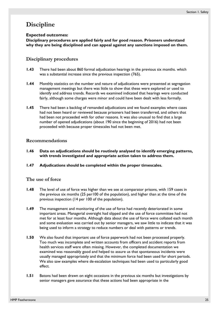### **Discipline**

#### **Expected outcomes:**

**Disciplinary procedures are applied fairly and for good reason. Prisoners understand why they are being disciplined and can appeal against any sanctions imposed on them.** 

#### **Disciplinary procedures**

- **1.43** There had been about 860 formal adjudication hearings in the previous six months. which was a substantial increase since the previous inspection (765).
- **1.44** Monthly statistics on the number and nature of adjudications were presented at segregation management meetings but there was little to show that these were explored or used to identify and address trends. Records we examined indicated that hearings were conducted fairly, although some charges were minor and could have been dealt with less formally.
- **1.45** There had been a backlog of remanded adjudications and we found examples where cases had not been heard or reviewed because prisoners had been transferred, and others that had been not proceeded with for other reasons. It was also unusual to find that a large number of opened adjudications (about 190 since the beginning of 2016) had not been proceeded with because proper timescales had not been met.

#### **Recommendations**

- **1.46 Data on adjudications should be routinely analysed to identify emerging patterns, with trends investigated and appropriate action taken to address them.**
- **1.47 Adjudications should be completed within the proper timescales.**

#### **The use of force**

- **1.48** The level of use of force was higher than we see at comparator prisons, with 159 cases in the previous six months (25 per100 of the population), and higher than at the time of the previous inspection (14 per 100 of the population).
- **1.49** The management and monitoring of the use of force had recently deteriorated in some important areas. Managerial oversight had slipped and the use of force committee had not met for at least four months. Although data about the use of force were collated each month and some evaluation was carried out by senior managers, we saw little to indicate that it was being used to inform a strategy to reduce numbers or deal with patterns or trends.
- **1.50** We also found that important use of force paperwork had not been processed properly. Too much was incomplete and written accounts from officers and accident reports from health services staff were often missing. However, the completed documentation we examined was reasonably good and helped to assure us that spontaneous incidents were usually managed appropriately and that the minimum force had been used for short periods. We also saw examples where de-escalation techniques had been used to particularly good effect.
- **1.51** Batons had been drawn on eight occasions in the previous six months but investigations by senior managers gave assurance that these actions had been appropriate in the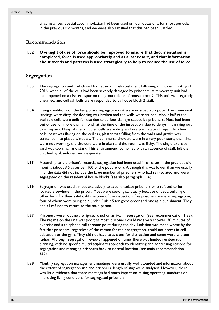circumstances. Special accommodation had been used on four occasions, for short periods, in the previous six months, and we were also satisfied that this had been justified.

#### **Recommendation**

**1.52 Oversight of use of force should be improved to ensure that documentation is completed, force is used appropriately and as a last resort, and that information about trends and patterns is used strategically to help to reduce the use of force.**

#### **Segregation**

- **1.53** The segregation unit had closed for repair and refurbishment following an incident in August 2016, when all of the cells had been severely damaged by prisoners. A temporary unit had been opened on a discrete spur on the ground floor of house block 2. This unit was regularly unstaffed, and cell call bells were responded to by house block 2 staff.
- **1.54** Living conditions on the temporary segregation unit were unacceptably poor. The communal landings were dirty, the flooring was broken and the walls were stained. About half of the available cells were unfit for use due to serious damage caused by prisoners. Most had been out of use for more than a month at the time of the inspection, due to delays in carrying out basic repairs. Many of the occupied cells were dirty and in a poor state of repair. In a few cells, paint was flaking on the ceilings, plaster was falling from the walls and graffiti was scratched into plastic windows. The communal showers were in a very poor state; the lights were not working, the showers were broken and the room was filthy. The single exercise yard was too small and stark. This environment, combined with an absence of staff, left the unit feeling abandoned and desperate.
- **1.55** According to the prison's records, segregation had been used in 61 cases in the previous six months (about 9.5 cases per 100 of the population). Although this was lower than we usually find, the data did not include the large number of prisoners who had self-isolated and were segregated on the residential house blocks (see also paragraph [1.16](#page-20-0)).
- **1.56** Segregation was used almost exclusively to accommodate prisoners who refused to be located elsewhere in the prison. Most were seeking sanctuary because of debt, bullying or other fears for their safety. At the time of the inspection, five prisoners were in segregation, four of whom were being held under Rule 45 for good order and one as a punishment. They had all refused to return to the main prison.
- **1.57** Prisoners were routinely strip-searched on arrival in segregation (see recommendation [1.38](#page-23-1)). The regime on the unit was poor; at most, prisoners could receive a shower, 30 minutes of exercise and a telephone call at some point during the day. Isolation was made worse by the fact that prisoners, regardless of the reason for their segregation, could not access in-cell education or the gym. They did not have televisions for distraction and some were without radios. Although segregation reviews happened on time, there was limited reintegration planning, with no specific multidisciplinary approach to identifying and addressing reasons for segregation and managing prisoners back to normal location (see main recommendation [S50\)](#page-16-1).
- **1.58** Monthly segregation management meetings were usually well attended and information about the extent of segregation use and prisoners' length of stay were analysed. However, there was little evidence that these meetings had much impact on raising operating standards or improving living conditions for segregated prisoners.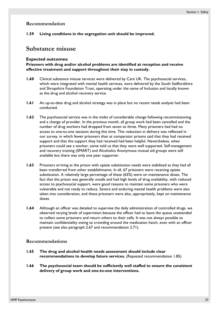#### **Recommendation**

**1.59 Living conditions in the segregation unit should be improved.** 

### **Substance misuse**

#### **Expected outcomes:**

**Prisoners with drug and/or alcohol problems are identified at reception and receive effective treatment and support throughout their stay in custody.** 

- **1.60** Clinical substance misuse services were delivered by Care UK. The psychosocial services, which were integrated with mental health services, were delivered by the South Staffordshire and Shropshire Foundation Trust, operating under the name of Inclusion and locally known as the drug and alcohol recovery service.
- **1.61** An up-to-date drug and alcohol strategy was in place but no recent needs analysis had been conducted.
- **1.62** The psychosocial service was in the midst of considerable change following recommissioning and a change of provider. In the previous month, all group work had been cancelled and the number of drug workers had dropped from seven to three. Many prisoners had had no access to one-to-one sessions during this time. This reduction in delivery was reflected in our survey, in which fewer prisoners than at comparator prisons said that they had received support and that the support they had received had been helpful. Nevertheless, when prisoners could see a worker, some told us that they were well supported. Self-management and recovery training (SMART) and Alcoholics Anonymous mutual aid groups were still available but there was only one peer supporter.
- **1.63** Prisoners arriving at the prison with opiate substitution needs were stabilised as they had all been transferred from other establishments. In all, 67 prisoners were receiving opiate substitution. A relatively large percentage of these (65%) were on maintenance doses. The fact that the prison was generally unsafe and had high levels of drug availability, with reduced access to psychosocial support, were good reasons to maintain some prisoners who were vulnerable and not ready to reduce. Severe and enduring mental health problems were also taken into consideration, and these prisoners were also, appropriately, kept on maintenance doses.
- **1.64** Although an officer was detailed to supervise the daily administration of controlled drugs, we observed varying levels of supervision because the officer had to leave the queue unattended to collect some prisoners and return others to their cells. It was not always possible to maintain confidentiality owing to crowding around the medication hatch, even with an officer present (see also paragraph [2.67](#page-37-0) and recommendation [2.71](#page-37-1)).

#### **Recommendations**

- **1.65 The drug and alcohol health needs assessment should include clear recommendations to develop future services.** (Repeated recommendation 1.85)
- **1.66 The psychosocial team should be sufficiently well staffed to ensure the consistent delivery of group work and one-to-one interventions.**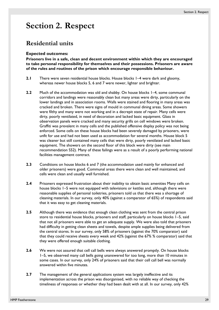# <span id="page-28-0"></span>**Section 2. Respect**

### **Residential units**

#### **Expected outcomes:**

**Prisoners live in a safe, clean and decent environment within which they are encouraged to take personal responsibility for themselves and their possessions. Prisoners are aware of the rules and routines of the prison which encourage responsible behaviour.** 

- **2.1** There were seven residential house blocks. House blocks 1–4 were dark and gloomy, whereas newer house blocks 5, 6 and 7 were newer, lighter and brighter.
- **2.2** Much of the accommodation was old and shabby. On house blocks 1–4, some communal corridors and landings were reasonably clean but many areas were dirty, particularly on the lower landings and in association rooms. Walls were stained and flooring in many areas was cracked and broken. There were signs of mould in communal dining areas. Some showers were filthy and many were not working and in a decrepit state of repair. Many cells were dirty, poorly ventilated, in need of decoration and lacked basic equipment. Glass in observation panels were cracked and many security grills on cell windows were broken. Graffiti was prevalent in many cells and the published offensive display policy was not being enforced. Some cells on these house blocks had been severely damaged by prisoners, were unfit for use and had not been used as accommodation for several months. House block 5 was cleaner but still contained many cells that were dirty, poorly ventilated and lacked basic equipment. The showers on the second floor of this block were dirty (see main recommendation [S52](#page-17-1)). Many of these failings were as a result of a poorly performing national facilities management contract.
- **2.3** Conditions on house blocks 6 and 7 (the accommodation used mainly for enhanced and older prisoners) were good. Communal areas there were clean and well maintained, and cells were clean and usually well furnished.
- **2.4** Prisoners expressed frustration about their inability to obtain basic amenities Many cells on house blocks 1–5 were not equipped with televisions or kettles and, although there were reasonable supplies of personal toiletries, prisoners told us that there was a shortage of cleaning materials. In our survey, only 40% (against a comparator of 65%) of respondents said that it was easy to get cleaning materials.
- **2.5** Although there was evidence that enough clean clothing was sent from the central prison store to residential house blocks, prisoners and staff, particularly on house blocks 1–5, said that not all prisoners were able to get an adequate supply. We were also told that prisoners had difficulty in getting clean sheets and towels, despite ample supplies being delivered from the central stores. In our survey, only 58% of prisoners (against the 70% comparator) said that they could receive sheets every week and 42% (against the 67% % comparator) said that they were offered enough suitable clothing.
- **2.6** We were not assured that cell call bells were always answered promptly. On house blocks 1–5, we observed many call bells going unanswered for too long, more than 10 minutes in some cases. In our survey, only 24% of prisoners said that their cell call bell was normally answered within five minutes.
- **2.7** The management of the general applications system was largely ineffective and its implementation across the prison was disorganised, with no reliable way of checking the timeliness of responses or whether they had been dealt with at all. In our survey, only 42%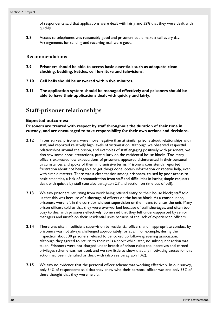of respondents said that applications were dealt with fairly and 32% that they were dealt with quickly.

**2.8** Access to telephones was reasonably good and prisoners could make a call every day. Arrangements for sending and receiving mail were good.

#### **Recommendations**

- <span id="page-29-0"></span>**2.9 Prisoners should be able to access basic essentials such as adequate clean clothing, bedding, kettles, cell furniture and televisions.**
- **2.10 Cell bells should be answered within five minutes.**
- **2.11 The application system should be managed effectively and prisoners should be able to have their applications dealt with quickly and fairly.**

### **Staff-prisoner relationships**

#### **Expected outcomes:**

**Prisoners are treated with respect by staff throughout the duration of their time in custody, and are encouraged to take responsibility for their own actions and decisions.** 

- **2.12** In our survey, prisoners were more negative than at similar prisons about relationships with staff, and reported relatively high levels of victimisation. Although we observed respectful relationships around the prison, and examples of staff engaging positively with prisoners, we also saw some poor interactions, particularly on the residential house blocks. Too many officers expressed low expectations of prisoners, appeared disinterested in their personal circumstances and spoke of them in dismissive terms. Prisoners consistently reported frustration about not being able to get things done, obtain information or receive help, even with simple matters. There was a clear tension among prisoners, caused by poor access to basic amenities, a lack of communication from staff and difficulties in having simple requests dealt with quickly by staff (see also paragraph [2.7](#page-29-2) and section on time out of cell).
- **2.13** We saw prisoners returning from work being refused entry to their house block; staff told us that this was because of a shortage of officers on the house block. As a consequence, prisoners were left in the corridor without supervision or the means to enter the unit. Many prison officers told us that they were overworked because of staff shortages, and often too busy to deal with prisoners effectively. Some said that they felt under-supported by senior managers and unsafe on their residential units because of the lack of experienced officers.
- <span id="page-29-1"></span>**2.14** There was often insufficient supervision by residential officers, and inappropriate conduct by prisoners was not always challenged appropriately, or at all. For example, during the inspection about 30 prisoners refused to be locked up following evening association. Although they agreed to return to their cells a short while later, no subsequent action was taken. Prisoners were not charged under breach of prison rules; the incentives and earned privileges scheme was not used; and we saw little to show that any motivating causes for this action had been identified or dealt with (also see paragraph 1.42).
- <span id="page-29-2"></span>**2.15** We saw no evidence that the personal officer scheme was working effectively. In our survey, only 34% of respondents said that they knew who their personal officer was and only 53% of these thought that they were helpful.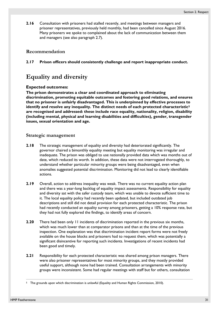**2.16** Consultation with prisoners had stalled recently, and meetings between managers and prisoner representatives, previously held monthly, had been cancelled since August 2016. Many prisoners we spoke to complained about the lack of communication between them and managers (see also paragraph [2.7\)](#page-29-2).

#### **Recommendation**

**2.17 Prison officers should consistently challenge and report inappropriate conduct.**

### **Equality and diversity**

#### **Expected outcomes:**

**The prison demonstrates a clear and coordinated approach to eliminating discrimination, promoting equitable outcomes and fostering good relations, and ensures that no prisoner is unfairly disadvantaged. This is underpinned by effective processes to identify and resolve any inequality. The distinct needs of each protected characteristi[c5](#page-30-0) are recognised and addressed: these include race equality, nationality, religion, disability (including mental, physical and learning disabilities and difficulties), gender, transgender issues, sexual orientation and age.** 

#### **Strategic management**

- **2.18** The strategic management of equality and diversity had deteriorated significantly. The governor chaired a bimonthly equality meeting but equality monitoring was irregular and inadequate. The prison was obliged to use nationally provided data which was months out of date, which reduced its worth. In addition, these data were not interrogated thoroughly, to understand whether particular minority groups were being disadvantaged, even when anomalies suggested potential discrimination. Monitoring did not lead to clearly identifiable actions.
- **2.19** Overall, action to address inequality was weak. There was no current equality action plan and there was a year-long backlog of equality impact assessments. Responsibility for equality and diversity sat with the safer custody team, which was unable to devote sufficient time to it. The local equality policy had recently been updated, but included outdated job descriptions and still did not detail provision for each protected characteristic. The prison had recently conducted an equality survey among prisoners, getting a 10% response rate, but they had not fully explored the findings, to identify areas of concern.
- **2.20** There had been only 11 incidents of discrimination reported in the previous six months, which was much lower than at comparator prisons and than at the time of the previous inspection. One explanation was that discrimination incident report forms were not freely available on the house blocks and prisoners had to request them, which was potentially a significant disincentive for reporting such incidents. Investigations of recent incidents had been good and timely.
- **2.21** Responsibility for each protected characteristic was shared among prison managers. There were also prisoner representatives for most minority groups, and they mostly provided useful support, although none had been trained. Consultation arrangements with minority groups were inconsistent. Some had regular meetings with staff but for others, consultation

 $\overline{a}$ 

<span id="page-30-0"></span><sup>5</sup> The grounds upon which discrimination is unlawful (Equality and Human Rights Commission, 2010).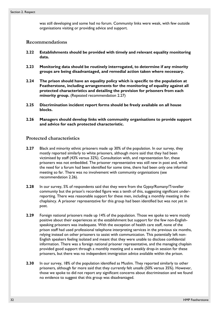was still developing and some had no forum. Community links were weak, with few outside organisations visiting or providing advice and support.

#### **Recommendations**

- **2.22 Establishments should be provided with timely and relevant equality monitoring data.**
- **2.23 Monitoring data should be routinely interrogated, to determine if any minority groups are being disadvantaged, and remedial action taken where necessary.**
- **2.24 The prison should have an equality policy which is specific to the population at Featherstone, including arrangements for the monitoring of equality against all protected characteristics and detailing the provision for prisoners from each**  minority group. (Repeated recommendation 2.27)
- **2.25 Discrimination incident report forms should be freely available on all house blocks.**
- <span id="page-31-0"></span>**2.26 Managers should develop links with community organisations to provide support and advice for each protected characteristic.**

#### **Protected characteristics**

- **2.27** Black and minority ethnic prisoners made up 30% of the population. In our survey, they mostly reported similarly to white prisoners, although more said that they had been victimised by staff (43% versus 32%). Consultation with, and representation for, these prisoners was not embedded. The prisoner representative was still new in post and, while the need for a forum had been identified for some time, there had been only one informal meeting so far. There was no involvement with community organisations (see recommendation [2.26\)](#page-31-0).
- **2.28** In our survey, 5% of respondents said that they were from the Gypsy/Romany/Traveller community but the prison's recorded figure was a tenth of this, suggesting significant underreporting. There was reasonable support for these men, including a monthly meeting in the chaplaincy. A prisoner representative for this group had been identified but was not yet in post.
- **2.29** Foreign national prisoners made up 14% of the population. Those we spoke to were mostly positive about their experiences at the establishment but support for the few non-Englishspeaking prisoners was inadequate. With the exception of health care staff, none of the prison staff had used professional telephone interpreting services in the previous six months, relying instead on other prisoners to assist with communication. This potentially left non-English speakers feeling isolated and meant that they were unable to disclose confidential information. There was a foreign national prisoner representative, and the managing chaplain provided good support through a monthly meeting and a weekly drop-in session for these prisoners, but there was no independent immigration advice available within the prison.
- **2.30** In our survey, 18% of the population identified as Muslim. They reported similarly to other prisoners, although far more said that they currently felt unsafe (50% versus 35%). However, those we spoke to did not report any significant concerns about discrimination and we found no evidence to suggest that this group was disadvantaged.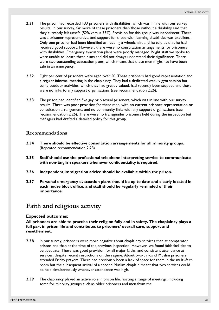- **2.31** The prison had recorded 133 prisoners with disabilities, which was in line with our survey results. In our survey, far more of these prisoners than those without a disability said that they currently felt unsafe (52% versus 33%). Provision for this group was inconsistent. There was a prisoner representative, and support for those with learning disabilities was excellent. Only one prisoner had been identified as needing a wheelchair, and he told us that he had received good support. However, there were no consultation arrangements for prisoners with disabilities. Emergency evacuation plans were poorly managed. Night staff we spoke to were unable to locate these plans and did not always understand their significance. There were two outstanding evacuation plans, which meant that these men might not have been safe in an emergency.
- **2.32** Eight per cent of prisoners were aged over 50. These prisoners had good representation and a regular informal meeting in the chaplaincy. They had a dedicated weekly gym session but some outdoor activities, which they had greatly valued, had recently been stopped and there were no links to any support organisations (see recommendation [2.26\)](#page-31-0).
- **2.33** The prison had identified five gay or bisexual prisoners, which was in line with our survey results. There was poor provision for these men, with no current prisoner representation or consultation arrangements and no community links with any support organisations (see recommendation [2.26\)](#page-31-0). There were no transgender prisoners held during the inspection but managers had drafted a detailed policy for this group.

#### **Recommendations**

- **2.34 There should be effective consultation arrangements for all minority groups.**  (Repeated recommendation 2.28)
- **2.35 Staff should use the professional telephone interpreting service to communicate with non-English speakers whenever confidentiality is required.**
- **2.36 Independent immigration advice should be available within the prison.**
- **2.37 Personal emergency evacuation plans should be up to date and clearly located in each house block office, and staff should be regularly reminded of their importance.**

### **Faith and religious activity**

#### **Expected outcomes:**

**All prisoners are able to practise their religion fully and in safety. The chaplaincy plays a full part in prison life and contributes to prisoners' overall care, support and resettlement.** 

- **2.38** In our survey, prisoners were more negative about chaplaincy services than at comparator prisons and than at the time of the previous inspection. However, we found faith facilities to be adequate. There was good provision for all major faiths, and consistent attendance at services, despite recent restrictions on the regime. About two-thirds of Muslim prisoners attended Friday prayers. There had previously been a lack of space for them in the multi-faith room but the subsequent arrival of a second Muslim chaplain meant that two services could be held simultaneously whenever attendance was high.
- **2.39** The chaplaincy played an active role in prison life, hosting a range of meetings, including some for minority groups such as older prisoners and men from the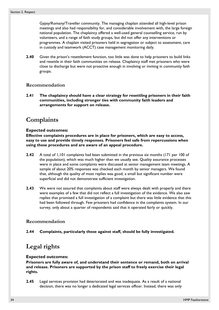Gypsy/Romany/Traveller community. The managing chaplain attended all high-level prison meetings and also had responsibility for, and considerable involvement with, the large foreign national population. The chaplaincy offered a well-used general counselling service, run by volunteers, and a range of faith study groups, but did not offer any interventions or programmes. A chaplain visited prisoners held in segregation or subject to assessment, care in custody and teamwork (ACCT) case management monitoring daily.

**2.40** Given the prison's resettlement function, too little was done to help prisoners to build links and resettle in their faith communities on release. Chaplaincy staff met prisoners who were close to discharge but were not proactive enough in involving or inviting in community faith groups.

#### **Recommendation**

**2.41 The chaplaincy should have a clear strategy for resettling prisoners in their faith communities, including stronger ties with community faith leaders and arrangements for support on release.**

### **Complaints**

#### **Expected outcomes:**

**Effective complaints procedures are in place for prisoners, which are easy to access, easy to use and provide timely responses. Prisoners feel safe from repercussions when using these procedures and are aware of an appeal procedure.** 

- **2.42** A total of 1,101 complaints had been submitted in the previous six months (171 per 100 of the population), which was much higher than we usually see. Quality assurance processes were in place and some complaints were discussed at senior management team meetings. A sample of about 20% responses was checked each month by senior managers. We found that, although the quality of most replies was good, a small but significant number were superficial and did not demonstrate sufficient investigation.
- **2.43** We were not assured that complaints about staff were always dealt with properly and there were examples of a few that did not reflect a full investigation of the evidence. We also saw replies that promised a full investigation of a complaint but there was little evidence that this had been followed through. Few prisoners had confidence in the complaints system. In our survey, only about a quarter of respondents said that it operated fairly or quickly.

#### **Recommendation**

**2.44 Complaints, particularly those against staff, should be fully investigated.**

### **Legal rights**

#### **Expected outcomes:**

**Prisoners are fully aware of, and understand their sentence or remand, both on arrival and release. Prisoners are supported by the prison staff to freely exercise their legal rights.** 

**2.45** Legal services provision had deteriorated and was inadequate. As a result of a national decision, there was no longer a dedicated legal services officer. Instead, there was only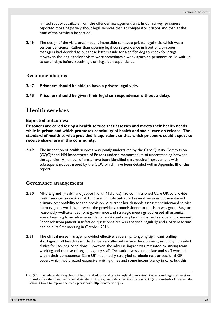limited support available from the offender management unit. In our survey, prisoners reported more negatively about legal services than at comparator prisons and than at the time of the previous inspection.

**2.46** The design of the visits area made it impossible to have a private legal visit, which was a serious deficiency. Rather than opening legal correspondence in front of a prisoner, managers had decided to put these letters aside for a sniffer dog to check for drugs. However, the dog handler's visits were sometimes a week apart, so prisoners could wait up to seven days before receiving their legal correspondence.

#### **Recommendations**

- **2.47 Prisoners should be able to have a private legal visit.**
- **2.48 Prisoners should be given their legal correspondence without a delay.**

### **Health services**

#### **Expected outcomes:**

**Prisoners are cared for by a health service that assesses and meets their health needs while in prison and which promotes continuity of health and social care on release. The standard of health service provided is equivalent to that which prisoners could expect to receive elsewhere in the community.** 

**2.49** The inspection of health services was jointly undertaken by the Care Quality Commission (CQC)[6](#page-34-0) and HM Inspectorate of Prisons under a memorandum of understanding between the agencies. A number of areas have been identified that require improvement with subsequent notices issued by the CQC which have been detailed within Appendix III of this report.

#### **Governance arrangements**

- **2.50** NHS England (Health and Justice North Midlands) had commissioned Care UK to provide health services since April 2016. Care UK subcontracted several services but maintained primary responsibility for the provision. A current health needs assessment informed service delivery. Joint working between the providers, commissioners and prison was good. Regular, reasonably well-attended joint governance and strategic meetings addressed all essential areas. Learning from adverse incidents, audits and complaints informed service improvement. Feedback from patient satisfaction questionnaires was analysed regularly and a patient forum had held its first meeting in October 2016.
- **2.51** The clinical nurse manager provided effective leadership. Ongoing significant staffing shortages in all health teams had adversely affected service development, including nurse-led clinics for life-long conditions. However, the adverse impact was mitigated by strong team working and the use of regular agency staff. Delegation was appropriate and staff worked within their competence. Care UK had initially struggled to obtain regular sessional GP cover, which had created excessive waiting times and some inconsistency in care, but this

 $\overline{a}$ 

<span id="page-34-0"></span><sup>6</sup> CQC is the independent regulator of health and adult social care in England. It monitors, inspects and regulates services to make sure they meet fundamental standards of quality and safety. For information on CQC's standards of care and the action it takes to improve services, please visit: http://www.cqc.org.uk.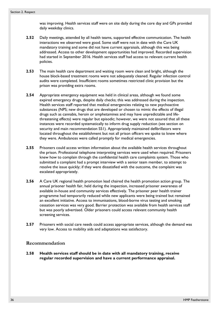was improving. Health services staff were on site daily during the core day and GPs provided daily weekday clinics.

- **2.52** Daily meetings, attended by all health teams, supported effective communication. The health interactions we observed were good. Some staff were not in date with the Care UK mandatory training and some did not have current appraisals, although this was being addressed. Access to other development opportunities had improved. Recorded supervision had started in September 2016. Health services staff had access to relevant current health policies.
- **2.53** The main health care department and waiting room were clean and bright, although the house block-based treatment rooms were not adequately cleaned. Regular infection control audits were completed. Insufficient rooms sometimes restricted clinic provision but the prison was providing extra rooms.
- **2.54** Appropriate emergency equipment was held in clinical areas, although we found some expired emergency drugs, despite daily checks; this was addressed during the inspection. Health services staff reported that medical emergencies relating to new psychoactive substances (NPS; new drugs that are developed or chosen to mimic the effects of illegal drugs such as cannabis, heroin or amphetamines and may have unpredictable and lifethreatening effects) were regular but episodic; however, we were not assured that all these instances were recorded systematically to inform drug supply reduction (see section on security and main recommendation [S51](#page-17-0)). Appropriately maintained defibrillators were located throughout the establishment but not all prison officers we spoke to knew where they were. Ambulances were called promptly for medical emergencies.
- **2.55** Prisoners could access written information about the available health services throughout the prison. Professional telephone interpreting services were used when required. Prisoners knew how to complain through the confidential health care complaints system. Those who submitted a complaint had a prompt interview with a senior team member, to attempt to resolve the issue quickly; if they were dissatisfied with the outcome, the complaint was escalated appropriately.
- **2.56** A Care UK regional health promotion lead chaired the health promotion action group. The annual prisoner health fair, held during the inspection, increased prisoner awareness of available in-house and community services effectively. The prisoner peer health trainer programme had temporarily reduced while new applicants were being trained but remained an excellent initiative. Access to immunisations, blood-borne virus testing and smoking cessation services was very good. Barrier protection was available from health services staff but was poorly advertised. Older prisoners could access relevant community health screening services.
- **2.57** Prisoners with social care needs could access appropriate services, although the demand was very low. Access to mobility aids and adaptations was satisfactory.

#### **Recommendation**

**2.58 Health services staff should be in date with all mandatory training, receive regular recorded supervision and have a current performance appraisal.**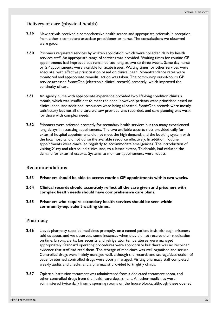# **Delivery of care (physical health)**

- **2.59** New arrivals received a comprehensive health screen and appropriate referrals in reception from either a competent associate practitioner or nurse. The consultations we observed were good.
- **2.60** Prisoners requested services by written application, which were collected daily by health services staff. An appropriate range of services was provided. Waiting times for routine GP appointments had improved but remained too long, at two to three weeks. Same day nurse or GP appointments were available for acute issues. Waiting times for other services were adequate, with effective prioritisation based on clinical need. Non-attendance rates were monitored and appropriate remedial action was taken. The community out-of-hours GP service accessed SystmOne (electronic clinical records) remotely, which improved the continuity of care.
- **2.61** An agency nurse with appropriate experience provided two life-long condition clinics a month, which was insufficient to meet the need; however, patients were prioritised based on clinical need, and additional resources were being allocated. SystmOne records were mostly satisfactory but not all the care we saw provided was recorded, and care planning was weak for those with complex needs.
- **2.62** Prisoners were referred promptly for secondary health services but too many experienced long delays in accessing appointments. The two available escorts slots provided daily for external hospital appointments did not meet the high demand, and the booking system with the local hospital did not utilise the available resource effectively. In addition, routine appointments were cancelled regularly to accommodate emergencies. The introduction of visiting X-ray and ultrasound clinics, and, to a lesser extent, Telehealth, had reduced the demand for external escorts. Systems to monitor appointments were robust.

### **Recommendations**

- <span id="page-36-0"></span>**2.63 Prisoners should be able to access routine GP appointments within two weeks.**
- <span id="page-36-1"></span>**2.64 Clinical records should accurately reflect all the care given and prisoners with complex health needs should have comprehensive care plans.**
- <span id="page-36-2"></span>**2.65 Prisoners who require secondary health services should be seen within community-equivalent waiting times.**

### **Pharmacy**

- **2.66** Lloyds pharmacy supplied medicines promptly, on a named-patient basis, although prisoners told us about, and we observed, some instances when they did not receive their medication on time. Errors, alerts, key security and refrigerator temperatures were managed appropriately. Standard operating procedures were appropriate but there was no recorded evidence that staff had read them. The storage of medicines was well organised and secure. Controlled drugs were mainly managed well, although the records and storage/destruction of patient-returned controlled drugs were poorly managed. Visiting pharmacy staff completed weekly audits and checks, and a pharmacist provided fortnightly clinics.
- **2.67** Opiate substitution treatment was administered from a dedicated treatment room, and other controlled drugs from the health care department. All other medicines were administered twice daily from dispensing rooms on the house blocks, although these opened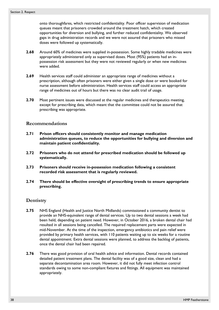onto thoroughfares, which restricted confidentiality. Poor officer supervision of medication queues meant that prisoners crowded around the treatment hatch, which created opportunities for diversion and bullying, and further reduced confidentiality. We observed gaps in drug administration records and we were not assured that prisoners who missed doses were followed up systematically.

- **2.68** Around 60% of medicines were supplied in-possession. Some highly tradable medicines were appropriately administered only as supervised doses. Most (95%) patients had an inpossession risk assessment but they were not reviewed regularly or when new medicines were added.
- **2.69** Health services staff could administer an appropriate range of medicines without a prescription, although often prisoners were either given a single dose or were booked for nurse assessment before administration. Health services staff could access an appropriate range of medicines out of hours but there was no clear audit trail of usage.
- **2.70** Most pertinent issues were discussed at the regular medicines and therapeutics meeting, except for prescribing data, which meant that the committee could not be assured that prescribing was appropriate.

### **Recommendations**

- <span id="page-37-0"></span>**2.71 Prison officers should consistently monitor and manage medication administration queues, to reduce the opportunities for bullying and diversion and maintain patient confidentiality.**
- <span id="page-37-1"></span>**2.72 Prisoners who do not attend for prescribed medication should be followed up systematically.**
- <span id="page-37-2"></span>**2.73 Prisoners should receive in-possession medication following a consistent recorded risk assessment that is regularly reviewed.**
- <span id="page-37-3"></span>**2.74 There should be effective oversight of prescribing trends to ensure appropriate prescribing.**

### **Dentistry**

- **2.75** NHS England (Health and Justice North Midlands) commissioned a community dentist to provide an NHS-equivalent range of dental services. Up to two dental sessions a week had been held, depending on patient need. However, in October 2016, a broken dental chair had resulted in all sessions being cancelled. The required replacement parts were expected in mid-November. At the time of the inspection, emergency antibiotics and pain relief were provided by primary health services, with 110 patients waiting up to six weeks for a routine dental appointment. Extra dental sessions were planned, to address the backlog of patients, once the dental chair had been repaired.
- **2.76** There was good provision of oral health advice and information. Dental records contained detailed patient treatment plans. The dental facility was of a good size, clean and had a separate decontamination area room. However, it did not fully meet infection control standards owing to some non-compliant fixtures and fittings. All equipment was maintained appropriately.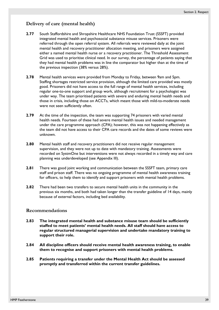# **Delivery of care (mental health)**

- **2.77** South Staffordshire and Shropshire Healthcare NHS Foundation Trust (SSSFT) provided integrated mental health and psychosocial substance misuse services. Prisoners were referred through the open referral system. All referrals were reviewed daily at the joint mental health and recovery practitioner allocation meeting, and prisoners were assigned either a named mental health nurse or a recovery practitioner. The Threshold Assessment Grid was used to prioritise clinical need. In our survey, the percentage of patients saying that they had mental health problems was in line the comparator but higher than at the time of the previous inspection (38% versus 28%).
- **2.78** Mental health services were provided from Monday to Friday, between 9am and 5pm. Staffing shortages restricted service provision, although the limited care provided was mostly good. Prisoners did not have access to the full range of mental health services, including regular one-to-one support and group work, although recruitment for a psychologist was under way. The team prioritised patients with severe and enduring mental health needs and those in crisis, including those on ACCTs, which meant those with mild-to-moderate needs were not seen sufficiently often.
- **2.79** At the time of the inspection, the team was supporting 74 prisoners with varied mental health needs. Fourteen of these had severe mental health issues and needed management under the care programme approach (CPA); however, this was not happening effectively as the team did not have access to their CPA care records and the dates of some reviews were unknown.
- **2.80** Mental health staff and recovery practitioners did not receive regular management supervision, and they were not up to date with mandatory training. Assessments were recorded on SystmOne but interventions were not always recorded in a timely way and care planning was underdeveloped (see Appendix III).
- **2.81** There was good joint working and communication between the SSSFT team, primary care staff and prison staff. There was no ongoing programme of mental health awareness training for officers, to help them to identify and support prisoners with mental health problems.
- **2.82** There had been two transfers to secure mental health units in the community in the previous six months, and both had taken longer than the transfer guideline of 14 days, mainly because of external factors, including bed availability.

### **Recommendations**

- <span id="page-38-0"></span>**2.83 The integrated mental health and substance misuse team should be sufficiently staffed to meet patients' mental health needs. All staff should have access to regular structured managerial supervision and undertake mandatory training to support their role.**
- <span id="page-38-1"></span>**2.84 All discipline officers should receive mental health awareness training, to enable them to recognise and support prisoners with mental health problems.**
- <span id="page-38-2"></span>**2.85 Patients requiring a transfer under the Mental Health Act should be assessed promptly and transferred within the current transfer guidelines.**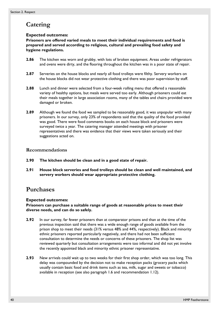# **Catering**

### **Expected outcomes:**

**Prisoners are offered varied meals to meet their individual requirements and food is prepared and served according to religious, cultural and prevailing food safety and hygiene regulations.** 

- **2.86** The kitchen was worn and grubby, with lots of broken equipment. Areas under refrigerators and ovens were dirty, and the flooring throughout the kitchen was in a poor state of repair.
- **2.87** Serveries on the house blocks and nearly all food trolleys were filthy. Servery workers on the house blocks did not wear protective clothing and there was poor supervision by staff.
- **2.88** Lunch and dinner were selected from a four-week rolling menu that offered a reasonable variety of healthy options, but meals were served too early. Although prisoners could eat their meals together in large association rooms, many of the tables and chairs provided were damaged or broken.
- **2.89** Although we found the food we sampled to be reasonably good, it was unpopular with many prisoners. In our survey, only 23% of respondents said that the quality of the food provided was good. There were food comments books on each house block and prisoners were surveyed twice a year. The catering manager attended meetings with prisoner representatives and there was evidence that their views were taken seriously and their suggestions acted on.

# **Recommendations**

- <span id="page-39-0"></span>**2.90 The kitchen should be clean and in a good state of repair.**
- <span id="page-39-1"></span>**2.91 House block serveries and food trolleys should be clean and well maintained, and servery workers should wear appropriate protective clothing.**

# **Purchases**

### **Expected outcomes:**

**Prisoners can purchase a suitable range of goods at reasonable prices to meet their diverse needs, and can do so safely.** 

- **2.92** In our survey, far fewer prisoners than at comparator prisons and than at the time of the previous inspection said that there was a wide enough range of goods available from the prison shop to meet their needs (31% versus 48% and 44%, respectively). Black and minority ethnic prisoners reported particularly negatively, and there had not been sufficient consultation to determine the needs or concerns of these prisoners. The shop list was reviewed quarterly but consultation arrangements were too informal and did not yet involve the recently appointed black and minority ethnic prisoner representative.
- **2.93** New arrivals could wait up to two weeks for their first shop order, which was too long. This delay was compounded by the decision not to make reception packs (grocery packs which usually contain basic food and drink items such as tea, milk, sugar and sweets or tobacco) available in reception (see also paragraph [1.6](#page-18-0) and recommendation [1.12\)](#page-19-0).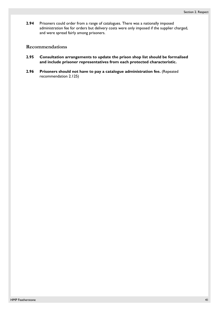**2.94** Prisoners could order from a range of catalogues. There was a nationally imposed administration fee for orders but delivery costs were only imposed if the supplier charged, and were spread fairly among prisoners.

### **Recommendations**

- <span id="page-40-0"></span>**2.95 Consultation arrangements to update the prison shop list should be formalised and include prisoner representatives from each protected characteristic.**
- <span id="page-40-1"></span>**2.96 Prisoners should not have to pay a catalogue administration fee.** (Repeated recommendation 2.125)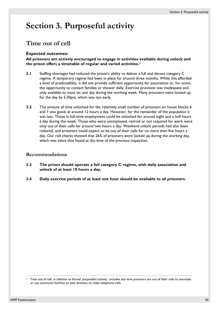# **Section 3. Purposeful activity**

# **Time out of cell**

### **Expected outcomes:**

**All prisoners are actively encouraged to engage in activities available during unlock and the prison offers a timetable of regular and varied activities.[7](#page-42-0)**

- **3.1** Staffing shortages had reduced the prison's ability to deliver a full and decent category C regime. A temporary regime had been in place for around three months. While this afforded a level of predictability, it did not provide sufficient opportunity for association or, for some, the opportunity to contact families or shower daily. Exercise provision was inadequate and only available to most on one day during the working week. Many prisoners were locked up for the day by 5.30pm, which was too early.
- **3.2** The amount of time unlocked for the relatively small number of prisoners on house blocks 6 and 7 was good, at around 12 hours a day. However, for the remainder of the population it was less. Those in full-time employment could be unlocked for around eight and a half hours a day during the week. Those who were unemployed, retired or not required for work were only out of their cells for around two hours a day. Weekend unlock periods had also been reduced, and prisoners could expect to be out of their cells for no more than five hours a day. Our roll checks showed that 26% of prisoners were locked up during the working day, which was twice that found at the time of the previous inspection.

### **Recommendations**

- <span id="page-42-1"></span>**3.3 The prison should operate a full category C regime, with daily association and unlock of at least 10 hours a day.**
- <span id="page-42-2"></span>**3.4 Daily exercise periods of at least one hour should be available to all prisoners.**

 $\overline{a}$ 

<span id="page-42-0"></span><sup>7</sup> Time out of cell, in addition to formal 'purposeful activity', includes any time prisoners are out of their cells to associate or use communal facilities to take showers or make telephone calls.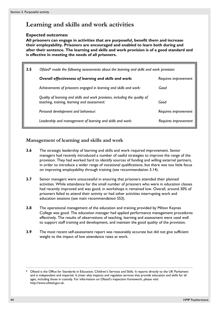# **Learning and skills and work activities**

### **Expected outcomes:**

**All prisoners can engage in activities that are purposeful, benefit them and increase their employability. Prisoners are encouraged and enabled to learn both during and after their sentence. The learning and skills and work provision is of a good standard and is effective in meeting the needs of all prisoners.** 

| 3.5 | Ofsted <sup>8</sup> made the following assessments about the learning and skills and work provision:                        |                      |
|-----|-----------------------------------------------------------------------------------------------------------------------------|----------------------|
|     | Overall effectiveness of learning and skills and work:                                                                      | Requires improvement |
|     | Achievements of prisoners engaged in learning and skills and work:                                                          | Good                 |
|     | Quality of learning and skills and work provision, including the quality of<br>teaching, training, learning and assessment: | Good                 |
|     | Personal development and behaviour:                                                                                         | Requires improvement |
|     | Leadership and management of learning and skills and work:                                                                  | Requires improvement |

# **Management of learning and skills and work**

- **3.6** The strategic leadership of learning and skills and work required improvement. Senior managers had recently introduced a number of useful strategies to improve the range of the provision. They had worked hard to identify sources of funding and willing external partners, in order to introduce a wider range of vocational qualifications, but there was too little focus on improving employability through training (see recommendation [3.14](#page-44-0)).
- <span id="page-43-1"></span>**3.7** Senior managers were unsuccessful in ensuring that prisoners attended their planned activities. While attendance for the small number of prisoners who were in education classes had recently improved and was good, in workshops it remained low. Overall, around 30% of prisoners failed to attend their activity or had other activities interrupting work and education sessions (see main recommendation [S53](#page-17-0)).
- **3.8** The operational management of the education and training provided by Milton Keynes College was good. The education manager had applied performance management procedures effectively. The results of observations of teaching, learning and assessment were used well to support staff training and development, and maintain the good quality of the provision.
- **3.9** The most recent self-assessment report was reasonably accurate but did not give sufficient weight to the impact of low attendance rates at work.

 $\overline{a}$ 

<span id="page-43-0"></span>Ofsted is the Office for Standards in Education, Children's Services and Skills. It reports directly to the UK Parliament and is independent and impartial. It (inter alia) inspects and regulates services that provide education and skills for all ages, including those in custody. For information on Ofsted's inspection framework, please visit: http://www.ofsted.gov.uk.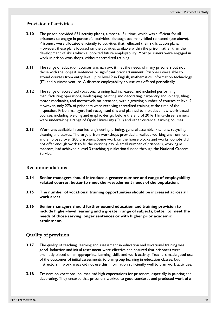## **Provision of activities**

- **3.10** The prison provided 631 activity places, almost all full time, which was sufficient for all prisoners to engage in purposeful activities, although too many failed to attend (see above). Prisoners were allocated efficiently to activities that reflected their skills action plans. However, these plans focused on the activities available within the prison rather than the development of skills which supported future employability. Most prisoners were engaged in work in prison workshops, without accredited training.
- **3.11** The range of education courses was narrow; it met the needs of many prisoners but not those with the longest sentences or significant prior attainment. Prisoners were able to attend courses from entry level up to level 2 in English, mathematics, information technology (IT) and business venture. A discrete employability course was offered periodically.
- **3.12** The range of accredited vocational training had increased, and included performing manufacturing operations, landscaping, painting and decorating, carpentry and joinery, tiling, motor mechanics, and motorcycle maintenance, with a growing number of courses at level 2. However, only 27% of prisoners were receiving accredited training at the time of the inspection. Prison managers had recognised this and planned to introduce new work-based courses, including welding and graphic design, before the end of 2016 Thirty-three learners were undertaking a range of Open University (OU) and other distance learning courses.
- **3.13** Work was available in textiles, engineering, printing, general assembly, kitchens, recycling, cleaning and stores. The large prison workshops provided a realistic working environment and employed over 200 prisoners. Some work on the house blocks and workshop jobs did not offer enough work to fill the working day. A small number of prisoners, working as mentors, had achieved a level 3 teaching qualification funded through the National Careers Service.

#### **Recommendations**

- <span id="page-44-0"></span>**3.14 Senior managers should introduce a greater number and range of employabilityrelated courses, better to meet the resettlement needs of the population.**
- <span id="page-44-1"></span>**3.15 The number of vocational training opportunities should be increased across all work areas.**
- <span id="page-44-2"></span>**3.16 Senior managers should further extend education and training provision to include higher-level learning and a greater range of subjects, better to meet the needs of those serving longer sentences or with higher prior academic attainment.**

### **Quality of provision**

- **3.17** The quality of teaching, learning and assessment in education and vocational training was good. Induction and initial assessment were effective and ensured that prisoners were promptly placed on an appropriate learning, skills and work activity. Teachers made good use of the outcomes of initial assessments to plan group learning in education classes, but instructors in work areas did not use this information sufficiently well to plan work activities.
- **3.18** Trainers on vocational courses had high expectations for prisoners, especially in painting and decorating. They ensured that prisoners worked to good standards and produced work of a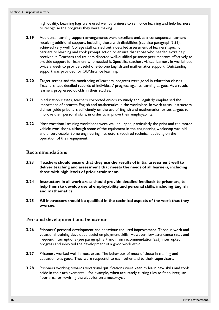high quality. Learning logs were used well by trainers to reinforce learning and help learners to recognise the progress they were making.

- **3.19** Additional learning support arrangements were excellent and, as a consequence, learners receiving additional support, including those with disabilities (see also paragraph [2.31](#page-32-0)), achieved very well. College staff carried out a detailed assessment of learners' specific barriers to learning and took prompt action to ensure that those who needed extra help received it. Teachers and trainers directed well-qualified prisoner peer mentors effectively to provide support for learners who needed it. Specialist teachers visited learners in workshops twice a week to provide useful one-to-one English and mathematics support. Outstanding support was provided for OU/distance learning.
- **3.20** Target setting and the monitoring of learners' progress were good in education classes. Teachers kept detailed records of individuals' progress against learning targets. As a result, learners progressed quickly in their studies.
- **3.21** In education classes, teachers corrected errors routinely and regularly emphasised the importance of accurate English and mathematics in the workplace. In work areas, instructors did not guide prisoners sufficiently on the use of English and mathematics, or set targets to improve their personal skills, in order to improve their employability.
- **3.22** Most vocational training workshops were well equipped, particularly the print and the motor vehicle workshops, although some of the equipment in the engineering workshop was old and unserviceable. Some engineering instructors required technical updating on the operation of their equipment.

### **Recommendations**

- <span id="page-45-0"></span>**3.23 Teachers should ensure that they use the results of initial assessment well to deliver teaching and assessment that meets the needs of all learners, including those with high levels of prior attainment.**
- <span id="page-45-1"></span>**3.24 Instructors in all work areas should provide detailed feedback to prisoners, to help them to develop useful employability and personal skills, including English and mathematics.**
- <span id="page-45-2"></span>**3.25 All instructors should be qualified in the technical aspects of the work that they oversee.**

### **Personal development and behaviour**

- **3.26** Prisoners' personal development and behaviour required improvement. Those in work and vocational training developed useful employment skills. However, low attendance rates and frequent interruptions (see paragraph [3.7](#page-43-1) and main recommendation [S53](#page-17-0)) interrupted progress and inhibited the development of a good work ethic.
- **3.27** Prisoners worked well in most areas. The behaviour of most of those in training and education was good. They were respectful to each other and to their supervisors.
- **3.28** Prisoners working towards vocational qualifications were keen to learn new skills and took pride in their achievements – for example, when accurately cutting tiles to fit an irregular floor area, or rewiring the electrics on a motorcycle.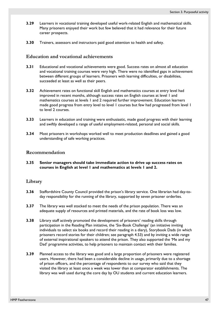- **3.29** Learners in vocational training developed useful work-related English and mathematical skills. Many prisoners enjoyed their work but few believed that it had relevance for their future career prospects.
- **3.30** Trainers, assessors and instructors paid good attention to health and safety.

### **Education and vocational achievements**

- **3.31** Educational and vocational achievements were good. Success rates on almost all education and vocational training courses were very high. There were no identified gaps in achievement between different groups of learners. Prisoners with learning difficulties, or disabilities, succeeded at least as well as their peers.
- **3.32** Achievement rates on functional skill English and mathematics courses at entry level had improved in recent months, although success rates on English courses at level 1 and mathematics courses at levels 1 and 2 required further improvement. Education learners made good progress from entry level to level 1 courses but few had progressed from level 1 to level 2 courses.
- **3.33** Learners in education and training were enthusiastic, made good progress with their learning and swiftly developed a range of useful employment-related, personal and social skills.
- **3.34** Most prisoners in workshops worked well to meet production deadlines and gained a good understanding of safe working practices.

### **Recommendation**

<span id="page-46-0"></span>**3.35 Senior managers should take immediate action to drive up success rates on courses in English at level 1 and mathematics at levels 1 and 2.**

### **Library**

- **3.36** Staffordshire County Council provided the prison's library service. One librarian had day-today responsibility for the running of the library, supported by seven prisoner orderlies.
- **3.37** The library was well stocked to meet the needs of the prison population. There was an adequate supply of resources and printed materials, and the rate of book loss was low.
- **3.38** Library staff actively promoted the development of prisoners' reading skills through participation in the Reading Plan initiative, the 'Six-Book Challenge' (an initiative inviting individuals to select six books and record their reading in a diary), Storybook Dads (in which prisoners record stories for their children; see paragraph 4.53) and by inviting a wide range of external inspirational speakers to attend the prison. They also supported the 'Me and my Dad' programme activities, to help prisoners to maintain contact with their families.
- **3.39** Planned access to the library was good and a large proportion of prisoners were registered users. However, there had been a considerable decline in usage, primarily due to a shortage of prison officers, and the percentage of respondents to our survey who said that they visited the library at least once a week was lower than at comparator establishments. The library was well used during the core day by OU students and current education learners.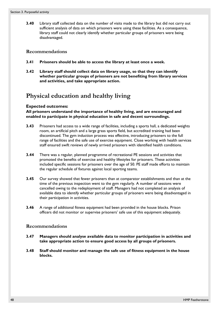**3.40** Library staff collected data on the number of visits made to the library but did not carry out sufficient analysis of data on which prisoners were using these facilities. As a consequence, library staff could not clearly identify whether particular groups of prisoners were being disadvantaged.

### **Recommendations**

- <span id="page-47-0"></span>**3.41 Prisoners should be able to access the library at least once a week.**
- <span id="page-47-1"></span>**3.42 Library staff should collect data on library usage, so that they can identify whether particular groups of prisoners are not benefiting from library services and activities, and take appropriate action.**

# **Physical education and healthy living**

### **Expected outcomes:**

**All prisoners understand the importance of healthy living, and are encouraged and enabled to participate in physical education in safe and decent surroundings.** 

- **3.43** Prisoners had access to a wide range of facilities, including a sports hall, a dedicated weights room, an artificial pitch and a large grass sports field, but accredited training had been discontinued. The gym induction process was effective, introducing prisoners to the full range of facilities and the safe use of exercise equipment. Close working with health services staff ensured swift reviews of newly arrived prisoners with identified health conditions.
- **3.44** There was a regular, planned programme of recreational PE sessions and activities that promoted the benefits of exercise and healthy lifestyles for prisoners. These activities included specific sessions for prisoners over the age of 50. PE staff made efforts to maintain the regular schedule of fixtures against local sporting teams.
- **3.45** Our survey showed that fewer prisoners than at comparator establishments and than at the time of the previous inspection went to the gym regularly. A number of sessions were cancelled owing to the redeployment of staff. Managers had not completed an analysis of available data to identify whether particular groups of prisoners were being disadvantaged in their participation in activities.
- **3.46** A range of additional fitness equipment had been provided in the house blocks. Prison officers did not monitor or supervise prisoners' safe use of this equipment adequately.

### **Recommendations**

- <span id="page-47-2"></span>**3.47 Managers should analyse available data to monitor participation in activities and take appropriate action to ensure good access by all groups of prisoners.**
- <span id="page-47-3"></span>**3.48 Staff should monitor and manage the safe use of fitness equipment in the house blocks.**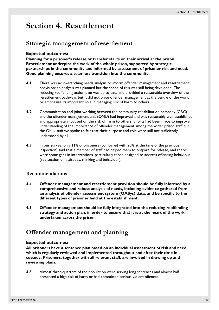# **Section 4. Resettlement**

# **Strategic management of resettlement**

### **Expected outcomes:**

**Planning for a prisoner's release or transfer starts on their arrival at the prison. Resettlement underpins the work of the whole prison, supported by strategic partnerships in the community and informed by assessment of prisoner risk and need. Good planning ensures a seamless transition into the community.** 

- **4.1** There was no overarching needs analysis to inform offender management and resettlement provision; an analysis was planned but the scope of this was still being developed. The reducing reoffending action plan was up to date and provided a reasonable overview of the resettlement pathways but it did not place offender management at the centre of the work or emphasise its important role in managing risk of harm to others.
- **4.2** Communication and joint working between the community rehabilitation company (CRC) and the offender management unit (OMU) had improved and was reasonably well established and appropriately focused on the risk of harm to others. Efforts had been made to improve understanding of the importance of offender management among the wider prison staff but the OMU staff we spoke to felt that their purpose and role were still not sufficiently understood by all.
- **4.3** In our survey, only 11% of prisoners (compared with 20% at the time of the previous inspection) said that a member of staff had helped them to prepare for release, and there were some gaps in interventions, particularly those designed to address offending behaviour (see section on attitudes, thinking and behaviour).

### **Recommendations**

- <span id="page-48-0"></span>**4.4 Offender management and resettlement provision should be fully informed by a comprehensive and robust analysis of needs, including evidence gathered from an analysis of offender assessment system (OASys) data, and be specific to the different types of prisoner held at the establishment.**
- <span id="page-48-1"></span>**4.5 Offender management should be fully integrated into the reducing reoffending strategy and action plan, in order to ensure that it is at the heart of the work undertaken across the prison.**

# **Offender management and planning**

#### **Expected outcomes:**

**All prisoners have a sentence plan based on an individual assessment of risk and need, which is regularly reviewed and implemented throughout and after their time in custody. Prisoners, together with all relevant staff, are involved in drawing up and reviewing plans.** 

**4.6** Almost three-quarters of the population were serving long sentences and almost half presented a high risk of harm or had committed serious violent offences.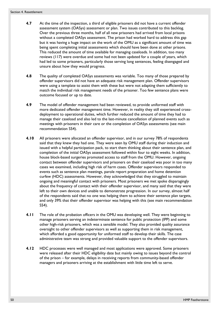- **4.7** At the time of the inspection, a third of eligible prisoners did not have a current offender assessment system (OASys) assessment or plan. Two issues contributed to this backlog. Over the previous three months, half of all new prisoners had arrived from local prisons without a completed OASys assessment. The prison had worked hard to address this gap but it was having a huge impact on the work of the OMU as a significant amount of time was being spent completing initial assessments which should have been done at other prisons. This reduced the amount of time available for managing caseloads. In addition, too many reviews (117) were overdue and some had not been updated for a couple of years, which had led to some prisoners, particularly those serving long sentences, feeling disengaged and unsure about how they would progress.
- **4.8** The quality of completed OASys assessments was variable. Too many of those prepared by offender supervisors did not have an adequate risk management plan. Offender supervisors were using a template to assist them with these but were not adapting them sufficiently to match the individual risk management needs of the prisoner. Too few sentence plans were outcome focused or up to date.
- **4.9** The model of offender management had been reviewed, to provide uniformed staff with more dedicated offender management time. However, in reality they still experienced crossdeployment to operational duties, which further reduced the amount of time they had to manage their caseload and also led to the last-minute cancellation of planned events such as meetings with prisoners in their care or the completion of OASys assessments (see main recommendation [S54](#page-17-1)).
- **4.10** All prisoners were allocated an offender supervisor, and in our survey 78% of respondents said that they knew they had one. They were seen by OMU staff during their induction and issued with a helpful participation pack, to start them thinking about their sentence plan, and completion of the initial OASys assessment followed within four to eight weeks. In addition, house block-based surgeries promoted access to staff from the OMU. However, ongoing contact between offender supervisors and prisoners on their caseload was poor in too many cases we examined, including high risk of harm cases. Offender supervisors responded to events such as sentence plan meetings, parole report preparation and home detention curfew (HDC) assessments. However, they acknowledged that they struggled to maintain ongoing and meaningful contact with prisoners. Most prisoners we met spoke disparagingly about the frequency of contact with their offender supervisor, and many said that they were left to their own devices and unable to demonstrate progression. In our survey, almost half of the respondents said that no one was helping them to achieve their sentence plan targets, and only 39% that their offender supervisor was helping with this (see main recommendation [S54\)](#page-17-1).
- **4.11** The role of the probation officers in the OMU was developing well. They were beginning to manage prisoners serving an indeterminate sentence for public protection (IPP) and some other high-risk prisoners, which was a sensible model. They also provided quality assurance oversight to other offender supervisors as well as supporting them in risk management, which afforded a good opportunity for uniformed staff to develop their skills. The case administrative team was strong and provided valuable support to the offender supervisors.
- **4.12** HDC processes were well managed and most applications were approved. Some prisoners were released after their HDC eligibility date but mainly owing to issues beyond the control of the prison – for example, delays in receiving reports from community-based offender managers and prisoners arriving at the establishment with little time left to serve.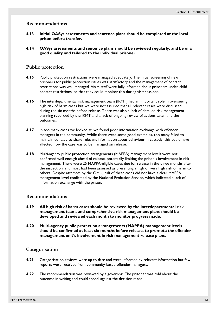### **Recommendations**

- <span id="page-50-0"></span>**4.13 Initial OASys assessments and sentence plans should be completed at the local prison before transfer.**
- <span id="page-50-1"></span>**4.14 OASys assessments and sentence plans should be reviewed regularly, and be of a good quality and tailored to the individual prisoner.**

### **Public protection**

- **4.15** Public protection restrictions were managed adequately. The initial screening of new prisoners for public protection issues was satisfactory and the management of contact restrictions was well managed. Visits staff were fully informed about prisoners under child contact restrictions, so that they could monitor this during visit sessions.
- **4.16** The interdepartmental risk management team (IRMT) had an important role in overseeing high risk of harm cases but we were not assured that all relevant cases were discussed during the six months before release. There was also a lack of detailed risk management planning recorded by the IRMT and a lack of ongoing review of actions taken and the outcomes.
- **4.17** In too many cases we looked at, we found poor information exchange with offender managers in the community. While there were some good examples, too many failed to maintain contact, to share relevant information about behaviour in custody; this could have affected how the case was to be managed on release.
- **4.18** Multi-agency public protection arrangements (MAPPA) management levels were not confirmed well enough ahead of release, potentially limiting the prison's involvement in risk management. There were 25 MAPPA-eligible cases due for release in the three months after the inspection, and most had been assessed as presenting a high or very high risk of harm to others. Despite attempts by the OMU, half of these cases did not have a clear MAPPA management level confirmed by the National Probation Service, which indicated a lack of information exchange with the prison.

### **Recommendations**

- <span id="page-50-2"></span>**4.19 All high risk of harm cases should be reviewed by the interdepartmental risk management team, and comprehensive risk management plans should be developed and reviewed each month to monitor progress made.**
- <span id="page-50-3"></span>**4.20 Multi-agency public protection arrangements (MAPPA) management levels should be confirmed at least six months before release, to promote the offender management unit's involvement in risk management release plans.**

### **Categorisation**

- **4.21** Categorisation reviews were up to date and were informed by relevant information but few reports were received from community-based offender managers.
- **4.22** The recommendation was reviewed by a governor. The prisoner was told about the outcome in writing and could appeal against the decision made.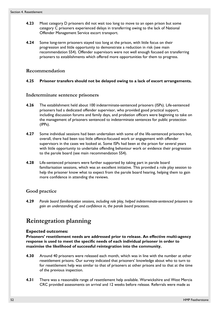- **4.23** Most category D prisoners did not wait too long to move to an open prison but some category C prisoners experienced delays in transferring owing to the lack of National Offender Management Service escort transport.
- **4.24** Some long-term prisoners stayed too long at the prison, with little focus on their progression and little opportunity to demonstrate a reduction in risk (see main recommendation [S54](#page-17-1)). Offender supervisors were not well enough focused on transferring prisoners to establishments which offered more opportunities for them to progress.

## **Recommendation**

### <span id="page-51-0"></span>**4.25 Prisoner transfers should not be delayed owing to a lack of escort arrangements.**

### **Indeterminate sentence prisoners**

- **4.26** The establishment held about 100 indeterminate-sentenced prisoners (ISPs). Life-sentenced prisoners had a dedicated offender supervisor, who provided good practical support, including discussion forums and family days, and probation officers were beginning to take on the management of prisoners sentenced to indeterminate sentences for public protection (IPPs).
- **4.27** Some individual sessions had been undertaken with some of the life-sentenced prisoners but, overall, there had been too little offence-focused work or engagement with offender supervisors in the cases we looked at. Some ISPs had been at the prison for several years with little opportunity to undertake offending behaviour work or evidence their progression to the parole board (see main recommendation [S54](#page-17-1)).
- **4.28** Life-sentenced prisoners were further supported by taking part in parole board familiarisation sessions, which was an excellent initiative. This provided a role play session to help the prisoner know what to expect from the parole board hearing, helping them to gain more confidence in attending the reviews.

# **Good practice**

<span id="page-51-1"></span>**4.29** *Parole board familiarisation sessions, including role play, helped indeterminate-sentenced prisoners to gain an understanding of, and confidence in, the parole board processes*.

# **Reintegration planning**

### **Expected outcomes:**

**Prisoners' resettlement needs are addressed prior to release. An effective multi-agency response is used to meet the specific needs of each individual prisoner in order to maximise the likelihood of successful reintegration into the community.** 

- **4.30** Around 40 prisoners were released each month, which was in line with the number at other resettlement prisons. Our survey indicated that prisoners' knowledge about who to turn to for resettlement help was similar to that of prisoners at other prisons and to that at the time of the previous inspection.
- **4.31** There was a reasonable range of resettlement help available. Warwickshire and West Mercia CRC provided assessments on arrival and 12 weeks before release. Referrals were made as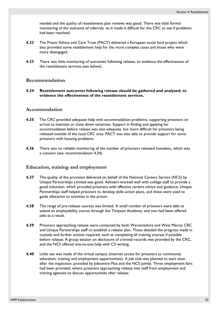needed and the quality of resettlement plan reviews was good. There was little formal monitoring of the outcome of referrals, so it made it difficult for the CRC to see if problems had been resolved.

- **4.32** The Prison Advice and Care Trust (PACT) delivered a European social fund project which also provided some resettlement help for the more complex cases and those who were more disengaged.
- **4.33** There was little monitoring of outcomes following release, to evidence the effectiveness of the resettlement services (see below).

### **Recommendation**

<span id="page-52-0"></span>**4.34 Resettlement outcomes following release should be gathered and analysed, to evidence the effectiveness of the resettlement services.** 

### **Accommodation**

- **4.35** The CRC provided adequate help with accommodation problems, supporting prisoners on arrival to maintain or close down tenancies. Support in finding and applying for accommodation before release was also adequate, but more difficult for prisoners being released outside of the local CRC area. PACT was also able to provide support for some prisoners with housing problems.
- **4.36** There was no reliable monitoring of the number of prisoners released homeless, which was a concern (see recommendation [4.34](#page-52-0))

### **Education, training and employment**

- **4.37** The quality of the provision delivered on behalf of the National Careers Service (NCS) by Unique Partnerships Limited was good. Advisers worked well with college staff to provide a good induction, which provided prisoners with effective careers advice and guidance. Unique Partnerships staff helped prisoners to develop skills action plans, and these were used to guide allocation to activities in the prison.
- **4.38** The range of pre-release courses was limited. A small number of prisoners were able to attend an employability course through the Timpson Academy, and two had been offered jobs as a result.
- **4.39** Prisoners approaching release were contacted by both Warwickshire and West Mercia CRC and Unique Partnerships staff to establish a release plan. These detailed the progress made in custody and further actions required, such as completing all training courses if possible before release. A group session on disclosure of criminal records was provided by the CRC, and the NCS offered one-to-one help with CV writing.
- **4.40** Little use was made of the virtual campus (internet access for prisoners to community education, training and employment opportunities). A job club was planned to start soon after the inspection, provided by Jobcentre Plus and the NCS jointly. Three employment fairs had been provided, where prisoners approaching release met staff from employment and training agencies to discuss opportunities after release.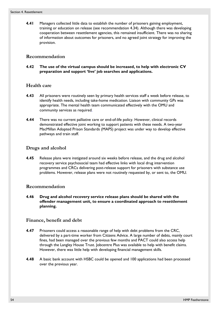**4.41** Managers collected little data to establish the number of prisoners gaining employment, training or education on release (see recommendation [4.34\)](#page-52-0). Although there was developing cooperation between resettlement agencies, this remained insufficient. There was no sharing of information about outcomes for prisoners, and no agreed joint strategy for improving the provision.

## **Recommendation**

<span id="page-53-0"></span>**4.42 The use of the virtual campus should be increased, to help with electronic CV preparation and support 'live' job searches and applications.**

### **Health care**

- **4.43** All prisoners were routinely seen by primary health services staff a week before release, to identify health needs, including take-home medication. Liaison with community GPs was appropriate. The mental health team communicated effectively with the OMU and community services as required.
- **4.44** There was no current palliative care or end-of-life policy. However, clinical records demonstrated effective joint working to support patients with these needs. A two-year MacMillan Adopted Prison Standards (MAPS) project was under way to develop effective pathways and train staff.

## **Drugs and alcohol**

**4.45** Release plans were instigated around six weeks before release, and the drug and alcohol recovery service psychosocial team had effective links with local drug intervention programmes and CRCs delivering post-release support for prisoners with substance use problems. However, release plans were not routinely requested by, or sent to, the OMU.

### **Recommendation**

<span id="page-53-1"></span>**4.46 Drug and alcohol recovery service release plans should be shared with the offender management unit, to ensure a coordinated approach to resettlement planning.**

### **Finance, benefit and debt**

- **4.47** Prisoners could access a reasonable range of help with debt problems from the CRC, delivered by a part-time worker from Citizens Advice. A large number of debts, mainly court fines, had been managed over the previous few months and PACT could also access help through the Langley House Trust. Jobcentre Plus was available to help with benefit claims. However, there was little help with developing financial management skills.
- **4.48** A basic bank account with HSBC could be opened and 100 applications had been processed over the previous year.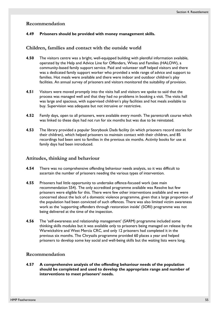### **Recommendation**

#### <span id="page-54-1"></span>**4.49 Prisoners should be provided with money management skills.**

### **Children, families and contact with the outside world**

- **4.50** The visitors centre was a bright, well-equipped building with plentiful information available, operated by the Help and Advice Line for Offenders, Wives and Families (HALOW), a community-based family support service. Paid and volunteer staff helped visitors and there was a dedicated family support worker who provided a wide range of advice and support to families. Hot meals were available and there were indoor and outdoor children's play facilities. An annual survey of prisoners and visitors monitored the suitability of provision.
- **4.51** Visitors were moved promptly into the visits hall and visitors we spoke to said that the process was managed well and that they had no problems in booking a visit. The visits hall was large and spacious, with supervised children's play facilities and hot meals available to buy. Supervision was adequate but not intrusive or restrictive.
- **4.52** Family days, open to all prisoners, were available every month. The parentcraft course which was linked to these days had not run for six months but was due to be reinstated.
- **4.53** The library provided a popular Storybook Dads facility (in which prisoners record stories for their children), which helped prisoners to maintain contact with their children, and 85 recordings had been sent to families in the previous six months. Activity books for use at family days had been introduced.

#### **Attitudes, thinking and behaviour**

- **4.54** There was no comprehensive offending behaviour needs analysis, so it was difficult to ascertain the number of prisoners needing the various types of intervention.
- **4.55** Prisoners had little opportunity to undertake offence-focused work (see main recommendation [S54](#page-17-1)). The only accredited programme available was Resolve but few prisoners were eligible for this. There were few other interventions available and we were concerned about the lack of a domestic violence programme, given that a large proportion of the population had been convicted of such offences. There was also limited victim awareness work as the 'supporting offenders through restoration inside' (SORI) programme was not being delivered at the time of the inspection.
- **4.56** The 'self-awareness and relationship management' (SARM) programme included some thinking skills modules but it was available only to prisoners being managed on release by the Warwickshire and West Mercia CRC, and only 12 prisoners had completed it in the previous six months. The Chrysalis programme provided 60 places a year and helped prisoners to develop some key social and well-being skills but the waiting lists were long.

### **Recommendation**

<span id="page-54-0"></span>**4.57 A comprehensive analysis of the offending behaviour needs of the population should be completed and used to develop the appropriate range and number of interventions to meet prisoners' needs.**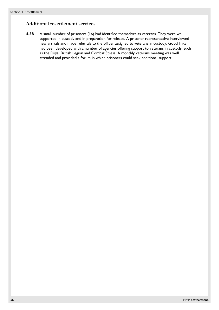# **Additional resettlement services**

**4.58** A small number of prisoners (16) had identified themselves as veterans. They were well supported in custody and in preparation for release. A prisoner representative interviewed new arrivals and made referrals to the officer assigned to veterans in custody. Good links had been developed with a number of agencies offering support to veterans in custody, such as the Royal British Legion and Combat Stress. A monthly veterans meeting was well attended and provided a forum in which prisoners could seek additional support.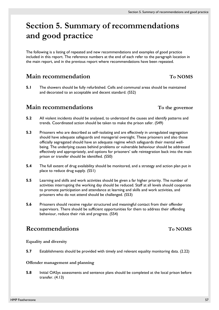# **Section 5. Summary of recommendations and good practice**

The following is a listing of repeated and new recommendations and examples of good practice included in this report. The reference numbers at the end of each refer to the paragraph location in the main report, and in the previous report where recommendations have been repeated.

# **Main recommendation** To NOMS

**5.1** The showers should be fully refurbished. Cells and communal areas should be maintained and decorated to an acceptable and decent standard. [\(S52](#page-17-2))

# **Main recommendations** To the governor

- **5.2** All violent incidents should be analysed, to understand the causes and identify patterns and trends. Coordinated action should be taken to make the prison safer. [\(S49](#page-16-0))
- **5.3** Prisoners who are described as self–isolating and are effectively in unregulated segregation should have adequate safeguards and managerial oversight. These prisoners and also those officially segregated should have an adequate regime which safeguards their mental wellbeing. The underlying causes behind problems or vulnerable behaviour should be addressed effectively and appropriately, and options for prisoners' safe reintegration back into the main prison or transfer should be identified. [\(S50](#page-16-1))
- **5.4** The full extent of drug availability should be monitored, and a strategy and action plan put in place to reduce drug supply. [\(S51](#page-17-3))
- **5.5** Learning and skills and work activities should be given a far higher priority. The number of activities interrupting the working day should be reduced. Staff at all levels should cooperate to promote participation and attendance at learning and skills and work activities, and prisoners who do not attend should be challenged. [\(S53](#page-17-0))
- **5.6** Prisoners should receive regular structured and meaningful contact from their offender supervisors. There should be sufficient opportunities for them to address their offending behaviour, reduce their risk and progress. [\(S54](#page-17-1))

# Recommendations To NOMS

### **Equality and diversity**

**5.7** Establishments should be provided with timely and relevant equality monitoring data. ([2.22\)](#page-31-0)

### **Offender management and planning**

**5.8** Initial OASys assessments and sentence plans should be completed at the local prison before transfer. ([4.13](#page-50-0))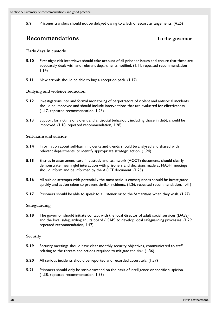**5.9** Prisoner transfers should not be delayed owing to a lack of escort arrangements. [\(4.25](#page-51-0))

# **Recommendations** To the governor

### **Early days in custody**

- **5.10** First night risk interviews should take account of all prisoner issues and ensure that these are adequately dealt with and relevant departments notified. [\(1.11](#page-19-1), repeated recommendation 1.14)
- **5.11** New arrivals should be able to buy a reception pack. [\(1.12](#page-19-0))

### **Bullying and violence reduction**

- **5.12** Investigations into and formal monitoring of perpetrators of violent and antisocial incidents should be improved and should include interventions that are evaluated for effectiveness. [\(1.17](#page-20-0), repeated recommendation, 1.26)
- **5.13** Support for victims of violent and antisocial behaviour, including those in debt, should be improved. [\(1.18](#page-20-1), repeated recommendation, 1.28)

### **Self-harm and suicide**

- **5.14** Information about self-harm incidents and trends should be analysed and shared with relevant departments, to identify appropriate strategic action. ([1.24\)](#page-21-0)
- **5.15** Entries in assessment, care in custody and teamwork (ACCT) documents should clearly demonstrate meaningful interaction with prisoners and decisions made at MASH meetings should inform and be informed by the ACCT document. [\(1.25](#page-21-1))
- **5.16** All suicide attempts with potentially the most serious consequences should be investigated quickly and action taken to prevent similar incidents. ([1.26,](#page-21-2) repeated recommendation, 1.41)
- **5.17** Prisoners should be able to speak to a Listener or to the Samaritans when they wish. ([1.27\)](#page-21-3)

### **Safeguarding**

**5.18** The governor should initiate contact with the local director of adult social services (DASS) and the local safeguarding adults board (LSAB) to develop local safeguarding processes. [\(1.29](#page-22-0), repeated recommendation, 1.47)

### **Security**

- **5.19** Security meetings should have clear monthly security objectives, communicated to staff, relating to the threats and actions required to mitigate the risk. [\(1.36\)](#page-23-0)
- **5.20** All serious incidents should be reported and recorded accurately. [\(1.37](#page-23-1))
- **5.21** Prisoners should only be strip-searched on the basis of intelligence or specific suspicion. [\(1.38](#page-23-2), repeated recommendation, 1.53)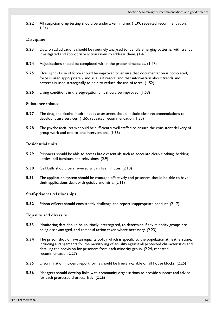**5.22** All suspicion drug testing should be undertaken in time. [\(1.39,](#page-23-3) repeated recommendation, 1.54)

### **Discipline**

- **5.23** Data on adjudications should be routinely analysed to identify emerging patterns, with trends investigated and appropriate action taken to address them. [\(1.46](#page-24-0))
- **5.24** Adjudications should be completed within the proper timescales. ([1.47\)](#page-24-1)
- **5.25** Oversight of use of force should be improved to ensure that documentation is completed, force is used appropriately and as a last resort, and that information about trends and patterns is used strategically to help to reduce the use of force. [\(1.52](#page-25-0))
- **5.26** Living conditions in the segregation unit should be improved. ([1.59\)](#page-26-0)

### **Substance misuse**

- **5.27** The drug and alcohol health needs assessment should include clear recommendations to develop future services. [\(1.65](#page-26-1), repeated recommendation, 1.85)
- **5.28** The psychosocial team should be sufficiently well staffed to ensure the consistent delivery of group work and one-to-one interventions. ([1.66\)](#page-26-2)

### **Residential units**

- **5.29** Prisoners should be able to access basic essentials such as adequate clean clothing, bedding, kettles, cell furniture and televisions. [\(2.9\)](#page-29-0)
- **5.30** Cell bells should be answered within five minutes. ([2.10](#page-29-1))
- **5.31** The application system should be managed effectively and prisoners should be able to have their applications dealt with quickly and fairly. [\(2.11](#page-29-2))

#### **Staff-prisoner relationships**

**5.32** Prison officers should consistently challenge and report inappropriate conduct. [\(2.17](#page-30-0))

#### **Equality and diversity**

- **5.33** Monitoring data should be routinely interrogated, to determine if any minority groups are being disadvantaged, and remedial action taken where necessary. ([2.23\)](#page-31-1)
- **5.34** The prison should have an equality policy which is specific to the population at Featherstone, including arrangements for the monitoring of equality against all protected characteristics and detailing the provision for prisoners from each minority group. [\(2.24](#page-31-2), repeated recommendation 2.27)
- **5.35** Discrimination incident report forms should be freely available on all house blocks. ([2.25\)](#page-31-3)
- **5.36** Managers should develop links with community organisations to provide support and advice for each protected characteristic. [\(2.26](#page-31-4))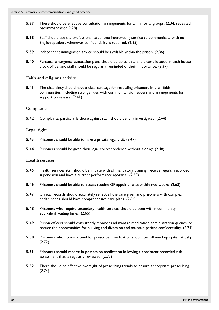- **5.37** There should be effective consultation arrangements for all minority groups. [\(2.34](#page-32-1), repeated recommendation 2.28)
- **5.38** Staff should use the professional telephone interpreting service to communicate with non-English speakers whenever confidentiality is required. ([2.35\)](#page-32-2)
- **5.39** Independent immigration advice should be available within the prison. [\(2.36](#page-32-3))
- **5.40** Personal emergency evacuation plans should be up to date and clearly located in each house block office, and staff should be regularly reminded of their importance. ([2.37\)](#page-32-4)

**Faith and religious activity** 

**5.41** The chaplaincy should have a clear strategy for resettling prisoners in their faith communities, including stronger ties with community faith leaders and arrangements for support on release. ([2.41\)](#page-33-0)

#### **Complaints**

**5.42** Complaints, particularly those against staff, should be fully investigated. [\(2.44](#page-33-1))

#### **Legal rights**

- **5.43** Prisoners should be able to have a private legal visit. ([2.47\)](#page-34-0)
- **5.44** Prisoners should be given their legal correspondence without a delay. ([2.48](#page-34-1))

#### **Health services**

- **5.45** Health services staff should be in date with all mandatory training, receive regular recorded supervision and have a current performance appraisal. [\(2.58](#page-35-0))
- **5.46** Prisoners should be able to access routine GP appointments within two weeks. [\(2.63](#page-36-0))
- **5.47** Clinical records should accurately reflect all the care given and prisoners with complex health needs should have comprehensive care plans. ([2.64\)](#page-36-1)
- **5.48** Prisoners who require secondary health services should be seen within communityequivalent waiting times. [\(2.65](#page-36-2))
- **5.49** Prison officers should consistently monitor and manage medication administration queues, to reduce the opportunities for bullying and diversion and maintain patient confidentiality. [\(2.71](#page-37-0))
- **5.50** Prisoners who do not attend for prescribed medication should be followed up systematically. [\(2.72](#page-37-1))
- **5.51** Prisoners should receive in-possession medication following a consistent recorded risk assessment that is regularly reviewed. [\(2.73](#page-37-2))
- **5.52** There should be effective oversight of prescribing trends to ensure appropriate prescribing. [\(2.74](#page-37-3))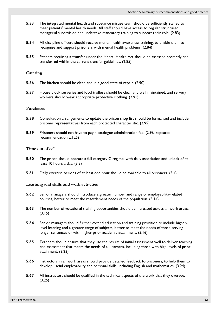- **5.53** The integrated mental health and substance misuse team should be sufficiently staffed to meet patients' mental health needs. All staff should have access to regular structured managerial supervision and undertake mandatory training to support their role. ([2.83\)](#page-38-0)
- **5.54** All discipline officers should receive mental health awareness training, to enable them to recognise and support prisoners with mental health problems. ([2.84\)](#page-38-1)
- **5.55** Patients requiring a transfer under the Mental Health Act should be assessed promptly and transferred within the current transfer guidelines. [\(2.85](#page-38-2))

### **Catering**

- **5.56** The kitchen should be clean and in a good state of repair. ([2.90\)](#page-39-0)
- **5.57** House block serveries and food trolleys should be clean and well maintained, and servery workers should wear appropriate protective clothing. [\(2.91\)](#page-39-1)

#### **Purchases**

- **5.58** Consultation arrangements to update the prison shop list should be formalised and include prisoner representatives from each protected characteristic. [\(2.95](#page-40-0))
- **5.59** Prisoners should not have to pay a catalogue administration fee. [\(2.96](#page-40-1), repeated recommendation 2.125)

#### **Time out of cell**

- **5.60** The prison should operate a full category C regime, with daily association and unlock of at least 10 hours a day. ([3.3](#page-42-1))
- **5.61** Daily exercise periods of at least one hour should be available to all prisoners. ([3.4\)](#page-42-2)

#### **Learning and skills and work activities**

- **5.62** Senior managers should introduce a greater number and range of employability-related courses, better to meet the resettlement needs of the population. [\(3.14](#page-44-0))
- **5.63** The number of vocational training opportunities should be increased across all work areas. [\(3.15](#page-44-1))
- **5.64** Senior managers should further extend education and training provision to include higherlevel learning and a greater range of subjects, better to meet the needs of those serving longer sentences or with higher prior academic attainment. ([3.16\)](#page-44-2)
- **5.65** Teachers should ensure that they use the results of initial assessment well to deliver teaching and assessment that meets the needs of all learners, including those with high levels of prior attainment. [\(3.23](#page-45-0))
- **5.66** Instructors in all work areas should provide detailed feedback to prisoners, to help them to develop useful employability and personal skills, including English and mathematics. [\(3.24](#page-45-1))
- **5.67** All instructors should be qualified in the technical aspects of the work that they oversee. [\(3.25](#page-45-2))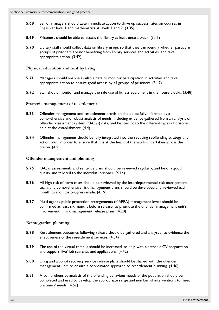- **5.68** Senior managers should take immediate action to drive up success rates on courses in English at level 1 and mathematics at levels 1 and 2. ([3.35\)](#page-46-0)
- **5.69** Prisoners should be able to access the library at least once a week. ([3.41\)](#page-47-0)
- **5.70** Library staff should collect data on library usage, so that they can identify whether particular groups of prisoners are not benefiting from library services and activities, and take appropriate action. ([3.42\)](#page-47-1)

# **Physical education and healthy living**

- **5.71** Managers should analyse available data to monitor participation in activities and take appropriate action to ensure good access by all groups of prisoners. ([3.47\)](#page-47-2)
- **5.72** Staff should monitor and manage the safe use of fitness equipment in the house blocks. ([3.48\)](#page-47-3)

# **Strategic management of resettlement**

- **5.73** Offender management and resettlement provision should be fully informed by a comprehensive and robust analysis of needs, including evidence gathered from an analysis of offender assessment system (OASys) data, and be specific to the different types of prisoner held at the establishment. [\(4.4\)](#page-48-0)
- **5.74** Offender management should be fully integrated into the reducing reoffending strategy and action plan, in order to ensure that it is at the heart of the work undertaken across the prison. ([4.5](#page-48-1))

# **Offender management and planning**

- **5.75** OASys assessments and sentence plans should be reviewed regularly, and be of a good quality and tailored to the individual prisoner. ([4.14\)](#page-50-1)
- **5.76** All high risk of harm cases should be reviewed by the interdepartmental risk management team, and comprehensive risk management plans should be developed and reviewed each month to monitor progress made. [\(4.19](#page-50-2))
- **5.77** Multi-agency public protection arrangements (MAPPA) management levels should be confirmed at least six months before release, to promote the offender management unit's involvement in risk management release plans. ([4.20](#page-50-3))

# **Reintegration planning**

- **5.78** Resettlement outcomes following release should be gathered and analysed, to evidence the effectiveness of the resettlement services. ([4.34\)](#page-52-0)
- **5.79** The use of the virtual campus should be increased, to help with electronic CV preparation and support 'live' job searches and applications. ([4.42](#page-53-0))
- **5.80** Drug and alcohol recovery service release plans should be shared with the offender management unit, to ensure a coordinated approach to resettlement planning. ([4.46\)](#page-53-1)
- **5.81** A comprehensive analysis of the offending behaviour needs of the population should be completed and used to develop the appropriate range and number of interventions to meet prisoners' needs. ([4.57\)](#page-54-0)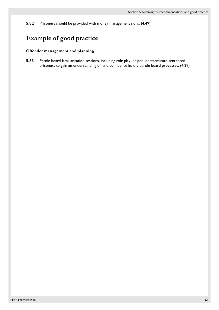**5.82** Prisoners should be provided with money management skills. ([4.49\)](#page-54-1)

# **Example of good practice**

### **Offender management and planning**

**5.83** Parole board familiarisation sessions, including role play, helped indeterminate-sentenced prisoners to gain an understanding of, and confidence in, the parole board processes. [\(4.29](#page-51-1))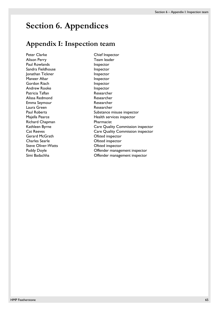# **Section 6. Appendices**

# **Appendix I: Inspection team**

Peter Clarke Chief Inspector Alison Perry Team leader Paul Rowlands **Inspector** Sandra Fieldhouse **Inspector** Jonathan Tickner **Inspector** Maneer Afsar **Inspector** Inspector Gordon Riach **Inspector** Inspector Andrew Rooke Inspector Patricia Taflan **Researcher** Researcher Alissa Redmond **Researcher** Emma Seymour **Researcher** Laura Green and the Cause Researcher Richard Chapman **Pharmacist** Gerard McGrath **Canadian Construction** Ofsted inspector Charles Searle **Charles** Searle **Charles** Searle Steve Oliver-Watts **CERNATE:** Ofsted inspector

Paul Roberts **Paul Roberts** Substance misuse inspector Majella Pearce **Health services** inspector Kathleen Byrne **Care Quality Commission inspector** Cat Reeves **Care Quality Commission inspector** Paddy Doyle **Communist Communist Communist Communist Communist Communist Communist Communist Communist Communist Communist Communist Communist Communist Communist Communist Communist Communist Communist Communist Communist** Simi Badachha Offender management inspector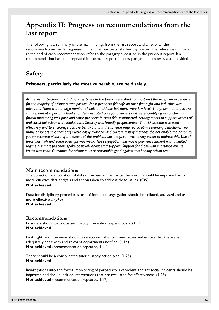# **Appendix II: Progress on recommendations from the last report**

The following is a summary of the main findings from the last report and a list of all the recommendations made, organised under the four tests of a healthy prison. The reference numbers at the end of each recommendation refer to the paragraph location in the previous report. If a recommendation has been repeated in the main report, its new paragraph number is also provided.

# **Safety**

**Prisoners, particularly the most vulnerable, are held safely.** 

*At the last inspection, in 2013, journey times to the prison were short for most and the reception experience for the majority of prisoners was positive. Most prisoners felt safe on their first night and induction was adequate. There were a large number of violent incidents but many were low level. The prison had a positive culture, and at a personal level staff demonstrated care for prisoners and were identifying risk factors; but formal monitoring was poor and some prisoners in crisis felt unsupported. Arrangements to support victims of anti-social behaviour were inadequate. Security was broadly proportionate. The IEP scheme was used effectively and to encourage positive behaviour, but the scheme required scrutiny regarding demotions. Too many prisoners said that drugs were easily available and current testing methods did not enable the prison to get an accurate picture of the extent of the problem, but the prison was taking action to address this. Use of force was high and some oversight was weak. The segregation unit was a poor environment with a limited regime but most prisoners spoke positively about staff support. Support for those with substance misuse issues was good. Outcomes for prisoners were reasonably good against this healthy prison test.* 

### **Main recommendations**

The collection and collation of data on violent and antisocial behaviour should be improved, with more effective data analysis and action taken to address these issues. (S39) **Not achieved** 

Data for disciplinary procedures, use of force and segregation should be collated, analysed and used more effectively. (S40) **Not achieved**

### **Recommendations**

Prisoners should be processed through reception expeditiously. (1.13) **Not achieved** 

First night risk interviews should take account of all prisoner issues and ensure that these are adequately dealt with and relevant departments notified. (1.14) **Not achieved** (recommendation repeated, 1.11)

There should be a consolidated safer custody action plan. (1.25) **Not achieved** 

Investigations into and formal monitoring of perpetrators of violent and antisocial incidents should be improved and should include interventions that are evaluated for effectiveness. (1.26) **Not achieved** (recommendation repeated, 1.17)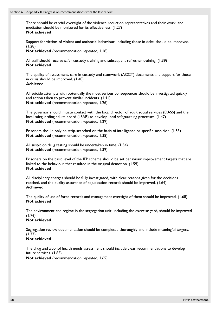There should be careful oversight of the violence reduction representatives and their work, and mediation should be monitored for its effectiveness. (1.27) **Not achieved** 

Support for victims of violent and antisocial behaviour, including those in debt, should be improved. (1.28)

**Not achieved** (recommendation repeated, 1.18)

All staff should receive safer custody training and subsequent refresher training. (1.39) **Not achieved**

The quality of assessment, care in custody and teamwork (ACCT) documents and support for those in crisis should be improved. (1.40) **Achieved** 

All suicide attempts with potentially the most serious consequences should be investigated quickly and action taken to prevent similar incidents. (1.41) **Not achieved** (recommendation repeated, 1.26)

The governor should initiate contact with the local director of adult social services (DASS) and the local safeguarding adults board (LSAB) to develop local safeguarding processes. (1.47) **Not achieved** (recommendation repeated, 1.29)

Prisoners should only be strip-searched on the basis of intelligence or specific suspicion. (1.53) **Not achieved** (recommendation repeated, 1.38)

All suspicion drug testing should be undertaken in time. (1.54) **Not achieved** (recommendation repeated, 1.39)

Prisoners on the basic level of the IEP scheme should be set behaviour improvement targets that are linked to the behaviour that resulted in the original demotion. (1.59) **Not achieved** 

All disciplinary charges should be fully investigated, with clear reasons given for the decisions reached, and the quality assurance of adjudication records should be improved. (1.64) **Achieved** 

The quality of use of force records and management oversight of them should be improved. (1.68) **Not achieved** 

The environment and regime in the segregation unit, including the exercise yard, should be improved. (1.76)

### **Not achieved**

Segregation review documentation should be completed thoroughly and include meaningful targets.  $(1.77)$ 

### **Not achieved**

The drug and alcohol health needs assessment should include clear recommendations to develop future services. (1.85) **Not achieved** (recommendation repeated, 1.65)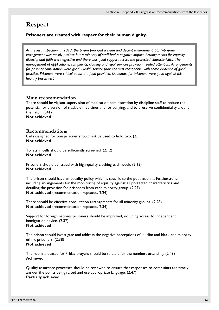# **Respect**

### **Prisoners are treated with respect for their human dignity.**

*At the last inspection, in 2013, the prison provided a clean and decent environment. Staff–prisoner engagement was mostly positive but a minority of staff had a negative impact. Arrangements for equality, diversity and faith were effective and there was good support across the protected characteristics. The management of applications, complaints, clothing and legal services provision needed attention. Arrangements for prisoner consultation were good. Health service provision was reasonable, with some evidence of good practice. Prisoners were critical about the food provided. Outcomes for prisoners were good against this healthy prison test.* 

### **Main recommendation**

There should be vigilant supervision of medication administration by discipline staff to reduce the potential for diversion of tradable medicines and for bullying, and to preserve confidentiality around the hatch. (S41) **Not achieved**

### **Recommendations**

Cells designed for one prisoner should not be used to hold two. (2.11) **Not achieved** 

Toilets in cells should be sufficiently screened. (2.12) **Not achieved** 

Prisoners should be issued with high-quality clothing each week. (2.13) **Not achieved** 

The prison should have an equality policy which is specific to the population at Featherstone, including arrangements for the monitoring of equality against all protected characteristics and detailing the provision for prisoners from each minority group. (2.27) **Not achieved** (recommendation repeated, 2.24)

There should be effective consultation arrangements for all minority groups. (2.28) **Not achieved** (recommendation repeated, 2.34)

Support for foreign national prisoners should be improved, including access to independent immigration advice. (2.37) **Not achieved** 

The prison should investigate and address the negative perceptions of Muslim and black and minority ethnic prisoners. (2.38) **Not achieved** 

The room allocated for Friday prayers should be suitable for the numbers attending. (2.43) **Achieved** 

Quality assurance processes should be reviewed to ensure that responses to complaints are timely, answer the points being raised and use appropriate language. (2.47) **Partially achieved**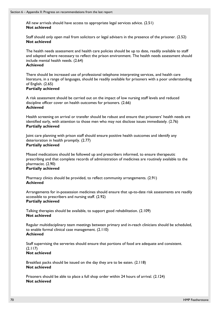All new arrivals should have access to appropriate legal services advice. (2.51) **Not achieved** 

Staff should only open mail from solicitors or legal advisers in the presence of the prisoner. (2.52) **Not achieved** 

The health needs assessment and health care policies should be up to date, readily available to staff and adapted where necessary to reflect the prison environment. The health needs assessment should include mental health needs. (2.64)

### **Achieved**

There should be increased use of professional telephone interpreting services, and health care literature, in a range of languages, should be readily available for prisoners with a poor understanding of English. (2.65)

#### **Partially achieved**

A risk assessment should be carried out on the impact of low nursing staff levels and reduced discipline officer cover on health outcomes for prisoners. (2.66) **Achieved** 

Health screening on arrival or transfer should be robust and ensure that prisoners' health needs are identified early, with attention to those men who may not disclose issues immediately. (2.76) **Partially achieved** 

Joint care planning with prison staff should ensure positive health outcomes and identify any deterioration in health promptly.  $(2.77)$ **Partially achieved**

### Missed medications should be followed up and prescribers informed, to ensure therapeutic prescribing and that complete records of administration of medicines are routinely available to the pharmacist. (2.90)

### **Partially achieved**

Pharmacy clinics should be provided, to reflect community arrangements. (2.91) **Achieved** 

Arrangements for in-possession medicines should ensure that up-to-date risk assessments are readily accessible to prescribers and nursing staff. (2.92) **Partially achieved**

Talking therapies should be available, to support good rehabilitation. (2.109) **Not achieved** 

Regular multidisciplinary team meetings between primary and in-reach clinicians should be scheduled, to enable formal clinical case management. (2.110) **Achieved** 

Staff supervising the serveries should ensure that portions of food are adequate and consistent. (2.117) **Not achieved** 

Breakfast packs should be issued on the day they are to be eaten. (2.118) **Not achieved** 

Prisoners should be able to place a full shop order within 24 hours of arrival. (2.124) **Not achieved**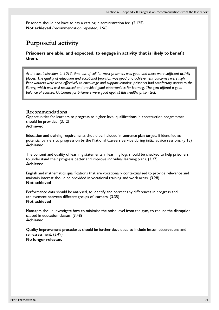Prisoners should not have to pay a catalogue administration fee. (2.125) **Not achieved** (recommendation repeated, 2.96)

# **Purposeful activity**

**Prisoners are able, and expected, to engage in activity that is likely to benefit them.** 

*At the last inspection, in 2013, time out of cell for most prisoners was good and there were sufficient activity places. The quality of education and vocational provision was good and achievement outcomes were high. Peer workers were used effectively to encourage and support learning. prisoners had satisfactory access to the library, which was well resourced and provided good opportunities for learning. The gym offered a good balance of courses. Outcomes for prisoners were good against this healthy prison test.* 

### **Recommendations**

Opportunities for learners to progress to higher-level qualifications in construction programmes should be provided. (3.12)

### **Achieved**

Education and training requirements should be included in sentence plan targets if identified as potential barriers to progression by the National Careers Service during initial advice sessions. (3.13) **Achieved** 

The content and quality of learning statements in learning logs should be checked to help prisoners to understand their progress better and improve individual learning plans. (3.27) **Achieved** 

English and mathematics qualifications that are vocationally contextualised to provide relevance and maintain interest should be provided in vocational training and work areas. (3.28) **Not achieved** 

Performance data should be analysed, to identify and correct any differences in progress and achievement between different groups of learners. (3.35) **Not achieved** 

Managers should investigate how to minimise the noise level from the gym, to reduce the disruption caused in education classes. (3.48) **Achieved** 

Quality improvement procedures should be further developed to include lesson observations and self-assessment. (3.49) **No longer relevant**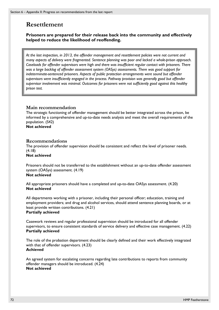# **Resettlement**

**Prisoners are prepared for their release back into the community and effectively helped to reduce the likelihood of reoffending.** 

*At the last inspection, in 2013, the offender management and resettlement policies were not current and many aspects of delivery were fragmented. Sentence planning was poor and lacked a whole-prison approach. Caseloads for offender supervisors were high and there was insufficient regular contact with prisoners. There was a large backlog of offender assessment system (OASys) assessments. There was good support for indeterminate-sentenced prisoners. Aspects of public protection arrangements were sound but offender supervisors were insufficiently engaged in the process. Pathway provision was generally good but offender supervisor involvement was minimal. Outcomes for prisoners were not sufficiently good against this healthy prison test.* 

## **Main recommendation**

The strategic functioning of offender management should be better integrated across the prison, be informed by a comprehensive and up-to-date needs analysis and meet the overall requirements of the population. (S42)

**Not achieved** 

### **Recommendations**

The provision of offender supervision should be consistent and reflect the level of prisoner needs. (4.18)

**Not achieved** 

Prisoners should not be transferred to the establishment without an up-to-date offender assessment system (OASys) assessment. (4.19) **Not achieved** 

All appropriate prisoners should have a completed and up-to-date OASys assessment. (4.20) **Not achieved** 

All departments working with a prisoner, including their personal officer; education, training and employment providers; and drug and alcohol services, should attend sentence planning boards, or at least provide written contributions. (4.21) **Partially achieved** 

Casework reviews and regular professional supervision should be introduced for all offender supervisors, to ensure consistent standards of service delivery and effective case management. (4.22) **Partially achieved** 

The role of the probation department should be clearly defined and their work effectively integrated with that of offender supervisors. (4.23) **Achieved** 

An agreed system for escalating concerns regarding late contributions to reports from community offender managers should be introduced. (4.24) **Not achieved**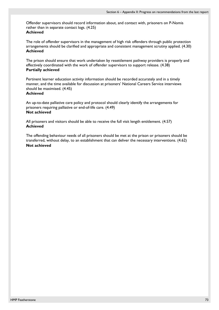Offender supervisors should record information about, and contact with, prisoners on P-Nomis rather than in separate contact logs. (4.25) **Achieved** 

The role of offender supervisors in the management of high risk offenders through public protection arrangements should be clarified and appropriate and consistent management scrutiny applied. (4.30) **Achieved** 

The prison should ensure that work undertaken by resettlement pathway providers is properly and effectively coordinated with the work of offender supervisors to support release. (4.38) **Partially achieved** 

Pertinent learner education activity information should be recorded accurately and in a timely manner, and the time available for discussion at prisoners' National Careers Service interviews should be maximised. (4.45)

### **Achieved**

An up-to-date palliative care policy and protocol should clearly identify the arrangements for prisoners requiring palliative or end-of-life care. (4.49) **Not achieved**

All prisoners and visitors should be able to receive the full visit length entitlement. (4.57) **Achieved** 

The offending behaviour needs of all prisoners should be met at the prison or prisoners should be transferred, without delay, to an establishment that can deliver the necessary interventions. (4.62) **Not achieved**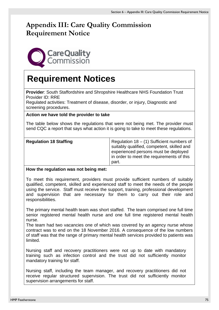## **Appendix III: Care Quality Commission Requirement Notice**



# **Requirement Notices**

**Provider**: South Staffordshire and Shropshire Healthcare NHS Foundation Trust Provider ID: RRE

Regulated activities: Treatment of disease, disorder, or injury, Diagnostic and screening procedures.

## **Action we have told the provider to take**

The table below shows the regulations that were not being met. The provider must send CQC a report that says what action it is going to take to meet these regulations.

| <b>Regulation 18 Staffing</b> | Regulation $18 - (1)$ Sufficient numbers of<br>suitably qualified, competent, skilled and<br>experienced persons must be deployed<br>in order to meet the requirements of this<br>part. |
|-------------------------------|-----------------------------------------------------------------------------------------------------------------------------------------------------------------------------------------|
|-------------------------------|-----------------------------------------------------------------------------------------------------------------------------------------------------------------------------------------|

## **How the regulation was not being met:**

To meet this requirement, providers must provide sufficient numbers of suitably qualified, competent, skilled and experienced staff to meet the needs of the people using the service. Staff must receive the support, training, professional development and supervision that are necessary for them to carry out their role and responsibilities.

The primary mental health team was short staffed. The team comprised one full time senior registered mental health nurse and one full time registered mental health nurse.

The team had two vacancies one of which was covered by an agency nurse whose contract was to end on the 18 November 2016. A consequence of the low numbers of staff was that the range of primary mental health services provided to patients was limited.

Nursing staff and recovery practitioners were not up to date with mandatory training such as infection control and the trust did not sufficiently monitor mandatory training for staff.

Nursing staff, including the team manager, and recovery practitioners did not receive regular structured supervision. The trust did not sufficiently monitor supervision arrangements for staff.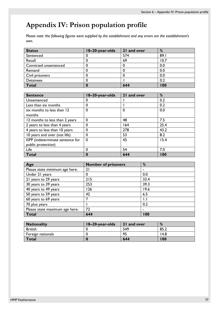## **Appendix IV: Prison population profile**

*Please note: the following figures were supplied by the establishment and any errors are the establishment's own.*

| <b>Status</b>         | 18-20-year-olds | 21 and over | %    |
|-----------------------|-----------------|-------------|------|
| Sentenced             | u               | 574         | 89.1 |
| Recall                |                 | 69          | 10.7 |
| Convicted unsentenced |                 |             | 0.0  |
| Remand                |                 |             | 0.0  |
| Civil prisoners       |                 |             | 0.0  |
| <b>Detainees</b>      |                 |             | 0.2  |
| <b>Total</b>          |                 | 644         | 100  |

| <b>Sentence</b>                  | 18-20-year-olds | 21 and over | %    |
|----------------------------------|-----------------|-------------|------|
| Unsentenced                      |                 |             | 0.2  |
| Less than six months             | 0               |             | 0.2  |
| six months to less than 12       | $\mathbf{0}$    | 0           | 0.0  |
| months                           |                 |             |      |
| 12 months to less than 2 years   | $\Omega$        | 48          | 7.5  |
| 2 years to less than 4 years     | 0               | 164         | 25.4 |
| 4 years to less than 10 years    | 0               | 278         | 43.2 |
| 10 years and over (not life)     | 0               | 53          | 8.2  |
| ISPP (indeterminate sentence for | $\Omega$        | 45          | 15.4 |
| public protection)               |                 |             |      |
| Life                             | 0               | 54          | 7.0  |
| Total                            | 0               | 644         | 100  |

| Age                            | <b>Number of prisoners</b> | %              |
|--------------------------------|----------------------------|----------------|
| Please state minimum age here: | 21                         | $\blacksquare$ |
| Under 21 years                 | 0                          | 0.0            |
| 21 years to 29 years           | 215                        | 33.4           |
| 30 years to 39 years           | 253                        | 39.3           |
| 40 years to 49 years           | 126                        | 19.6           |
| 50 years to 59 years           | 42                         | 6.5            |
| 60 years to 69 years           |                            | $\mathsf{L}$   |
| 70 plus years                  |                            | 0.2            |
| Please state maximum age here: | 72                         | ٠              |
| <b>Total</b>                   | 644                        | 100            |

| <b>Nationality</b> | 18-20-year-olds | 21 and over | %    |
|--------------------|-----------------|-------------|------|
| <b>British</b>     |                 | 549         | 85.2 |
| Foreign nationals  |                 | 95          | 14.8 |
| Total              |                 | 644         | 100  |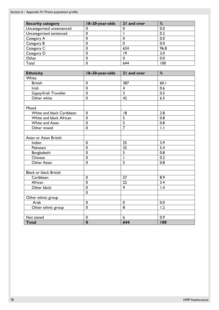| <b>Security category</b>  | 18-20-year-olds | 21 and over | %    |
|---------------------------|-----------------|-------------|------|
| Uncategorised unsentenced |                 |             | 0.0  |
| Uncategorised sentenced   |                 |             | 0.2  |
| Category A                |                 |             | 0.0  |
| Category B                |                 |             | 0.0  |
| Category C                |                 | 624         | 96.8 |
| Category D                |                 | ۱9          | 3.0  |
| Other                     |                 |             | 0.0  |
| Total                     |                 | 644         | 100  |

| <b>Ethnicity</b>              | 18-20-year-olds | 21 and over             | %           |
|-------------------------------|-----------------|-------------------------|-------------|
| White                         |                 |                         |             |
| <b>British</b>                | $\mathbf 0$     | 387                     | 60.1        |
| Irish                         | $\mathbf 0$     | $\overline{\mathbf{4}}$ | 0.6         |
| Gypsy/Irish Traveller         | $\mathbf 0$     | $\overline{\mathbf{3}}$ | 0.5         |
| Other white                   | $\mathbf 0$     | 42                      | 6.5         |
|                               |                 |                         |             |
| Mixed                         |                 |                         |             |
| White and black Caribbean     | $\mathbf 0$     | 8                       | 2.8         |
| White and black African       | $\mathbf 0$     | 5                       | 0.8         |
| White and Asian               | $\mathbf 0$     | $\overline{5}$          | 0.8         |
| Other mixed                   | $\mathbf 0$     | $\overline{7}$          | $  \cdot  $ |
|                               |                 |                         |             |
| Asian or Asian British        |                 |                         |             |
| Indian                        | $\mathbf 0$     | 25                      | 3.9         |
| Pakistani                     | $\mathbf 0$     | 35                      | 5.4         |
| Bangladeshi                   | $\mathbf 0$     | $\overline{5}$          | 0.8         |
| Chinese                       | $\mathbf 0$     |                         | 0.2         |
| Other Asian                   | $\mathbf 0$     | 5                       | 0.8         |
|                               |                 |                         |             |
| <b>Black or black British</b> |                 |                         |             |
| Caribbean                     | $\mathbf 0$     | 57                      | 8.9         |
| African                       | $\mathbf 0$     | 22                      | 3.4         |
| Other black                   | $\mathbf 0$     | 9                       | 1.4         |
|                               | $\mathbf 0$     |                         |             |
| Other ethnic group            |                 |                         |             |
| Arab                          | $\mathbf 0$     | $\mathbf 0$             | 0.0         |
| Other ethnic group            | $\mathbf 0$     | 8                       | 1.2         |
|                               |                 |                         |             |
| Not stated                    | $\mathbf 0$     | 6                       | 0.9         |
| <b>Total</b>                  | $\bf{0}$        | 644                     | 100         |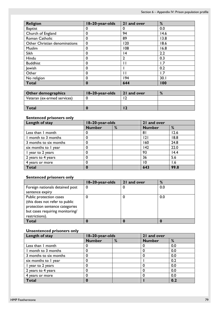| <b>Religion</b>               | 18-20-year-olds | 21 and over | %    |
|-------------------------------|-----------------|-------------|------|
| <b>Baptist</b>                | 0               | 0           | 0.0  |
| Church of England             | 0               | 94          | 14.6 |
| Roman Catholic                | 0               | 89          | 13.8 |
| Other Christian denominations | 0               | 120         | 18.6 |
| Muslim                        | 0               | 108         | 16.8 |
| Sikh                          | 0               | 14          | 2.2  |
| Hindu                         | 0               | C           | 0.3  |
| <b>Buddhist</b>               | 0               | Ħ           | 1.7  |
| <b>Jewish</b>                 | 0               |             | 0.2  |
| Other                         | 0               |             | l.7  |
| No religion                   | 0               | 194         | 30.1 |
| <b>Total</b>                  | 0               | 644         | 100  |

| Other demographics          | 18-20-year-olds | 21 and over | % |
|-----------------------------|-----------------|-------------|---|
| Veteran (ex-armed services) |                 |             |   |
|                             |                 |             |   |
| Total                       |                 |             |   |

## **Sentenced prisoners only**

| Length of stay         | 18-20-year-olds |   | 21 and over   |      |
|------------------------|-----------------|---|---------------|------|
|                        | <b>Number</b>   | % | <b>Number</b> | %    |
| Less than I month      |                 |   | 81            | 12.6 |
| I month to 3 months    |                 |   | 2             | 18.8 |
| 3 months to six months |                 |   | 160           | 24.8 |
| six months to I year   |                 |   | 142           | 22.0 |
| I year to 2 years      |                 |   | 93            | 14.4 |
| 2 years to 4 years     |                 |   | 36            | 5.6  |
| 4 years or more        |                 |   | 10            | 1.6  |
| <b>Total</b>           |                 |   | 643           | 99.8 |

## **Sentenced prisoners only**

|                                 | 18-20-year-olds | 21 and over | %   |
|---------------------------------|-----------------|-------------|-----|
| Foreign nationals detained post |                 |             | 0.0 |
| sentence expiry                 |                 |             |     |
| Public protection cases         |                 |             | 0.0 |
| (this does not refer to public  |                 |             |     |
| protection sentence categories  |                 |             |     |
| but cases requiring monitoring/ |                 |             |     |
| restrictions).                  |                 |             |     |
| <b>Total</b>                    |                 |             |     |

### **Unsentenced prisoners only**

| Length of stay         | 18-20-year-olds |   | 21 and over   |     |
|------------------------|-----------------|---|---------------|-----|
|                        | <b>Number</b>   | % | <b>Number</b> | %   |
| Less than I month      |                 |   | O             | 0.0 |
| I month to 3 months    |                 |   |               | 0.0 |
| 3 months to six months |                 |   |               | 0.0 |
| six months to I year   |                 |   |               | 0.2 |
| year to 2 years        |                 |   |               | 0.0 |
| 2 years to 4 years     |                 |   | 0             | 0.0 |
| 4 years or more        |                 |   |               | 0.0 |
| Total                  |                 |   |               | 0.2 |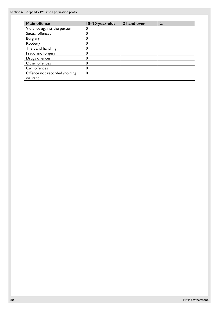| <b>Main offence</b>           | 18-20-year-olds | 21 and over | % |
|-------------------------------|-----------------|-------------|---|
| Violence against the person   | O               |             |   |
| Sexual offences               | 0               |             |   |
| <b>Burglary</b>               | 0               |             |   |
| Robbery                       | 0               |             |   |
| Theft and handling            | 0               |             |   |
| Fraud and forgery             | 0               |             |   |
| Drugs offences                |                 |             |   |
| Other offences                |                 |             |   |
| Civil offences                |                 |             |   |
| Offence not recorded /holding | 0               |             |   |
| warrant                       |                 |             |   |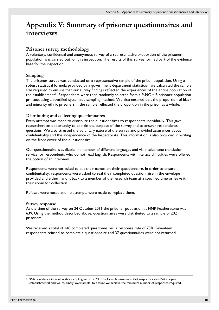## **Appendix V: Summary of prisoner questionnaires and interviews**

### **Prisoner survey methodology**

A voluntary, confidential and anonymous survey of a representative proportion of the prisoner population was carried out for this inspection. The results of this survey formed part of the evidence base for the inspection.

#### **Sampling**

The prisoner survey was conducted on a representative sample of the prison population. Using a robust statistical formula provided by a government department statistician we calculated the sample size required to ensure that our survey findings reflected the experiences of the entire population of the establishment<sup>[9](#page-80-0)</sup>. Respondents were then randomly selected from a P-NOMIS prisoner population printout using a stratified systematic sampling method. We also ensured that the proportion of black and minority ethnic prisoners in the sample reflected the proportion in the prison as a whole.

#### **Distributing and collecting questionnaires**

Every attempt was made to distribute the questionnaires to respondents individually. This gave researchers an opportunity to explain the purpose of the survey and to answer respondents' questions. We also stressed the voluntary nature of the survey and provided assurances about confidentiality and the independence of the Inspectorate. This information is also provided in writing on the front cover of the questionnaire.

Our questionnaire is available in a number of different languages and via a telephone translation service for respondents who do not read English. Respondents with literacy difficulties were offered the option of an interview.

Respondents were not asked to put their names on their questionnaire. In order to ensure confidentiality, respondents were asked to seal their completed questionnaire in the envelope provided and either hand it back to a member of the research team at a specified time or leave it in their room for collection.

Refusals were noted and no attempts were made to replace them.

#### **Survey response**

At the time of the survey on 24 October 2016 the prisoner population at HMP Featherstone was 639. Using the method described above, questionnaires were distributed to a sample of 202 prisoners.

We received a total of 148 completed questionnaires, a response rate of 73%. Seventeen respondents refused to complete a questionnaire and 37 questionnaires were not returned.

<span id="page-80-0"></span>9 95% confidence interval with a sampling error of 7%. The formula assumes a 75% response rate (65% in open establishments) and we routinely 'oversample' to ensure we achieve the minimum number of responses required.

 $\overline{a}$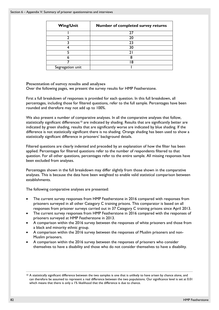| <b>Wing/Unit</b> | <b>Number of completed survey returns</b> |
|------------------|-------------------------------------------|
|                  |                                           |
|                  | 20                                        |
|                  | 23                                        |
|                  | 30                                        |
|                  |                                           |
|                  |                                           |
|                  | 8                                         |
| Segregation unit |                                           |

**Presentation of survey results and analyses** 

Over the following pages, we present the survey results for HMP Featherstone.

First a full breakdown of responses is provided for each question. In this full breakdown, all percentages, including those for filtered questions, refer to the full sample. Percentages have been rounded and therefore may not add up to 100%.

We also present a number of comparative analyses. In all the comparative analyses that follow, statistically significant differences<sup>[10](#page-81-0)</sup> are indicated by shading. Results that are significantly better are indicated by green shading, results that are significantly worse are indicated by blue shading. If the difference is not statistically significant there is no shading. Orange shading has been used to show a statistically significant difference in prisoners' background details.

Filtered questions are clearly indented and preceded by an explanation of how the filter has been applied. Percentages for filtered questions refer to the number of respondents filtered to that question. For all other questions, percentages refer to the entire sample. All missing responses have been excluded from analyses.

Percentages shown in the full breakdown may differ slightly from those shown in the comparative analyses. This is because the data have been weighted to enable valid statistical comparison between establishments.

The following comparative analyses are presented:

- The current survey responses from HMP Featherstone in 2016 compared with responses from prisoners surveyed in all other Category C training prisons. This comparator is based on all responses from prisoner surveys carried out in 37 Category C training prisons since April 2013.
- The current survey responses from HMP Featherstone in 2016 compared with the responses of prisoners surveyed at HMP Featherstone in 2013.
- A comparison within the 2016 survey between the responses of white prisoners and those from a black and minority ethnic group.
- A comparison within the 2016 survey between the responses of Muslim prisoners and non-Muslim prisoners.
- A comparison within the 2016 survey between the responses of prisoners who consider themselves to have a disability and those who do not consider themselves to have a disability.

 $\overline{a}$ 

<span id="page-81-0"></span><sup>&</sup>lt;sup>10</sup> A statistically significant difference between the two samples is one that is unlikely to have arisen by chance alone, and can therefore be assumed to represent a real difference between the two populations. Our significance level is set at 0.01 which means that there is only a 1% likelihood that the difference is due to chance.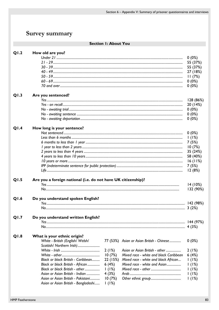## Survey summary

## Section I: About You

| Q1.2 | How old are you?                                              |          |                                           |                 |
|------|---------------------------------------------------------------|----------|-------------------------------------------|-----------------|
|      |                                                               |          |                                           | $0(0\%)$        |
|      |                                                               |          |                                           | 55 (37%)        |
|      |                                                               |          |                                           | 55 (37%)        |
|      |                                                               |          |                                           | 27 (18%)        |
|      |                                                               |          |                                           | 11(7%)          |
|      |                                                               |          |                                           | $0(0\%)$        |
|      |                                                               |          |                                           | $0(0\%)$        |
| Q1.3 | Are you sentenced?                                            |          |                                           |                 |
|      |                                                               |          |                                           | 128 (86%)       |
|      |                                                               |          |                                           | 20 (14%)        |
|      |                                                               |          |                                           | $0(0\%)$        |
|      |                                                               |          |                                           | $0(0\%)$        |
|      |                                                               |          |                                           | $0(0\%)$        |
| Q1.4 | How long is your sentence?                                    |          |                                           |                 |
|      |                                                               |          |                                           | $0(0\%)$        |
|      |                                                               |          |                                           | 1(1%)           |
|      |                                                               |          |                                           | 7(5%)           |
|      |                                                               |          |                                           | 10(7%)          |
|      |                                                               |          |                                           | 35 (24%)        |
|      |                                                               |          |                                           | 58 (40%)        |
|      |                                                               |          |                                           | 16(11%)         |
|      |                                                               |          |                                           |                 |
|      |                                                               |          |                                           | 7(5%)<br>12(8%) |
|      |                                                               |          |                                           |                 |
| Q1.5 | Are you a foreign national (i.e. do not have UK citizenship)? |          |                                           |                 |
|      |                                                               |          |                                           | 14(10%)         |
|      |                                                               |          |                                           | 132 (90%)       |
| Q1.6 | Do you understand spoken English?                             |          |                                           |                 |
|      |                                                               |          |                                           |                 |
|      |                                                               |          |                                           | 3(2%)           |
|      |                                                               |          |                                           |                 |
| Q1.7 | Do you understand written English?                            |          |                                           |                 |
|      |                                                               |          |                                           |                 |
|      |                                                               |          |                                           |                 |
| Q1.8 | What is your ethnic origin?                                   |          |                                           |                 |
|      | White - British (English/ Welsh/                              |          | 77 (53%) Asian or Asian British - Chinese | $0(0\%)$        |
|      | Scottish/ Northern Irish)                                     |          |                                           |                 |
|      |                                                               | 2(1%)    | Asian or Asian British - other            | 2(1%)           |
|      |                                                               | 10(7%)   | Mixed race - white and black Caribbean    | 6(4%)           |
|      | Black or black British - Caribbean                            | 22 (15%) | Mixed race - white and black African      | 1(1%)           |
|      | Black or black British - African                              | 6(4%)    | Mixed race - white and Asian              | 1(1%)           |
|      | Black or black British - other                                | 1(1%)    |                                           | 1(1%)           |
|      | Asian or Asian British - Indian                               | 4(3%)    |                                           | 1(1%)           |
|      | Asian or Asian British - Pakistani                            | 10(7%)   |                                           | 1(1%)           |
|      | Asian or Asian British - Bangladeshi                          | 1(1%)    |                                           |                 |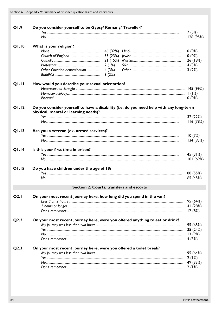| Q1.9         | Do you consider yourself to be Gypsy/ Romany/ Traveller?                                                                        | 7(5%)     |
|--------------|---------------------------------------------------------------------------------------------------------------------------------|-----------|
|              |                                                                                                                                 | 126 (95%) |
|              |                                                                                                                                 |           |
| <b>Q1.10</b> | What is your religion?                                                                                                          |           |
|              |                                                                                                                                 | $0(0\%)$  |
|              |                                                                                                                                 | 0(0%)     |
|              | 21(15%)                                                                                                                         | 26 (18%)  |
|              | 2(1%)                                                                                                                           | 4(3%)     |
|              | 4(3%)<br>Other Christian denomination                                                                                           | 3(2%)     |
|              | 3(2%)                                                                                                                           |           |
| <b>QI.II</b> | How would you describe your sexual orientation?                                                                                 |           |
|              |                                                                                                                                 |           |
|              |                                                                                                                                 |           |
|              |                                                                                                                                 |           |
|              |                                                                                                                                 |           |
| <b>Q1.12</b> | Do you consider yourself to have a disability (i.e. do you need help with any long-term<br>physical, mental or learning needs)? |           |
|              |                                                                                                                                 | 32 (22%)  |
|              |                                                                                                                                 | 116 (78%) |
|              |                                                                                                                                 |           |
| Q1.13        | Are you a veteran (ex- armed services)?                                                                                         |           |
|              |                                                                                                                                 | 10(7%)    |
|              |                                                                                                                                 | 134 (93%) |
| <b>Q1.14</b> | Is this your first time in prison?                                                                                              |           |
|              |                                                                                                                                 | 45 (31%)  |
|              |                                                                                                                                 | 101 (69%) |
|              |                                                                                                                                 |           |
| Q1.15        | Do you have children under the age of 18?                                                                                       |           |
|              |                                                                                                                                 | 80 (55%)  |
|              |                                                                                                                                 | 65 (45%)  |
|              | Section 2: Courts, transfers and escorts                                                                                        |           |
|              |                                                                                                                                 |           |
| Q2.1         | On your most recent journey here, how long did you spend in the van?                                                            | 95 (64%)  |
|              |                                                                                                                                 | 41 (28%)  |
|              |                                                                                                                                 | 12(8%)    |
|              |                                                                                                                                 |           |
| Q2.2         | On your most recent journey here, were you offered anything to eat or drink?                                                    |           |
|              |                                                                                                                                 | 95 (65%)  |
|              |                                                                                                                                 | 35 (24%)  |
|              |                                                                                                                                 | 13(9%)    |
|              |                                                                                                                                 | 4(3%)     |
| Q2.3         | On your most recent journey here, were you offered a toilet break?                                                              |           |
|              |                                                                                                                                 | 95 (64%)  |
|              |                                                                                                                                 | 2(1%)     |
|              |                                                                                                                                 | 49 (33%)  |
|              |                                                                                                                                 | 2(1%)     |
|              |                                                                                                                                 |           |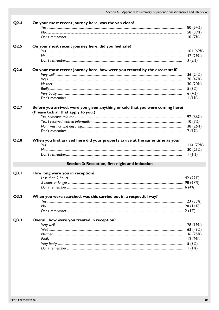| Q <sub>2.4</sub> | On your most recent journey here, was the van clean?                                                                   |                      |
|------------------|------------------------------------------------------------------------------------------------------------------------|----------------------|
|                  |                                                                                                                        | 80 (54%)             |
|                  |                                                                                                                        | 58 (39%)             |
|                  |                                                                                                                        | 10(7%)               |
| Q <sub>2.5</sub> | On your most recent journey here, did you feel safe?                                                                   |                      |
|                  |                                                                                                                        | 101 (69%)            |
|                  |                                                                                                                        | 42 (29%)             |
|                  |                                                                                                                        | 3(2%)                |
| Q <sub>2.6</sub> | On your most recent journey here, how were you treated by the escort staff?                                            |                      |
|                  |                                                                                                                        | 36 (24%)             |
|                  |                                                                                                                        | 70 (47%)             |
|                  |                                                                                                                        | 30 (20%)             |
|                  |                                                                                                                        | 5(3%)                |
|                  |                                                                                                                        | 6(4%)                |
|                  |                                                                                                                        | 1(1%)                |
| Q2.7             | Before you arrived, were you given anything or told that you were coming here?<br>(Please tick all that apply to you.) |                      |
|                  |                                                                                                                        | 97 (66%)             |
|                  |                                                                                                                        | 10(7%)               |
|                  |                                                                                                                        | 38 (26%)             |
|                  |                                                                                                                        | 2(1%)                |
| Q2.8             | When you first arrived here did your property arrive at the same time as you?                                          |                      |
|                  |                                                                                                                        | 114(79%)<br>30 (21%) |
|                  |                                                                                                                        |                      |
|                  |                                                                                                                        |                      |
|                  |                                                                                                                        | 1(1%)                |
|                  | Section 3: Reception, first night and induction                                                                        |                      |
| Q3.1             | How long were you in reception?                                                                                        |                      |
|                  |                                                                                                                        |                      |
|                  |                                                                                                                        |                      |
|                  |                                                                                                                        |                      |
| Q3.2             | When you were searched, was this carried out in a respectful way?                                                      |                      |
|                  |                                                                                                                        |                      |
|                  |                                                                                                                        |                      |
|                  |                                                                                                                        |                      |
| Q3.3             | Overall, how were you treated in reception?                                                                            |                      |
|                  |                                                                                                                        | 28 (19%)             |
|                  |                                                                                                                        | 63 (43%)             |
|                  |                                                                                                                        | 36 (25%)             |
|                  |                                                                                                                        | 13(9%)               |
|                  |                                                                                                                        | 5(3%)                |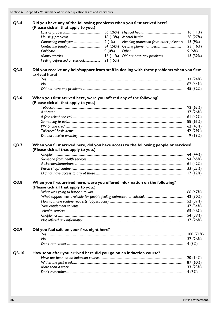| Q3.4 | Did you have any of the following problems when you first arrived here?<br>(Please tick all that apply to you.) |          |                                         |                                  |
|------|-----------------------------------------------------------------------------------------------------------------|----------|-----------------------------------------|----------------------------------|
|      |                                                                                                                 |          |                                         | 16(11%)                          |
|      |                                                                                                                 |          |                                         | 38 (27%)                         |
|      |                                                                                                                 | 2(1%)    | Needing protection from other prisoners | 13 (9%)                          |
|      |                                                                                                                 | 34 (24%) |                                         | 23 (16%)                         |
|      |                                                                                                                 | $0(0\%)$ |                                         | 9(6%)                            |
|      |                                                                                                                 |          |                                         | 45 (32%)                         |
|      | Feeling depressed or suicidal                                                                                   | 21(15%)  |                                         |                                  |
|      | arrived here?                                                                                                   |          |                                         |                                  |
|      |                                                                                                                 |          |                                         | 33 (24%)<br>62 (44%)<br>45 (32%) |
| Q3.6 | When you first arrived here, were you offered any of the following?                                             |          |                                         |                                  |
|      | (Please tick all that apply to you.)                                                                            |          |                                         |                                  |
|      |                                                                                                                 |          |                                         | 92 (63%)<br>37 (26%)             |
|      |                                                                                                                 |          |                                         | 61(42%)                          |
|      |                                                                                                                 |          |                                         | 88 (61%)                         |
|      |                                                                                                                 |          |                                         | 62 (43%)                         |
|      |                                                                                                                 |          |                                         | 42 (29%)<br>19(13%)              |

| $\mu$ i icase tick all triat apply to you. |  |
|--------------------------------------------|--|
|                                            |  |
|                                            |  |
|                                            |  |
|                                            |  |
|                                            |  |

#### $Q3.8$ When you first arrived here, were you offered information on the following? (Please tick all that apply to you.)

| 65 (46%) |
|----------|
| 54 (39%) |
| 37 (26%) |

| Q3.9  | Did you feel safe on your first night here?                                              |          |
|-------|------------------------------------------------------------------------------------------|----------|
|       |                                                                                          | 100(71%) |
|       |                                                                                          | 37 (26%) |
|       |                                                                                          | 4 (3%)   |
| A3 IA | l la conta a contra de concerto de la contradidad de la contra de la decada de la concel |          |

#### How soon after you arrived here did you go on an induction course? Q3.10

| They been and you arrived note and you go on an induction course. |          |
|-------------------------------------------------------------------|----------|
|                                                                   | 20 (14%) |
|                                                                   | 87 (60%) |
|                                                                   | 33 (23%) |
|                                                                   | 4 (3%)   |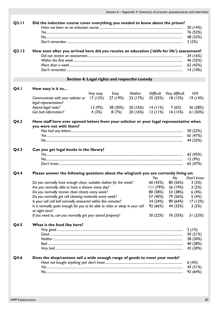| Q3.11       | Did the induction course cover everything you needed to know about the prison?                                                                                                                                                                                                                                                                                                                                                                                          |                  |                   |                                                |                                                                      |                                                                                             | 20 (14%)<br>76 (52%)<br>48 (33%)<br>3(2%)                       |
|-------------|-------------------------------------------------------------------------------------------------------------------------------------------------------------------------------------------------------------------------------------------------------------------------------------------------------------------------------------------------------------------------------------------------------------------------------------------------------------------------|------------------|-------------------|------------------------------------------------|----------------------------------------------------------------------|---------------------------------------------------------------------------------------------|-----------------------------------------------------------------|
| Q3.12       | How soon after you arrived here did you receive an education ('skills for life') assessment?                                                                                                                                                                                                                                                                                                                                                                            |                  |                   |                                                |                                                                      |                                                                                             | 24 (16%)<br>46 (32%)<br>62 (42%)<br>14(10%)                     |
|             |                                                                                                                                                                                                                                                                                                                                                                                                                                                                         |                  |                   | Section 4: Legal rights and respectful custody |                                                                      |                                                                                             |                                                                 |
| <b>Q4.1</b> | How easy is it to                                                                                                                                                                                                                                                                                                                                                                                                                                                       | Very easy        |                   | Easy Neither                                   |                                                                      | Difficult Very difficult                                                                    | N/A                                                             |
|             | Communicate with your solicitor or<br>legal representative?                                                                                                                                                                                                                                                                                                                                                                                                             | 17 (12%)         | 27 (19%)          | 23 (17%)                                       |                                                                      | 35 (25%) 18 (13%)                                                                           | 19(14%)                                                         |
|             | Attend legal visits?<br>Get bail information?                                                                                                                                                                                                                                                                                                                                                                                                                           | 12 (9%)<br>4(3%) | 38 (30%)<br>8(7%) | 20 (16%)                                       |                                                                      | $20(16%)$ $14(11%)$ 7(6%)<br>$13(11%)$ $16(13%)$                                            | 36 (28%)<br>61(50%)                                             |
| Q4.2        | Have staff here ever opened letters from your solicitor or your legal representative when<br>you were not with them?                                                                                                                                                                                                                                                                                                                                                    |                  |                   |                                                |                                                                      |                                                                                             |                                                                 |
|             |                                                                                                                                                                                                                                                                                                                                                                                                                                                                         |                  |                   |                                                |                                                                      |                                                                                             | 30 (22%)<br>65 (47%)<br>44 (32%)                                |
| Q4.3        | Can you get legal books in the library?                                                                                                                                                                                                                                                                                                                                                                                                                                 |                  |                   |                                                |                                                                      |                                                                                             | 62 (45%)<br>12(9%)<br>65 (47%)                                  |
| Q4.4        | Please answer the following questions about the wing/unit you are currently living on:                                                                                                                                                                                                                                                                                                                                                                                  |                  |                   |                                                | Yes                                                                  | No                                                                                          | Don't know                                                      |
|             | Do you normally have enough clean, suitable clothes for the week?<br>Are you normally able to have a shower every day?<br>Do you normally receive clean sheets every week?<br>Do you normally get cell cleaning materials every week?<br>Is your cell call bell normally answered within five minutes?<br>Is it normally quiet enough for you to be able to relax or sleep in your cell<br>at night time?<br>If you need to, can you normally get your stored property? |                  |                   |                                                | 60 (42%)<br>80 (58%)<br>57 (40%)<br>34 (24%)<br>92 (66%)<br>30 (22%) | 80 (56%)<br>$111(79%)$ 26 (19%)<br>53 (38%)<br>79 (56%)<br>89 (64%)<br>44 (32%)<br>76 (55%) | 3(2%)<br>3(2%)<br>6(4%)<br>5(4%)<br>17(12%)<br>3(2%)<br>31(23%) |
| Q4.5        | What is the food like here?                                                                                                                                                                                                                                                                                                                                                                                                                                             |                  |                   |                                                |                                                                      |                                                                                             | 2(1%)<br>30(21%)<br>28 (20%)<br>40 (28%)<br>42 (30%)            |
| Q4.6        | Does the shop/canteen sell a wide enough range of goods to meet your needs?                                                                                                                                                                                                                                                                                                                                                                                             |                  |                   |                                                |                                                                      |                                                                                             | 6(4%)<br>45 (31%)<br>92 (64%)                                   |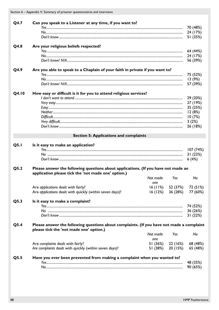Section 6 - Appendix V: Summary of prisoner questionnaires and interviews

| Q4.7  | Can you speak to a Listener at any time, if you want to?                                  |          |          |                             |
|-------|-------------------------------------------------------------------------------------------|----------|----------|-----------------------------|
|       |                                                                                           |          |          | 70 (48%)                    |
|       |                                                                                           |          |          | 24 (17%)                    |
|       |                                                                                           |          |          | 51 (35%)                    |
| Q4.8  | Are your religious beliefs respected?                                                     |          |          |                             |
|       |                                                                                           |          |          | 64 (44%)                    |
|       |                                                                                           |          |          | 24 (17%)                    |
|       |                                                                                           |          |          | 56 (39%)                    |
| Q4.9  | Are you able to speak to a Chaplain of your faith in private if you want to?              |          |          |                             |
|       |                                                                                           |          |          | 75 (52%)                    |
|       |                                                                                           |          |          | 13(9%)                      |
|       |                                                                                           |          |          | 57 (39%)                    |
| Q4.10 | How easy or difficult is it for you to attend religious services?                         |          |          |                             |
|       |                                                                                           |          |          | 29 (20%)                    |
|       |                                                                                           |          |          | 27 (19%)                    |
|       |                                                                                           |          |          | 35 (25%)                    |
|       |                                                                                           |          |          | 12(8%)                      |
|       |                                                                                           |          |          | 10(7%)                      |
|       |                                                                                           |          |          | 3(2%)                       |
|       |                                                                                           |          |          | 26 (18%)                    |
|       | <b>Section 5: Applications and complaints</b>                                             |          |          |                             |
|       |                                                                                           |          |          |                             |
| Q5.1  | Is it easy to make an application?                                                        |          |          | 107 (74%)                   |
|       |                                                                                           |          |          | 31 (22%)                    |
|       |                                                                                           |          |          | 6(4%)                       |
|       | Please answer the following questions about applications. (If you have not made an        |          |          |                             |
| Q5.2  | application please tick the 'not made one' option.)                                       |          |          |                             |
|       |                                                                                           | Not made | Yes      | No                          |
|       |                                                                                           | nne      |          |                             |
|       | Are applications dealt with fairly?                                                       |          |          | $16(11%)$ 52 (37%) 72 (51%) |
|       | Are applications dealt with quickly (within seven days)?                                  |          |          | 16 (12%) 36 (28%) 77 (60%)  |
| Q5.3  | Is it easy to make a complaint?                                                           |          |          |                             |
|       |                                                                                           |          |          | 74 (52%)                    |
|       |                                                                                           |          |          | 36 (26%)                    |
|       |                                                                                           |          |          | 31(22%)                     |
| Q5.4  | Please answer the following questions about complaints. (If you have not made a complaint |          |          |                             |
|       | please tick the 'not made one' option.)                                                   |          |          |                             |
|       |                                                                                           | Not made | Yes      | No                          |
|       |                                                                                           | one      |          |                             |
|       | Are complaints dealt with fairly?                                                         | 51 (36%) | 22 (16%) | 68 (48%)                    |
|       | Are complaints dealt with quickly (within seven days)?                                    | 51 (38%) | 20 (15%) | 65 (48%)                    |
| Q5.5  | Have you ever been prevented from making a complaint when you wanted to?                  |          |          |                             |
|       |                                                                                           |          |          | 48 (35%)                    |
|       |                                                                                           |          |          | 90 (65%)                    |
|       |                                                                                           |          |          |                             |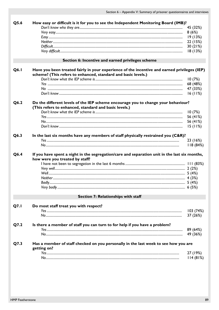| Q5.6 | How easy or difficult is it for you to see the Independent Monitoring Board (IMB)?            |           |
|------|-----------------------------------------------------------------------------------------------|-----------|
|      |                                                                                               | 45 (32%)  |
|      |                                                                                               | 8(6%)     |
|      |                                                                                               | 19(13%)   |
|      |                                                                                               | 22 (15%)  |
|      |                                                                                               | 30(21%)   |
|      |                                                                                               | 18(13%)   |
|      | Section 6: Incentive and earned privileges scheme                                             |           |
| Q6.1 | Have you been treated fairly in your experience of the incentive and earned privileges (IEP)  |           |
|      | scheme? (This refers to enhanced, standard and basic levels.)                                 |           |
|      |                                                                                               | 10(7%)    |
|      |                                                                                               | 68 (48%)  |
|      |                                                                                               | 47 (33%)  |
|      |                                                                                               | 16(11%)   |
| Q6.2 | Do the different levels of the IEP scheme encourage you to change your behaviour?             |           |
|      | (This refers to enhanced, standard and basic levels.)                                         |           |
|      |                                                                                               | 10(7%)    |
|      |                                                                                               | 56 (41%)  |
|      |                                                                                               | 56 (41%)  |
|      |                                                                                               | 15(11%)   |
| Q6.3 | In the last six months have any members of staff physically restrained you (C&R)?             |           |
|      |                                                                                               | 23 (16%)  |
|      |                                                                                               | 118 (84%) |
|      |                                                                                               |           |
| Q6.4 | If you have spent a night in the segregation/care and separation unit in the last six months, |           |
|      | how were you treated by staff?                                                                |           |
|      |                                                                                               |           |
|      |                                                                                               |           |
|      |                                                                                               |           |
|      |                                                                                               |           |
|      |                                                                                               |           |
|      |                                                                                               |           |
|      | Section 7: Relationships with staff                                                           |           |
| Q7.1 | Do most staff treat you with respect?                                                         |           |
|      |                                                                                               | 103(74%)  |
|      |                                                                                               | 37 (26%)  |
| Q7.2 | Is there a member of staff you can turn to for help if you have a problem?                    |           |
|      |                                                                                               | 89 (64%)  |
|      |                                                                                               | 49 (36%)  |
| Q7.3 | Has a member of staff checked on you personally in the last week to see how you are           |           |
|      | getting on?                                                                                   |           |
|      |                                                                                               | 27 (19%)  |
|      |                                                                                               | 114(81%)  |
|      |                                                                                               |           |
|      |                                                                                               |           |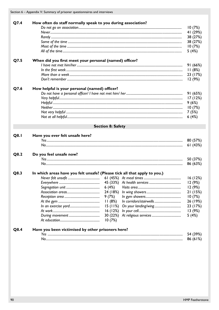Section 6 - Appendix V: Summary of prisoner questionnaires and interviews

|      |                                                        |                                                                           | 10(7%)   |
|------|--------------------------------------------------------|---------------------------------------------------------------------------|----------|
|      |                                                        |                                                                           | 41 (29%) |
|      |                                                        |                                                                           | 38 (27%) |
|      |                                                        |                                                                           | 38 (27%) |
|      |                                                        |                                                                           | 10(7%)   |
|      |                                                        |                                                                           | 5(4%)    |
| Q7.5 | When did you first meet your personal (named) officer? |                                                                           |          |
|      |                                                        |                                                                           | 91(66%)  |
|      |                                                        |                                                                           | 11(8%)   |
|      |                                                        |                                                                           | 23 (17%) |
|      |                                                        |                                                                           | 12(9%)   |
| Q7.6 | How helpful is your personal (named) officer?          |                                                                           |          |
|      |                                                        |                                                                           | 91(65%)  |
|      |                                                        |                                                                           | 17 (12%) |
|      |                                                        |                                                                           | 9(6%)    |
|      |                                                        |                                                                           | 10(7%)   |
|      |                                                        |                                                                           | 7(5%)    |
|      |                                                        |                                                                           | 6(4%)    |
|      |                                                        | <b>Section 8: Safety</b>                                                  |          |
| Q8.1 | Have you ever felt unsafe here?                        |                                                                           |          |
|      |                                                        |                                                                           | 80 (57%) |
|      |                                                        |                                                                           | 61(43%)  |
| Q8.2 | Do you feel unsafe now?                                |                                                                           |          |
|      |                                                        |                                                                           | 50 (37%) |
|      |                                                        |                                                                           | 86 (63%) |
| Q8.3 |                                                        | In which areas have you felt unsafe? (Please tick all that apply to you.) |          |
|      |                                                        |                                                                           | 16(12%)  |
|      |                                                        |                                                                           | 12 (9%)  |
|      |                                                        | 6(4%)                                                                     | 12(9%)   |
|      |                                                        | 24 (18%)                                                                  | 21(15%)  |
|      |                                                        | 9(7%)                                                                     | 10(7%)   |
|      |                                                        | 11(8%)                                                                    | 26 (19%) |
|      |                                                        | 15(11%)                                                                   | 23 (17%) |
|      |                                                        | 16(12%)                                                                   | 13(9%)   |
|      |                                                        | 30 (22%)                                                                  | 5(4%)    |
|      |                                                        | 10(7%)                                                                    |          |
| Q8.4 | Have you been victimised by other prisoners here?      |                                                                           |          |
|      |                                                        |                                                                           | 54 (39%) |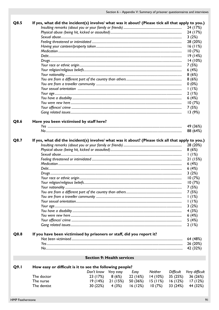| Q8.5 | If yes, what did the incident(s) involve/ what was it about? (Please tick all that apply to you.) |                                   |          |          |         |           |                |
|------|---------------------------------------------------------------------------------------------------|-----------------------------------|----------|----------|---------|-----------|----------------|
|      |                                                                                                   |                                   |          |          |         |           | 24 (17%)       |
|      |                                                                                                   |                                   |          |          |         |           | 24 (17%)       |
|      |                                                                                                   |                                   |          |          |         |           | 3(2%)          |
|      |                                                                                                   |                                   |          |          |         |           | 28 (20%)       |
|      |                                                                                                   |                                   |          |          |         |           | 16(11%)        |
|      |                                                                                                   |                                   |          |          |         |           | 10(7%)         |
|      |                                                                                                   |                                   |          |          |         |           | 19(14%)        |
|      |                                                                                                   |                                   |          |          |         |           | 14(10%)        |
|      |                                                                                                   |                                   |          |          |         |           | 7(5%)          |
|      |                                                                                                   |                                   |          |          |         |           | 6(4%)          |
|      |                                                                                                   |                                   |          |          |         |           | 8(6%)          |
|      |                                                                                                   |                                   |          |          |         |           | 8(6%)          |
|      |                                                                                                   |                                   |          |          |         |           | $0(0\%)$       |
|      |                                                                                                   |                                   |          |          |         |           | 1(1%)          |
|      |                                                                                                   |                                   |          |          |         |           |                |
|      |                                                                                                   |                                   |          |          |         |           | 2(1%)          |
|      |                                                                                                   |                                   |          |          |         |           | 6(4%)          |
|      |                                                                                                   |                                   |          |          |         |           | 10(7%)         |
|      |                                                                                                   |                                   |          |          |         |           | 7(5%)          |
|      |                                                                                                   |                                   |          |          |         |           | 13(9%)         |
|      | Have you been victimised by staff here?                                                           |                                   |          |          |         |           |                |
| Q8.6 |                                                                                                   |                                   |          |          |         |           |                |
|      |                                                                                                   |                                   |          |          |         |           | 49 (36%)       |
|      |                                                                                                   |                                   |          |          |         |           | 88 (64%)       |
| Q8.7 | If yes, what did the incident(s) involve/ what was it about? (Please tick all that apply to you.) |                                   |          |          |         |           |                |
|      |                                                                                                   |                                   |          |          |         |           |                |
|      |                                                                                                   |                                   |          |          |         |           | 28 (20%)       |
|      |                                                                                                   |                                   |          |          |         |           | 8(6%)          |
|      |                                                                                                   |                                   |          |          |         |           | 1(1%)          |
|      |                                                                                                   |                                   |          |          |         |           | 21(15%)        |
|      |                                                                                                   |                                   |          |          |         |           | 6(4%)          |
|      |                                                                                                   |                                   |          |          |         |           | 6(4%)          |
|      |                                                                                                   |                                   |          |          |         |           | 3(2%)          |
|      |                                                                                                   |                                   |          |          |         |           | 10(7%)         |
|      |                                                                                                   |                                   |          |          |         |           | 10(7%)         |
|      |                                                                                                   |                                   |          |          |         |           | 7(5%)          |
|      |                                                                                                   |                                   |          |          |         |           | 7(5%)          |
|      |                                                                                                   |                                   |          |          |         |           | 1(1%)          |
|      |                                                                                                   |                                   |          |          |         |           | 1(1%)          |
|      |                                                                                                   |                                   |          |          |         |           | 3(2%)          |
|      |                                                                                                   |                                   |          |          |         |           | 4(3%)          |
|      |                                                                                                   |                                   |          |          |         |           | 6(4%)          |
|      |                                                                                                   |                                   |          |          |         |           | 5(4%)          |
|      |                                                                                                   |                                   |          |          |         |           | 2(1%)          |
|      |                                                                                                   |                                   |          |          |         |           |                |
| Q8.8 | If you have been victimised by prisoners or staff, did you report it?                             |                                   |          |          |         |           |                |
|      |                                                                                                   |                                   |          |          |         |           | 64 (48%)       |
|      |                                                                                                   |                                   |          |          |         |           | 26 (20%)       |
|      |                                                                                                   |                                   |          |          |         |           | 42 (32%)       |
|      |                                                                                                   |                                   |          |          |         |           |                |
|      |                                                                                                   | <b>Section 9: Health services</b> |          |          |         |           |                |
| Q9.1 | How easy or difficult is it to see the following people?                                          |                                   |          |          |         |           |                |
|      |                                                                                                   | Don't know Very easy              |          | Easy     | Neither | Difficult | Very difficult |
|      | The doctor                                                                                        | 23 (17%)                          | 8(6%)    | 22 (16%) | 14(10%) | 35 (25%)  | 36 (26%)       |
|      | The nurse                                                                                         | <u> 19 (14%)</u>                  | 21 (15%) | 50 (36%) | 15(11%) | 16 (12%)  | 17 (12%)       |
|      | The dentist                                                                                       | 30 (22%)                          | 4 (3%)   | 16(12%)  | 10(7%)  | 33(24%)   | 44 (32%)       |
|      |                                                                                                   |                                   |          |          |         |           |                |
|      |                                                                                                   |                                   |          |          |         |           |                |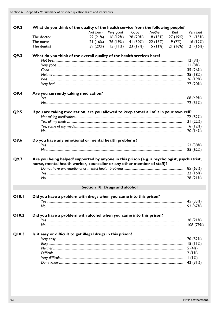| Q9.2  | What do you think of the quality of the health service from the following people?            |                               |           |          |          |          |                     |
|-------|----------------------------------------------------------------------------------------------|-------------------------------|-----------|----------|----------|----------|---------------------|
|       |                                                                                              | Not been                      | Very good | Good     | Neither  | Bad      | Very bad            |
|       | The doctor                                                                                   | 29(21%)                       | 16(12%)   | 28 (20%) | 18(13%)  | 27 (19%) | 21(15%)             |
|       | The nurse                                                                                    | 21(16%)                       | 26 (19%)  | 41 (30%) | 22 (16%) | 9 (7%)   | 16(12%)             |
|       | The dentist                                                                                  | 39 (29%)                      | 15(11%)   | 23 (17%) | 15(11%)  | 21(16%)  | 21(16%)             |
| Q9.3  | What do you think of the overall quality of the health services here?                        |                               |           |          |          |          |                     |
|       |                                                                                              |                               |           |          |          |          | 12(9%)              |
|       |                                                                                              |                               |           |          |          |          | 11(8%)              |
|       |                                                                                              |                               |           |          |          |          | 35 (26%)            |
|       |                                                                                              |                               |           |          |          |          | 25 (18%)            |
|       |                                                                                              |                               |           |          |          |          | 26 (19%)            |
|       |                                                                                              |                               |           |          |          |          | 27 (20%)            |
| Q9.4  | Are you currently taking medication?                                                         |                               |           |          |          |          |                     |
|       |                                                                                              |                               |           |          |          |          | 68 (49%)            |
|       |                                                                                              |                               |           |          |          |          | 72 (51%)            |
| Q9.5  | If you are taking medication, are you allowed to keep some/ all of it in your own cell?      |                               |           |          |          |          |                     |
|       |                                                                                              |                               |           |          |          |          | 72 (52%)            |
|       |                                                                                              |                               |           |          |          |          | 31(22%)             |
|       |                                                                                              |                               |           |          |          |          | 16(12%)             |
|       |                                                                                              |                               |           |          |          |          | 20 (14%)            |
| Q9.6  | Do you have any emotional or mental health problems?                                         |                               |           |          |          |          |                     |
|       |                                                                                              |                               |           |          |          |          | 52 (38%)            |
|       |                                                                                              |                               |           |          |          |          | 85 (62%)            |
|       |                                                                                              |                               |           |          |          |          |                     |
| Q9.7  | Are you being helped/ supported by anyone in this prison (e.g. a psychologist, psychiatrist, |                               |           |          |          |          |                     |
|       | nurse, mental health worker, counsellor or any other member of staff)?                       |                               |           |          |          |          |                     |
|       |                                                                                              |                               |           |          |          |          | 85 (63%)            |
|       |                                                                                              |                               |           |          |          |          | 22 (16%)            |
|       |                                                                                              |                               |           |          |          |          | 28 (21%)            |
|       |                                                                                              | Section 10: Drugs and alcohol |           |          |          |          |                     |
| Q10.1 | Did you have a problem with drugs when you came into this prison?                            |                               |           |          |          |          |                     |
|       |                                                                                              |                               |           |          |          |          | 45 (33%)            |
|       |                                                                                              |                               |           |          |          |          | 92 (67%)            |
| Q10.2 | Did you have a problem with alcohol when you came into this prison?                          |                               |           |          |          |          |                     |
|       |                                                                                              |                               |           |          |          |          | 28 (21%)            |
|       |                                                                                              |                               |           |          |          |          | 108 (79%)           |
| Q10.3 | Is it easy or difficult to get illegal drugs in this prison?                                 |                               |           |          |          |          |                     |
|       |                                                                                              |                               |           |          |          |          |                     |
|       |                                                                                              |                               |           |          |          |          | 70 (52%)<br>15(11%) |
|       |                                                                                              |                               |           |          |          |          |                     |
|       |                                                                                              |                               |           |          |          |          | 5(4%)               |
|       |                                                                                              |                               |           |          |          |          | 2(1%)               |
|       |                                                                                              |                               |           |          |          |          |                     |
|       |                                                                                              |                               |           |          |          |          | 1(1%)<br>42 (31%)   |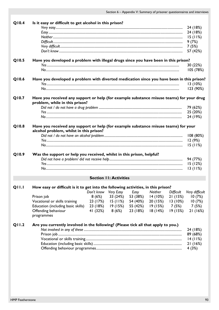| Q10.4        | Is it easy or difficult to get alcohol in this prison?                                    |                      |                               |          |          |           |                |
|--------------|-------------------------------------------------------------------------------------------|----------------------|-------------------------------|----------|----------|-----------|----------------|
|              |                                                                                           |                      |                               |          |          |           | 24 (18%)       |
|              |                                                                                           |                      |                               |          |          |           | 24 (18%)       |
|              |                                                                                           |                      |                               |          |          |           | 15(11%)        |
|              |                                                                                           |                      |                               |          |          |           | 9(7%)          |
|              |                                                                                           |                      |                               |          |          |           | 7(5%)          |
|              |                                                                                           |                      |                               |          |          |           | 57 (42%)       |
| Q10.5        | Have you developed a problem with illegal drugs since you have been in this prison?       |                      |                               |          |          |           |                |
|              |                                                                                           |                      |                               |          |          |           | 30 (22%)       |
|              |                                                                                           |                      |                               |          |          |           | 105 (78%)      |
|              |                                                                                           |                      |                               |          |          |           |                |
| Q10.6        | Have you developed a problem with diverted medication since you have been in this prison? |                      |                               |          |          |           | 13(10%)        |
|              |                                                                                           |                      |                               |          |          |           | 123 (90%)      |
|              |                                                                                           |                      |                               |          |          |           |                |
| Q10.7        | Have you received any support or help (for example substance misuse teams) for your drug  |                      |                               |          |          |           |                |
|              | problem, while in this prison?                                                            |                      |                               |          |          |           |                |
|              |                                                                                           |                      |                               |          |          |           | 79 (62%)       |
|              |                                                                                           |                      |                               |          |          |           | 25 (20%)       |
|              |                                                                                           |                      |                               |          |          |           | 24 (19%)       |
| Q10.8        | Have you received any support or help (for example substance misuse teams) for your       |                      |                               |          |          |           |                |
|              | alcohol problem, whilst in this prison?                                                   |                      |                               |          |          |           |                |
|              |                                                                                           |                      |                               |          |          |           | 108 (80%)      |
|              |                                                                                           |                      |                               |          |          |           | 12(9%)         |
|              |                                                                                           |                      |                               |          |          |           | 15(11%)        |
| Q10.9        | Was the support or help you received, whilst in this prison, helpful?                     |                      |                               |          |          |           |                |
|              |                                                                                           |                      |                               |          |          |           | 94 (77%)       |
|              |                                                                                           |                      |                               |          |          |           | 15(12%)        |
|              |                                                                                           |                      |                               |          |          |           | 13(11%)        |
|              |                                                                                           |                      | <b>Section II: Activities</b> |          |          |           |                |
|              |                                                                                           |                      |                               |          |          |           |                |
| <b>QII.I</b> | How easy or difficult is it to get into the following activities, in this prison?         |                      |                               |          |          |           |                |
|              |                                                                                           | Don't know Very Easy |                               | Easy     | Neither  | Difficult | Very difficult |
|              | Prison job                                                                                | 8(6%)                | 33 (24%)                      | 53 (38%) | 14 (10%) | 21(15%)   | 10(7%)         |
|              | Vocational or skills training                                                             |                      | $23(17%)$ 15 (11%)            | 54 (40%) | 20 (15%) | l 3 (10%) | 10(7%)         |
|              | Education (including basic skills)                                                        |                      | 23 (18%) 19 (15%) 55 (42%)    |          | 19 (15%) | 7 (5%)    | 7 (5%)         |
|              | Offending behaviour                                                                       | 41 (32%)             | 8 (6%)                        | 23 (18%) | 18(14%)  | 19(15%)   | 21(16%)        |
|              | programmes                                                                                |                      |                               |          |          |           |                |
| Q11.2        | Are you currently involved in the following? (Please tick all that apply to you.)         |                      |                               |          |          |           |                |
|              |                                                                                           |                      |                               |          |          |           | 24 (18%)       |
|              |                                                                                           |                      |                               |          |          |           | 89 (68%)       |
|              |                                                                                           |                      |                               |          |          |           | 14(11%)        |
|              |                                                                                           |                      |                               |          |          |           | 21(16%)        |
|              |                                                                                           |                      |                               |          |          |           | 4(3%)          |
|              |                                                                                           |                      |                               |          |          |           |                |
|              |                                                                                           |                      |                               |          |          |           |                |
|              |                                                                                           |                      |                               |          |          |           |                |
|              |                                                                                           |                      |                               |          |          |           |                |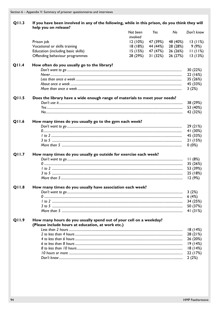| Q11.3        | If you have been involved in any of the following, while in this prison, do you think they will<br>help you on release? |                      |          |          |            |
|--------------|-------------------------------------------------------------------------------------------------------------------------|----------------------|----------|----------|------------|
|              |                                                                                                                         | Not been<br>involved | Yes      | No       | Don't know |
|              | Prison job                                                                                                              | 12(10%)              | 47 (39%) | 48 (40%) | 13(11%)    |
|              | Vocational or skills training                                                                                           | 18(18%)              | 44 (44%) | 28 (28%) | 9 (9%)     |
|              | Education (including basic skills)                                                                                      | 15(15%)              | 47 (47%) | 26 (26%) | 11(11%)    |
|              | Offending behaviour programmes                                                                                          | 28 (29%)             | 31(32%)  | 26 (27%) | 13(13%)    |
| <b>Q11.4</b> | How often do you usually go to the library?                                                                             |                      |          |          |            |
|              |                                                                                                                         |                      |          |          | 30 (22%)   |
|              |                                                                                                                         |                      |          |          | 22 (16%)   |
|              |                                                                                                                         |                      |          |          | 35 (26%)   |
|              |                                                                                                                         |                      |          |          | 45 (33%)   |
|              |                                                                                                                         |                      |          |          | 3(2%)      |
| Q11.5        | Does the library have a wide enough range of materials to meet your needs?                                              |                      |          |          | 38 (29%)   |
|              |                                                                                                                         |                      |          |          | 53 (40%)   |
|              |                                                                                                                         |                      |          |          | 42 (32%)   |
| Q11.6        | How many times do you usually go to the gym each week?                                                                  |                      |          |          |            |
|              |                                                                                                                         |                      |          |          | 29(21%)    |
|              |                                                                                                                         |                      |          |          | 41 (30%)   |
|              |                                                                                                                         |                      |          |          | 45 (33%)   |
|              |                                                                                                                         |                      |          |          | 21 (15%)   |
|              |                                                                                                                         |                      |          |          | 0(0%)      |
| Q11.7        | How many times do you usually go outside for exercise each week?                                                        |                      |          |          |            |
|              |                                                                                                                         |                      |          |          | 11(8%)     |
|              |                                                                                                                         |                      |          |          | 35 (26%)   |
|              |                                                                                                                         |                      |          |          | 53 (39%)   |
|              |                                                                                                                         |                      |          |          | 25 (18%)   |
|              |                                                                                                                         |                      |          |          | 12(9%)     |
| Q11.8        | How many times do you usually have association each week?                                                               |                      |          |          | 3(2%)      |
|              |                                                                                                                         |                      |          |          | 6(4%)      |
|              |                                                                                                                         |                      |          |          | 34 (25%)   |
|              |                                                                                                                         |                      |          |          | 50 (37%)   |
|              |                                                                                                                         |                      |          |          | 41 $(31%)$ |
| Q11.9        | How many hours do you usually spend out of your cell on a weekday?<br>(Please include hours at education, at work etc.) |                      |          |          |            |
|              |                                                                                                                         |                      |          |          | 18(14%)    |
|              |                                                                                                                         |                      |          |          | 28(21%)    |
|              |                                                                                                                         |                      |          |          | 26 (20%)   |
|              |                                                                                                                         |                      |          |          | 19(14%)    |
|              |                                                                                                                         |                      |          |          | 18(14%)    |
|              |                                                                                                                         |                      |          |          | 22 (17%)   |
|              |                                                                                                                         |                      |          |          | 2(2%)      |
|              |                                                                                                                         |                      |          |          |            |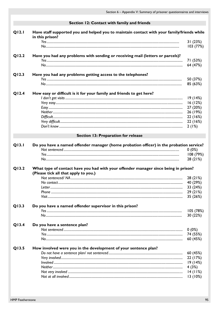|       | Section 12: Contact with family and friends                                                |                  |
|-------|--------------------------------------------------------------------------------------------|------------------|
| Q12.1 | Have staff supported you and helped you to maintain contact with your family/friends while |                  |
|       | in this prison?                                                                            |                  |
|       |                                                                                            | 31(23%)          |
|       |                                                                                            | 103 (77%)        |
| Q12.2 | Have you had any problems with sending or receiving mail (letters or parcels)?             |                  |
|       |                                                                                            | 71 (53%)         |
|       |                                                                                            | 64 (47%)         |
| Q12.3 | Have you had any problems getting access to the telephones?                                |                  |
|       |                                                                                            | 50 (37%)         |
|       |                                                                                            | 85 (63%)         |
| Q12.4 | How easy or difficult is it for your family and friends to get here?                       |                  |
|       |                                                                                            | 19(14%)          |
|       |                                                                                            | 16(12%)          |
|       |                                                                                            | 27 (20%)         |
|       |                                                                                            | 26 (19%)         |
|       |                                                                                            | 22 (16%)         |
|       |                                                                                            | 22 (16%)         |
|       |                                                                                            | 2(1%)            |
|       | Section 13: Preparation for release                                                        |                  |
|       |                                                                                            |                  |
|       |                                                                                            |                  |
| Q13.1 | Do you have a named offender manager (home probation officer) in the probation service?    |                  |
|       |                                                                                            | $0(0\%)$         |
|       |                                                                                            | 108 (79%)        |
|       |                                                                                            | 28 (21%)         |
| Q13.2 | What type of contact have you had with your offender manager since being in prison?        |                  |
|       | (Please tick all that apply to you.)                                                       |                  |
|       |                                                                                            | 28 (21%)         |
|       |                                                                                            | 40 (29%)         |
|       |                                                                                            | 33 (24%)         |
|       |                                                                                            | 29 (21%)         |
|       |                                                                                            | 35 (26%)         |
| Q13.3 | Do you have a named offender supervisor in this prison?                                    |                  |
|       |                                                                                            | 105 (78%)        |
|       |                                                                                            | 30 (22%)         |
| Q13.4 | Do you have a sentence plan?                                                               |                  |
|       |                                                                                            | $0(0\%)$         |
|       |                                                                                            | 74 (55%)         |
|       |                                                                                            | 60 (45%)         |
| Q13.5 | How involved were you in the development of your sentence plan?                            |                  |
|       |                                                                                            | 60 (45%)         |
|       |                                                                                            |                  |
|       |                                                                                            | 22 (17%)         |
|       |                                                                                            | 19(14%)          |
|       |                                                                                            | 4(3%)<br>14(11%) |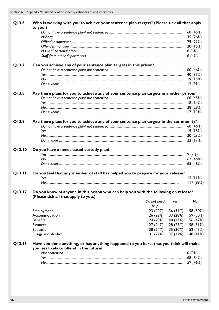| Who is working with you to achieve your sentence plan targets? (Please tick all that apply |                                                                                                                                                                                                    |                     |                                                                                                                                                                                                                                                                                                                                                                                                                                                                                                                                                                                                                                           |
|--------------------------------------------------------------------------------------------|----------------------------------------------------------------------------------------------------------------------------------------------------------------------------------------------------|---------------------|-------------------------------------------------------------------------------------------------------------------------------------------------------------------------------------------------------------------------------------------------------------------------------------------------------------------------------------------------------------------------------------------------------------------------------------------------------------------------------------------------------------------------------------------------------------------------------------------------------------------------------------------|
|                                                                                            |                                                                                                                                                                                                    |                     |                                                                                                                                                                                                                                                                                                                                                                                                                                                                                                                                                                                                                                           |
|                                                                                            |                                                                                                                                                                                                    |                     | 60 (45%)                                                                                                                                                                                                                                                                                                                                                                                                                                                                                                                                                                                                                                  |
|                                                                                            |                                                                                                                                                                                                    |                     | 35 (26%)                                                                                                                                                                                                                                                                                                                                                                                                                                                                                                                                                                                                                                  |
|                                                                                            |                                                                                                                                                                                                    |                     | 29 (22%)                                                                                                                                                                                                                                                                                                                                                                                                                                                                                                                                                                                                                                  |
|                                                                                            |                                                                                                                                                                                                    |                     | 20 (15%)                                                                                                                                                                                                                                                                                                                                                                                                                                                                                                                                                                                                                                  |
|                                                                                            |                                                                                                                                                                                                    |                     | 8(6%)                                                                                                                                                                                                                                                                                                                                                                                                                                                                                                                                                                                                                                     |
|                                                                                            |                                                                                                                                                                                                    |                     | 6(4%)                                                                                                                                                                                                                                                                                                                                                                                                                                                                                                                                                                                                                                     |
| Can you achieve any of your sentence plan targets in this prison?                          |                                                                                                                                                                                                    |                     |                                                                                                                                                                                                                                                                                                                                                                                                                                                                                                                                                                                                                                           |
|                                                                                            |                                                                                                                                                                                                    |                     | 60 (46%)                                                                                                                                                                                                                                                                                                                                                                                                                                                                                                                                                                                                                                  |
|                                                                                            |                                                                                                                                                                                                    |                     | 40 (31%)                                                                                                                                                                                                                                                                                                                                                                                                                                                                                                                                                                                                                                  |
|                                                                                            |                                                                                                                                                                                                    |                     | 19 (15%)                                                                                                                                                                                                                                                                                                                                                                                                                                                                                                                                                                                                                                  |
|                                                                                            |                                                                                                                                                                                                    |                     | 12(9%)                                                                                                                                                                                                                                                                                                                                                                                                                                                                                                                                                                                                                                    |
|                                                                                            |                                                                                                                                                                                                    |                     |                                                                                                                                                                                                                                                                                                                                                                                                                                                                                                                                                                                                                                           |
|                                                                                            |                                                                                                                                                                                                    |                     | 60 (45%)                                                                                                                                                                                                                                                                                                                                                                                                                                                                                                                                                                                                                                  |
|                                                                                            |                                                                                                                                                                                                    |                     | 18(14%)                                                                                                                                                                                                                                                                                                                                                                                                                                                                                                                                                                                                                                   |
|                                                                                            |                                                                                                                                                                                                    |                     | 38 (29%)                                                                                                                                                                                                                                                                                                                                                                                                                                                                                                                                                                                                                                  |
|                                                                                            |                                                                                                                                                                                                    |                     | 17(13%)                                                                                                                                                                                                                                                                                                                                                                                                                                                                                                                                                                                                                                   |
|                                                                                            |                                                                                                                                                                                                    |                     |                                                                                                                                                                                                                                                                                                                                                                                                                                                                                                                                                                                                                                           |
|                                                                                            |                                                                                                                                                                                                    |                     |                                                                                                                                                                                                                                                                                                                                                                                                                                                                                                                                                                                                                                           |
|                                                                                            |                                                                                                                                                                                                    |                     | 60 (46%)                                                                                                                                                                                                                                                                                                                                                                                                                                                                                                                                                                                                                                  |
|                                                                                            |                                                                                                                                                                                                    |                     | 19(15%)                                                                                                                                                                                                                                                                                                                                                                                                                                                                                                                                                                                                                                   |
|                                                                                            |                                                                                                                                                                                                    |                     | 30 (23%)                                                                                                                                                                                                                                                                                                                                                                                                                                                                                                                                                                                                                                  |
|                                                                                            |                                                                                                                                                                                                    |                     | 22 (17%)                                                                                                                                                                                                                                                                                                                                                                                                                                                                                                                                                                                                                                  |
|                                                                                            |                                                                                                                                                                                                    |                     |                                                                                                                                                                                                                                                                                                                                                                                                                                                                                                                                                                                                                                           |
|                                                                                            |                                                                                                                                                                                                    |                     | 9(7%)                                                                                                                                                                                                                                                                                                                                                                                                                                                                                                                                                                                                                                     |
|                                                                                            |                                                                                                                                                                                                    |                     | 62 (46%)                                                                                                                                                                                                                                                                                                                                                                                                                                                                                                                                                                                                                                  |
|                                                                                            |                                                                                                                                                                                                    |                     | 65 (48%)                                                                                                                                                                                                                                                                                                                                                                                                                                                                                                                                                                                                                                  |
|                                                                                            |                                                                                                                                                                                                    |                     |                                                                                                                                                                                                                                                                                                                                                                                                                                                                                                                                                                                                                                           |
|                                                                                            |                                                                                                                                                                                                    |                     | 15(11%)                                                                                                                                                                                                                                                                                                                                                                                                                                                                                                                                                                                                                                   |
|                                                                                            |                                                                                                                                                                                                    |                     | 117 (89%)                                                                                                                                                                                                                                                                                                                                                                                                                                                                                                                                                                                                                                 |
|                                                                                            |                                                                                                                                                                                                    |                     |                                                                                                                                                                                                                                                                                                                                                                                                                                                                                                                                                                                                                                           |
|                                                                                            |                                                                                                                                                                                                    |                     |                                                                                                                                                                                                                                                                                                                                                                                                                                                                                                                                                                                                                                           |
|                                                                                            |                                                                                                                                                                                                    |                     |                                                                                                                                                                                                                                                                                                                                                                                                                                                                                                                                                                                                                                           |
|                                                                                            |                                                                                                                                                                                                    |                     | No                                                                                                                                                                                                                                                                                                                                                                                                                                                                                                                                                                                                                                        |
|                                                                                            |                                                                                                                                                                                                    |                     |                                                                                                                                                                                                                                                                                                                                                                                                                                                                                                                                                                                                                                           |
|                                                                                            |                                                                                                                                                                                                    |                     | 58 (50%)                                                                                                                                                                                                                                                                                                                                                                                                                                                                                                                                                                                                                                  |
|                                                                                            |                                                                                                                                                                                                    |                     |                                                                                                                                                                                                                                                                                                                                                                                                                                                                                                                                                                                                                                           |
|                                                                                            |                                                                                                                                                                                                    |                     |                                                                                                                                                                                                                                                                                                                                                                                                                                                                                                                                                                                                                                           |
|                                                                                            |                                                                                                                                                                                                    |                     |                                                                                                                                                                                                                                                                                                                                                                                                                                                                                                                                                                                                                                           |
|                                                                                            |                                                                                                                                                                                                    |                     |                                                                                                                                                                                                                                                                                                                                                                                                                                                                                                                                                                                                                                           |
|                                                                                            |                                                                                                                                                                                                    |                     | 48 (41%)                                                                                                                                                                                                                                                                                                                                                                                                                                                                                                                                                                                                                                  |
|                                                                                            |                                                                                                                                                                                                    |                     |                                                                                                                                                                                                                                                                                                                                                                                                                                                                                                                                                                                                                                           |
| you less likely to offend in the future?                                                   |                                                                                                                                                                                                    |                     |                                                                                                                                                                                                                                                                                                                                                                                                                                                                                                                                                                                                                                           |
|                                                                                            |                                                                                                                                                                                                    |                     | $0(0\%)$                                                                                                                                                                                                                                                                                                                                                                                                                                                                                                                                                                                                                                  |
|                                                                                            |                                                                                                                                                                                                    |                     |                                                                                                                                                                                                                                                                                                                                                                                                                                                                                                                                                                                                                                           |
|                                                                                            |                                                                                                                                                                                                    |                     | 68 (54%)<br>59 (46%)                                                                                                                                                                                                                                                                                                                                                                                                                                                                                                                                                                                                                      |
|                                                                                            | to you.)<br>Do you have a needs based custody plan?<br>(Please tick all that apply to you.)<br>Employment<br>Accommodation<br><b>Benefits</b><br><b>Finances</b><br>Education<br>Drugs and alcohol | Do not need<br>help | Are there plans for you to achieve any of your sentence plan targets in another prison?<br>Are there plans for you to achieve any of your sentence plan targets in the community?<br>Do you feel that any member of staff has helped you to prepare for your release?<br>Do you know of anyone in this prison who can help you with the following on release?<br>Yes<br>23 (20%)<br>36 (31%)<br>33 (28%) 59 (50%)<br>26 (22%)<br>24 (20%) 40 (33%) 56 (47%)<br>27 (24%) 28 (25%) 58 (51%)<br>28 (24%) 35 (30%) 52 (45%)<br>37 (32%)<br>31 (27%)<br>Have you done anything, or has anything happened to you here, that you think will make |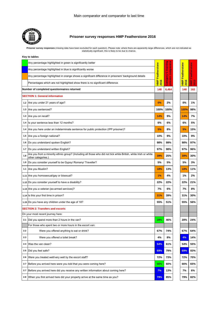

#### **Prisoner survey responses HMP Featherstone 2016**

Prisoner survey responses (missing data have been excluded for each question). Please note: where there are apparently large differences, which are not indicated as<br>statistically significant, this is likely to be due to ch

|     | Any percentage highlighted in green is significantly better                                                                           |                     |                             |                        |              |
|-----|---------------------------------------------------------------------------------------------------------------------------------------|---------------------|-----------------------------|------------------------|--------------|
|     | Any percentage highlighted in blue is significantly worse                                                                             |                     | training<br>comparator<br>Ō |                        |              |
|     | Any percentage highlighted in orange shows a significant difference in prisoners' background details                                  | <b>Featherstone</b> | ×                           | Featherstone           | Featherstone |
|     | Percentages which are not highlighted show there is no significant difference                                                         | <b>HMP</b><br>2016  | Categor<br>prisons          | <b>HMP</b><br>ø<br>201 | Ê<br>2013    |
|     | Number of completed questionnaires returned                                                                                           |                     |                             | 148                    | 162          |
|     | <b>SECTION 1: General information</b>                                                                                                 |                     |                             |                        |              |
|     | 1.2 Are you under 21 years of age?                                                                                                    | 0%                  | 2%                          | 0%                     | 1%           |
|     | 1.3 Are you sentenced?                                                                                                                | 100%                | 100%                        | 100%                   | 98%          |
|     | 1.3 Are you on recall?                                                                                                                | 14%                 | 9%                          | 14%                    | 7%           |
| 1.4 | Is your sentence less than 12 months?                                                                                                 | 6%                  | 6%                          | 6%                     | 5%           |
| 1.4 | Are you here under an indeterminate sentence for public protection (IPP prisoner)?                                                    | 5%                  | 8%                          | 5%                     | 15%          |
| 1.5 | Are you a foreign national?                                                                                                           | 10%                 | 9%                          | 10%                    | 9%           |
|     | 1.6   Do you understand spoken English?                                                                                               | 98%                 | 99%                         | 98%                    | 97%          |
| 1.7 | Do you understand written English?                                                                                                    | 97%                 | 98%                         | 97%                    | 96%          |
| 1.8 | Are you from a minority ethnic group? (Including all those who did not tick white British, white Irish or white<br>other categories.) | 39%                 | 25%                         | 39%                    | 30%          |
| 1.9 | Do you consider yourself to be Gypsy/ Romany/ Traveller?                                                                              | 5%                  | 5%                          | 5%                     | 3%           |
| 1.1 | Are you Muslim?                                                                                                                       | 18%                 | 13%                         | 18%                    | 11%          |
|     | 1.11 Are you homosexual/gay or bisexual?                                                                                              | 1%                  | 4%                          | 1%                     | 2%           |
|     | 1.12 Do you consider yourself to have a disability?                                                                                   | 22%                 | 22%                         | 22%                    | 21%          |
|     | 1.13 Are you a veteran (ex-armed services)?                                                                                           | 7%                  | 6%                          | 7%                     | 8%           |
|     | 1.14 Is this your first time in prison?                                                                                               | 31%                 | 39%                         | 31%                    | 30%          |
|     | 1.15 Do you have any children under the age of 18?                                                                                    | 55%                 | 51%                         | 55%                    | 56%          |
|     | <b>SECTION 2: Transfers and escorts</b>                                                                                               |                     |                             |                        |              |
|     | On your most recent journey here:                                                                                                     |                     |                             |                        |              |
|     | 2.1 Did you spend more than 2 hours in the van?                                                                                       | 28%                 | 46%                         | 28%                    | 24%          |
|     | For those who spent two or more hours in the escort van:                                                                              |                     |                             |                        |              |
| 2.2 | Were you offered anything to eat or drink?                                                                                            | 67%                 | 74%                         | 67%                    | 64%          |
| 2.3 | Were you offered a toilet break?                                                                                                      | 4%                  | 8%                          | 4%                     | 14%          |
| 2.4 | Was the van clean?                                                                                                                    | 54%                 | 61%                         | 54%                    | 55%          |
| 2.5 | Did you feel safe?                                                                                                                    | 69%                 | 79%                         | 69%                    | 83%          |
| 2.6 | Were you treated well/very well by the escort staff?                                                                                  | 72%                 | 73%                         | 72%                    | 70%          |
| 2.7 | Before you arrived here were you told that you were coming here?                                                                      | 66%                 | 60%                         | 66%                    | 65%          |
| 2.7 | Before you arrived here did you receive any written information about coming here?                                                    | 7%                  | 13%                         | 7%                     | 6%           |
| 2.8 | When you first arrived here did your property arrive at the same time as you?                                                         | 79%                 | 85%                         | 79%                    | 82%          |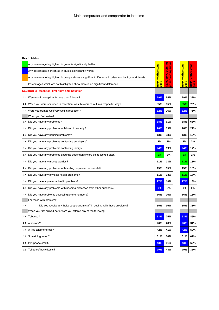|     | Any percentage highlighted in green is significantly better                                          |                     | ă                    |                       |             |
|-----|------------------------------------------------------------------------------------------------------|---------------------|----------------------|-----------------------|-------------|
|     | Any percentage highlighted in blue is significantly worse                                            |                     | C training<br>compar |                       | stone       |
|     | Any percentage highlighted in orange shows a significant difference in prisoners' background details | <b>Featherstone</b> |                      | Featherstone          | Feather     |
|     | Percentages which are not highlighted show there is no significant difference                        | <b>HNP</b><br>2016  | Category<br>prisons  | $\frac{1}{2}$<br>2016 | $rac{1}{2}$ |
|     | <b>SECTION 3: Reception, first night and induction</b>                                               |                     |                      |                       |             |
| 3.1 | Were you in reception for less than 2 hours?                                                         | 29%                 | 54%                  | 29%                   | 32%         |
| 3.2 | When you were searched in reception, was this carried out in a respectful way?                       | 85%                 | 85%                  | 85%                   | 73%         |
| 3.3 | Were you treated well/very well in reception?                                                        | 62%                 | 76%                  | 62%                   | 75%         |
|     | When you first arrived:                                                                              |                     |                      |                       |             |
| 3.4 | Did you have any problems?                                                                           | 68%                 | 61%                  | 68%                   | 68%         |
| 3.4 | Did you have any problems with loss of property?                                                     | 26%                 | 19%                  | 26%                   | 21%         |
| 3.4 | Did you have any housing problems?                                                                   | 13%                 | 13%                  | 13%                   | 10%         |
| 3.4 | Did you have any problems contacting employers?                                                      | 2%                  | 2%                   | 2%                    | 2%          |
| 3.4 | Did you have any problems contacting family?                                                         | 24%                 | 19%                  | 24%                   | 17%         |
| 3.4 | Did you have any problems ensuring dependants were being looked after?                               | 0%                  | 2%                   | 0%                    | 1%          |
| 3.4 | Did you have any money worries?                                                                      | 11%                 | 13%                  | 11%                   | 18%         |
| 3.4 | Did you have any problems with feeling depressed or suicidal?                                        | 15%                 | 15%                  | 15%                   | 15%         |
| 3.4 | Did you have any physical health problems?                                                           | 11%                 | 13%                  | 11%                   | 17%         |
| 3.4 | Did you have any mental health problems?                                                             | 27%                 | 18%                  | 27%                   | 18%         |
| 3.4 | Did you have any problems with needing protection from other prisoners?                              | 9%                  | 5%                   | 9%                    | 6%          |
| 3.4 | Did you have problems accessing phone numbers?                                                       | 16%                 | 16%                  | 16%                   | 18%         |
|     | For those with problems:                                                                             |                     |                      |                       |             |
| 3.5 | Did you receive any help/ support from staff in dealing with these problems?                         | 35%                 | 36%                  | 35%                   | 38%         |
|     | When you first arrived here, were you offered any of the following:                                  |                     |                      |                       |             |
| 3.6 | Tobacco?                                                                                             | 63%                 | 75%                  | 63%                   | 86%         |
| 3.6 | A shower?                                                                                            | 26%                 | 28%                  | 26%                   | 34%         |
| 3.6 | A free telephone call?                                                                               | 42%                 | 41%                  | 42%                   | 50%         |
| 3.6 | Something to eat?                                                                                    | 61%                 | 56%                  | 61%                   | 61%         |
| 3.6 | PIN phone credit?                                                                                    | 43%                 | 51%                  | 43%                   | 62%         |
| 3.6 | Toiletries/ basic items?                                                                             | 29%                 | 48%                  | 29%                   | 36%         |
|     |                                                                                                      |                     |                      |                       |             |

| ø<br>o. | ц.<br>$\frac{3}{5}$<br>$\frac{1}{2}$<br>Ñ<br>Ŧ, |
|---------|-------------------------------------------------|
| 29%     | 32%                                             |
| 85%     | 73%                                             |
| 62%     | 75%                                             |
|         |                                                 |
| 68%     | 68%                                             |
| 26%     | 21%                                             |
| 13%     | 10%                                             |
| 2%      | 2%                                              |
| 24%     | 17%                                             |
| 0%      | 1%                                              |
| 11%     | 18%                                             |
| 15%     | 15%                                             |
| 11%     | 17%                                             |
| 27%     | 18%                                             |
| 9%      | 6%                                              |
| 16%     | 18%                                             |
| 35%     | 38%                                             |
|         |                                                 |
| 63%     | 86%                                             |
| 26%     | 34%                                             |
| 42%     | 50%                                             |
| 61%     | 61%                                             |
| 43%     | 62%                                             |
| 29%     | 36%                                             |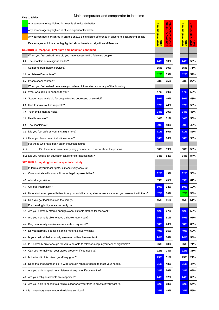#### Main comparator and comparator to last time

|      | Any percentage highlighted in green is significantly better                                             |              | <u>io ș</u>                    |                              |                       |
|------|---------------------------------------------------------------------------------------------------------|--------------|--------------------------------|------------------------------|-----------------------|
|      | Any percentage highlighted in blue is significantly worse                                               |              | <b><u>training</u></b><br>mpar |                              |                       |
|      | Any percentage highlighted in orange shows a significant difference in prisoners' background details    | Featherstone | Ò<br>Papa                      | Featherstone                 | Featherstone          |
|      | Percentages which are not highlighted show there is no significant difference                           | HMP<br>2016  | $\ddot{\bar{c}}$<br>Б          | <b>HMP</b><br>$\frac{1}{20}$ | $\frac{1}{2}$<br>2013 |
|      | <b>SECTION 3: Reception, first night and induction continued</b>                                        |              |                                |                              |                       |
|      | When you first arrived here did you have access to the following people:                                |              |                                |                              |                       |
| 3.7  | The chaplain or a religious leader?                                                                     | 44%          | 53%                            | 44%                          | 55%                   |
| 3.7  | Someone from health services?                                                                           | 65%          | 69%                            | 65%                          | 71%                   |
| 3.7  | A Listener/Samaritans?                                                                                  | 42%          | 33%                            | 42%                          | 59%                   |
| 3.7  | Prison shop/ canteen?                                                                                   | 23%          | 25%                            | 23%                          | 27%                   |
|      | When you first arrived here were you offered information about any of the following:                    |              |                                |                              |                       |
| 3.8  | What was going to happen to you?                                                                        | 47%          | 50%                            | 47%                          | 58%                   |
| 3.8  | Support was available for people feeling depressed or suicidal?                                         | 30%          | 40%                            | 30%                          | 43%                   |
| 3.8  | How to make routine requests?                                                                           | 37%          | 44%                            | 37%                          | 53%                   |
|      |                                                                                                         |              |                                |                              |                       |
| 3.8  | Your entitlement to visits?                                                                             | 34%          | 39%                            | 34%                          | 46%                   |
| 3.8  | Health services?                                                                                        | 46%          | 51%                            | 46%                          | 56%                   |
| 3.8  | The chaplaincy?                                                                                         | 39%          | 48%                            | 39%                          | 49%                   |
| 3.9  | Did you feel safe on your first night here?                                                             | 71%          | 80%                            | 71%                          | 85%                   |
|      | 3.10 Have you been on an induction course?                                                              | 86%          | 90%                            | 86%                          | 93%                   |
|      | For those who have been on an induction course:                                                         |              |                                |                              |                       |
| 3.11 | Did the course cover everything you needed to know about the prison?                                    | 60%          | 59%                            | 60%                          | 58%                   |
|      | 3.12 Did you receive an education (skills for life) assessment?                                         | 84%          | 84%                            | 84%                          | 84%                   |
|      | <b>SECTION 4: Legal rights and respectful custody</b>                                                   |              |                                |                              |                       |
|      | In terms of your legal rights, is it easy/very easy to:                                                 |              |                                |                              |                       |
| 4.1  | Communicate with your solicitor or legal representative?                                                | 32%          | 43%                            | 32%                          | 50%                   |
| 4.1  | Attend legal visits?                                                                                    | 39%          | 45%                            | 39%                          | 61%                   |
| 4.1  | Get bail information?                                                                                   | 10%          | 14%                            | 10%                          | 19%                   |
| 4.2  | Have staff ever opened letters from your solicitor or legal representative when you were not with them? | 47%          | 38%                            | 47%                          | 55%                   |
| 4.3  | Can you get legal books in the library?                                                                 | 45%          | 41%                            | 45%                          | 51%                   |
|      | For the wing/unit you are currently on:                                                                 |              |                                |                              |                       |
| 4.4  | Are you normally offered enough clean, suitable clothes for the week?                                   | 42%          | 67%                            | 42%                          | 58%                   |
| 4.4  | Are you normally able to have a shower every day?                                                       | 79%          | 91%                            | 79%                          | 97%                   |
| 4.4  | Do you normally receive clean sheets every week?                                                        | 58%          | 70%                            | 58%                          | 83%                   |
| 4.4  | Do you normally get cell cleaning materials every week?                                                 | 40%          | 65%                            | 40%                          | 69%                   |
|      |                                                                                                         | 24%          |                                | 24%                          |                       |
| 4.4  | Is your cell call bell normally answered within five minutes?                                           |              | 34%                            |                              | 55%                   |
| 4.4  | Is it normally quiet enough for you to be able to relax or sleep in your cell at night time?            | 66%          | 68%                            | 66%                          | 71%                   |
| 4.4  | Can you normally get your stored property, if you need to?                                              | 22%          | 23%                            | 22%                          | 31%                   |
| 4.5  | Is the food in this prison good/very good?                                                              | 23%          | 31%                            | 23%                          | 21%                   |
| 4.6  | Does the shop/canteen sell a wide enough range of goods to meet your needs?                             | 31%          | 48%                            | 31%                          | 44%                   |
| 4.7  | Are you able to speak to a Listener at any time, if you want to?                                        | 48%          | 56%                            | 48%                          | 69%                   |
| 4.8  | Are your religious beliefs are respected?                                                               | 44%          | 52%                            | 44%                          | 60%                   |
| 4.9  | Are you able to speak to a religious leader of your faith in private if you want to?                    | 52%          | 58%                            | 52%                          | 64%                   |
|      | 4.10 Is it easy/very easy to attend religious services?                                                 | 44%          | 49%                            | 44%                          | 55%                   |
|      |                                                                                                         |              |                                |                              |                       |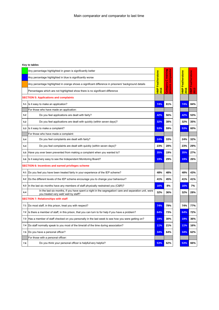|     | Any percentage highlighted in green is significantly better                                                                                  |                         | training<br>ă       |                    |              |
|-----|----------------------------------------------------------------------------------------------------------------------------------------------|-------------------------|---------------------|--------------------|--------------|
|     | Any percentage highlighted in blue is significantly worse                                                                                    | <b>HMP Featherstone</b> | prisons compar<br>Ò | Featherstone       | Featherstone |
|     | Any percentage highlighted in orange shows a significant difference in prisoners' background details                                         |                         |                     |                    |              |
|     | Percentages which are not highlighted show there is no significant difference                                                                | 2016                    | Category            | <b>HMP</b><br>2016 | È<br>2013    |
|     | <b>SECTION 5: Applications and complaints</b>                                                                                                |                         |                     |                    |              |
| 5.1 | Is it easy to make an application?                                                                                                           | 74%                     | 81%                 | 74%                | 84%          |
|     | For those who have made an application:                                                                                                      |                         |                     |                    |              |
| 5.2 | Do you feel applications are dealt with fairly?                                                                                              | 42%                     | 56%                 | 42%                | 53%          |
| 5.2 | Do you feel applications are dealt with quickly (within seven days)?                                                                         | 32%                     | 38%                 | 32%                | 35%          |
| 5.3 | Is it easy to make a complaint?                                                                                                              | 53%                     | 59%                 | 53%                | 60%          |
|     | For those who have made a complaint:                                                                                                         |                         |                     |                    |              |
| 5.4 | Do you feel complaints are dealt with fairly?                                                                                                | 24%                     | 33%                 | 24%                | 32%          |
| 5.4 | Do you feel complaints are dealt with quickly (within seven days)?                                                                           | 23%                     | 28%                 | 23%                | 29%          |
| 5.5 | Have you ever been prevented from making a complaint when you wanted to?                                                                     | 35%                     | 19%                 | 35%                | 27%          |
| 5.6 | Is it easy/very easy to see the Independent Monitoring Board?                                                                                | 19%                     | 29%                 | 19%                | 26%          |
|     | SECTION 6: Incentives and earned privileges scheme                                                                                           |                         |                     |                    |              |
| 6.1 | Do you feel you have been treated fairly in your experience of the IEP scheme?                                                               | 48%                     | 48%                 | 48%                | 43%          |
| 6.2 | Do the different levels of the IEP scheme encourage you to change your behaviour?                                                            | 41%                     | 45%                 | 41%                | 41%          |
| 6.3 | In the last six months have any members of staff physically restrained you (C&R)?                                                            | 16%                     | 8%                  | 16%                | 7%           |
| 6.4 | In the last six months, if you have spent a night in the segregation/ care and separation unit, were<br>you treated very well well by staff? | 32%                     | 36%                 | 32%                | 28%          |
|     | <b>SECTION 7: Relationships with staff</b>                                                                                                   |                         |                     |                    |              |
| 7.1 | Do most staff, in this prison, treat you with respect?                                                                                       | 74%                     | 79%                 | 74%                | 77%          |
| 7.2 | Is there a member of staff, in this prison, that you can turn to for help if you have a problem?                                             | 64%                     | 73%                 | 64%                | 72%          |
| 7.3 | Has a member of staff checked on you personally in the last week to see how you were getting on?                                             | 19%                     | 30%                 | 19%                | 36%          |
| 7.4 | Do staff normally speak to you most of the time/all of the time during association?                                                          | 11%                     | 21%                 | 11%                | 16%          |
| 7.5 | Do you have a personal officer?                                                                                                              | 34%                     | 64%                 | 34%                | 62%          |
|     | For those with a personal officer:                                                                                                           |                         |                     |                    |              |
| 7.6 | Do you think your personal officer is helpful/very helpful?                                                                                  | 53%                     | 62%                 | 53%                | 66%          |
|     |                                                                                                                                              |                         |                     |                    |              |

| e<br>P<br>û<br>è<br>Ī<br>ū | ğ<br>t<br>Ļ.<br>dMP<br>ო<br>ნ<br>$\bar{\mathbf{S}}$ |
|----------------------------|-----------------------------------------------------|
|                            |                                                     |
| 74%                        | 84%                                                 |
|                            |                                                     |
| 42%                        | 53%                                                 |
| 32%                        | 35%                                                 |
| 53%                        | 60%                                                 |
|                            |                                                     |
| 24%                        | 32%                                                 |
| 23%                        | 29%                                                 |
| 35%                        | 27%                                                 |
| 19%                        | 26%                                                 |
|                            |                                                     |
| 48%                        | 43%                                                 |
| 41%                        | 41%                                                 |
| 16%                        | 7%                                                  |
| 32%                        | 28%                                                 |
|                            |                                                     |
| 74%                        | 77%                                                 |
| 64%                        | 72%                                                 |
| 19%                        | 36%                                                 |
| 11%                        | 16%                                                 |
| 34%                        | 62%                                                 |
|                            |                                                     |
| 53%                        | 66%                                                 |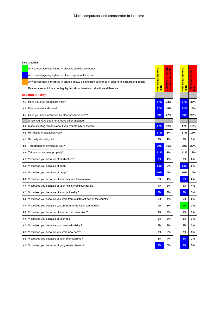|     | Any percentage highlighted in green is significantly better                                          |                         |                 |                         |                     |
|-----|------------------------------------------------------------------------------------------------------|-------------------------|-----------------|-------------------------|---------------------|
|     | Any percentage highlighted in blue is significantly worse                                            |                         | C training      |                         | <b>Featherstone</b> |
|     | Any percentage highlighted in orange shows a significant difference in prisoners' background details | <b>HMP Featherstone</b> | sons comparator | <b>HMP Featherstone</b> |                     |
|     | Percentages which are not highlighted show there is no significant difference                        | 2016                    | Category<br>Ē   | 2016                    | $rac{P}{T}$         |
|     | <b>SECTION 8: Safety</b>                                                                             |                         |                 |                         |                     |
| 8.1 | Have you ever felt unsafe here?                                                                      | 57%                     | 38%             | 57%                     | 38%                 |
| 8.2 | Do you feel unsafe now?                                                                              | 37%                     | 16%             | 37%                     | 15%                 |
| 8.4 | Have you been victimised by other prisoners here?                                                    | 39%                     | 27%             | 39%                     | 29%                 |
|     | Since you have been here, have other prisoners:                                                      |                         |                 |                         |                     |
| 8.5 | Made insulting remarks about you, your family or friends?                                            | 17%                     | 12%             | 17%                     | 15%                 |
| 8.5 | Hit, kicked or assaulted you?                                                                        | 17%                     | 8%              | 17%                     | 12%                 |
| 8.5 | Sexually abused you?                                                                                 | 2%                      | 1%              | 2%                      | 1%                  |
| 8.5 | Threatened or intimidated you?                                                                       | 20%                     | 16%             | 20%                     | 20%                 |
| 8.5 | Taken your canteen/property?                                                                         | 11%                     | 7%              | 11%                     | 12%                 |
| 8.5 | Victimised you because of medication?                                                                | 7%                      | 4%              | 7%                      | 6%                  |
| 8.5 | Victimised you because of debt?                                                                      | 14%                     | 5%              | 14%                     | 8%                  |
| 8.5 | Victimised you because of drugs?                                                                     | 10%                     | 4%              | 10%                     | 10%                 |
| 8.5 | Victimised you because of your race or ethnic origin?                                                | 5%                      | 4%              | 5%                      | 2%                  |
| 8.5 | Victimised you because of your religion/religious beliefs?                                           | 4%                      | 3%              | 4%                      | 4%                  |
| 8.5 | Victimised you because of your nationality?                                                          | 6%                      | 3%              | 6%                      | 3%                  |
| 8.5 | Victimised you because you were from a different part of the country?                                | 6%                      | 4%              | 6%                      | 6%                  |
| 8.5 | Victimised you because you are from a Traveller community?                                           | 0%                      | 1%              | 0%                      | 1%                  |
| 8.5 | Victimised you because of your sexual orientation?                                                   | 1%                      | 2%              | 1%                      | 1%                  |
| 8.5 | Victimised you because of your age?                                                                  | 2%                      | 3%              | 2%                      | 3%                  |
| 8.5 | Victimised you because you have a disability?                                                        | 4%                      | 3%              | 4%                      | 3%                  |
| 8.5 | Victimised you because you were new here?                                                            | 7%                      | 5%              | 7%                      | 5%                  |
| 8.5 | Victimised you because of your offence/crime?                                                        | 5%                      | 4%              | 5%                      | 2%                  |
| 8.5 | Victimised you because of gang related issues?                                                       | 9%                      | 5%              | 9%                      | 5%                  |
|     |                                                                                                      |                         |                 |                         |                     |

| ō<br>Ù<br>é<br>ī | ¢<br>¢<br>p<br>ц,<br>o,<br>ិ<br>ភ |
|------------------|-----------------------------------|
|                  |                                   |
| 57%              | 38%                               |
| 37%              | 15%                               |
| 39%              | 29%                               |
|                  |                                   |
| 17%              | 15%                               |
| 17%              | 12%                               |
| 2%               | 1%                                |
| 20%              | 20%                               |
| 11%              | 12%                               |
| 7%               | 6%                                |
| 14%              | 8%                                |
| 10%              | 10%                               |
| 5%               | 2%                                |
| 4%               | 4%                                |
| 6%               | 3%                                |
| 6%               | 6%                                |
| 0%               | 1%                                |
| 1%               | 1%                                |
| 2%               | 3%                                |
| 4%               | 3%                                |
| 7%               | 5%                                |
| 5%               | 2%                                |
| 9%               | 5%                                |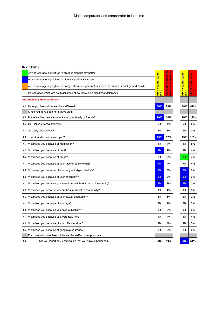|     | Any percentage highlighted in green is significantly better                                          |                          | <u>rator</u>                 |                         |                     |
|-----|------------------------------------------------------------------------------------------------------|--------------------------|------------------------------|-------------------------|---------------------|
|     | Any percentage highlighted in blue is significantly worse                                            | HMP Featherstone<br>2016 | C training<br>prisons compar | <b>HMP Featherstone</b> | <b>Featherstone</b> |
|     | Any percentage highlighted in orange shows a significant difference in prisoners' background details |                          |                              |                         |                     |
|     | Percentages which are not highlighted show there is no significant difference                        |                          | Category                     | 2016                    | È,<br>2013          |
|     | <b>SECTION 8: Safety continued</b>                                                                   |                          |                              |                         |                     |
| 8.6 | Have you been victimised by staff here?                                                              | 36%                      | 28%                          | 36%                     | 41%                 |
|     | Since you have been here, have staff:                                                                |                          |                              |                         |                     |
| 8.7 | Made insulting remarks about you, your family or friends?                                            | 20%                      | 10%                          | 20%                     | 17%                 |
| 8.7 | Hit, kicked or assaulted you?                                                                        | 6%                       | 4%                           | 6%                      | 9%                  |
| 8.7 | Sexually abused you?                                                                                 | 1%                       | 1%                           | 1%                      | 1%                  |
| 8.7 | Threatened or intimidated you?                                                                       | 15%                      | 12%                          | 15%                     | 18%                 |
| 8.7 | Victimised you because of medication?                                                                | 4%                       | 4%                           | 4%                      | 5%                  |
| 8.7 | Victimised you because of debt?                                                                      | 4%                       | 2%                           | 4%                      | 4%                  |
| 8.7 | Victimised you because of drugs?                                                                     | 2%                       | 2%                           | 2%                      | 7%                  |
| 8.7 | Victimised you because of your race or ethnic origin?                                                | 7%                       | 4%                           | 7%                      | 4%                  |
| 8.7 | Victimised you because of your religion/religious beliefs?                                           | 7%                       | 3%                           | 7%                      | 3%                  |
| 8.7 | Victimised you because of your nationality?                                                          | 5%                       | 3%                           | 5%                      | 2%                  |
| 8.7 | Victimised you because you were from a different part of the country?                                | 5%                       | 3%                           | 5%                      | 1%                  |
| 8.7 | Victimised you because you are from a Traveller community?                                           | 1%                       | 1%                           | 1%                      | 1%                  |
| 8.7 | Victimised you because of your sexual orientation?                                                   | 1%                       | 1%                           | 1%                      | 1%                  |
| 8.7 | Victimised you because of your age?                                                                  | 2%                       | 2%                           | 2%                      | 3%                  |
| 8.7 | Victimised you because you have a disability?                                                        | 3%                       | 3%                           | 3%                      | 2%                  |
| 8.7 | Victimised you because you were new here?                                                            | 4%                       | 4%                           | 4%                      | 4%                  |
| 8.7 | Victimised you because of your offence/crime?                                                        | 4%                       | 4%                           | 4%                      | 5%                  |
| 8.7 | Victimised you because of gang related issues?                                                       | 2%                       | 2%                           | 2%                      | 3%                  |
|     | For those who have been victimised by staff or other prisoners:                                      |                          |                              |                         |                     |
| 8.8 | Did you report any victimisation that you have experienced?                                          | 38%                      | 40%                          | 38%                     | 51%                 |

| g<br>ō<br>Feat<br>O<br>ľ | q<br>e<br>F<br>p |
|--------------------------|------------------|
|                          |                  |
| 36%                      | 41%              |
|                          |                  |
| 20%                      | 17%              |
| 6%                       | 9%               |
| 1%                       | 1%               |
| 15%                      | 18%              |
| 4%                       | 5%               |
| 4%                       | 4%               |
| 2%                       | 7%               |
| 7%                       | 4%               |
| 7%                       | 3%               |
| 5%                       | 2%               |
| 5%                       | 1%               |
| 1%                       | 1%               |
| 1%                       | 1%               |
| 2%                       | 3%               |
| 3%                       | 2%               |
| 4%                       | 4%               |
| 4%                       | 5%               |
| 2%                       | 3%               |
|                          |                  |
| 38%                      | 51%              |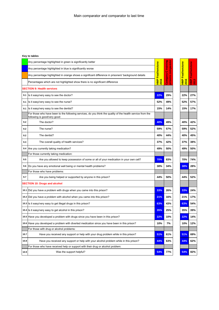|      | Any percentage highlighted in green is significantly better                                                                                |                    | ō<br>苘                      |                       |                     |
|------|--------------------------------------------------------------------------------------------------------------------------------------------|--------------------|-----------------------------|-----------------------|---------------------|
|      | Any percentage highlighted in blue is significantly worse                                                                                  | Featherstone       | training<br>Ö               | Featherstone          | <b>Featherstone</b> |
|      | Any percentage highlighted in orange shows a significant difference in prisoners' background details                                       |                    |                             |                       |                     |
|      | Percentages which are not highlighted show there is no significant difference                                                              | <b>HMP</b><br>2016 | Category<br><u>ត្ត</u><br>ក | $\frac{1}{2}$<br>2016 | $rac{1}{2}$         |
|      | <b>SECTION 9: Health services</b>                                                                                                          |                    |                             |                       |                     |
| 9.1  | Is it easy/very easy to see the doctor?                                                                                                    | 22%                | 29%                         | 22%                   | 27%                 |
| 9.1  | Is it easy/very easy to see the nurse?                                                                                                     | 52%                | 49%                         | 52%                   | 57%                 |
| 9.1  | Is it easy/very easy to see the dentist?                                                                                                   | 15%                | 14%                         | 15%                   | 17%                 |
|      | For those who have been to the following services, do you think the quality of the health service from the<br>following is good/very good: |                    |                             |                       |                     |
| 9.2  | The doctor?                                                                                                                                | 40%                | 49%                         | 40%                   | 42%                 |
| 9.2  | The nurse?                                                                                                                                 | 59%                | 57%                         | 59%                   | 52%                 |
| 9.2  | The dentist?                                                                                                                               | 40%                | 44%                         | 40%                   | 45%                 |
| 9.3  | The overall quality of health services?                                                                                                    | 37%                | 42%                         | 37%                   | 38%                 |
| 9.4  | Are you currently taking medication?                                                                                                       | 49%                | 50%                         | 49%                   | 50%                 |
|      | For those currently taking medication:                                                                                                     |                    |                             |                       |                     |
| 9.5  | Are you allowed to keep possession of some or all of your medication in your own cell?                                                     | 70%                | 83%                         | 70%                   | 74%                 |
| 9.6  | Do you have any emotional well being or mental health problems?                                                                            | 38%                | 34%                         | 38%                   | 28%                 |
|      | For those who have problems:                                                                                                               |                    |                             |                       |                     |
| 9.7  | Are you being helped or supported by anyone in this prison?                                                                                | 44%                | 50%                         | 44%                   | 52%                 |
|      | <b>SECTION 10: Drugs and alcohol</b>                                                                                                       |                    |                             |                       |                     |
|      | 10.1 Did you have a problem with drugs when you came into this prison?                                                                     | 33%                | 26%                         | 33%                   | 24%                 |
|      | 10.2 Did you have a problem with alcohol when you came into this prison?                                                                   | 21%                | 16%                         | 21%                   | 17%                 |
|      | 10.3 Is it easy/very easy to get illegal drugs in this prison?                                                                             | 63%                | 43%                         | 63%                   | 54%                 |
|      | 10.4 Is it easy/very easy to get alcohol in this prison?                                                                                   | 35%                | 25%                         | 35%                   | 39%                 |
|      | 10.5 Have you developed a problem with drugs since you have been in this prison?                                                           | 22%                | 10%                         | 22%                   | 14%                 |
| 10.6 | Have you developed a problem with diverted medication since you have been in this prison?                                                  | 10%                | 7%                          | 10%                   | 12%                 |
|      | For those with drug or alcohol problems:                                                                                                   |                    |                             |                       |                     |
| 10.7 | Have you received any support or help with your drug problem while in this prison?                                                         | 51%                | 61%                         | 51%                   | 69%                 |
| 10.8 | Have you received any support or help with your alcohol problem while in this prison?                                                      | 44%                | 63%                         | 44%                   | 62%                 |
|      | For those who have received help or support with their drug or alcohol problem:                                                            |                    |                             |                       |                     |
| 10.9 | Was the support helpful?                                                                                                                   | 54%                | 77%                         | 54%                   | 82%                 |
|      |                                                                                                                                            |                    |                             |                       |                     |

| ī<br>í<br>щ<br>ò,<br>ī | ò<br>ŧ<br>í<br>ō<br>D<br>$\frac{a}{2}$<br>ო<br>ნ<br><b>P</b><br>I, |
|------------------------|--------------------------------------------------------------------|
|                        |                                                                    |
| 22%                    | 27%                                                                |
| 52%                    | 57%                                                                |
| 15%                    | 17%                                                                |
|                        |                                                                    |
| 40%                    | 42%                                                                |
| 59%                    | 52%                                                                |
| 40%                    | 45%                                                                |
| 37%                    | 38%                                                                |
| 49%                    | 50%                                                                |
|                        |                                                                    |
| 70%                    | 74%                                                                |
| 38%                    | 28%                                                                |
|                        |                                                                    |
| 44%                    | 52%                                                                |
|                        |                                                                    |
| 33%                    | 24%                                                                |
| 21%                    | 17%                                                                |
| 63%                    | 54%                                                                |
| 35%                    | 39%                                                                |
| 22%                    | 14%                                                                |
| 10%                    | 12%                                                                |
|                        |                                                                    |
| 51%                    | 69%                                                                |
| 44%                    | 62%                                                                |
|                        |                                                                    |
| 54%                    | 82%                                                                |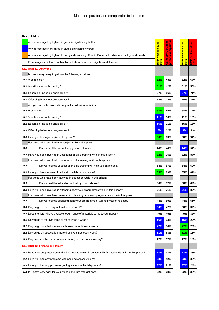|      | Any percentage highlighted in green is significantly better                                                |                                        |                         |                                 |               |
|------|------------------------------------------------------------------------------------------------------------|----------------------------------------|-------------------------|---------------------------------|---------------|
|      | Any percentage highlighted in blue is significantly worse                                                  |                                        | C training<br>comparato |                                 | Featherstone  |
|      | Any percentage highlighted in orange shows a significant difference in prisoners' background details       |                                        |                         |                                 |               |
|      | Percentages which are not highlighted show there is no significant difference                              | <b>HMP Featherstone</b><br><b>2016</b> | Category<br>prisons     | <b>HMP Featherstone</b><br>2016 | $\frac{1}{2}$ |
|      | <b>SECTION 11: Activities</b>                                                                              |                                        |                         |                                 |               |
|      | Is it very easy/ easy to get into the following activities:                                                |                                        |                         |                                 |               |
|      | 11.1 A prison job?                                                                                         | 62%                                    | 48%                     | 62%                             | 67%           |
|      | 11.1 Vocational or skills training?                                                                        | 51%                                    | 42%                     | 51%                             | 56%           |
|      | 11.1 Education (including basic skills)?                                                                   | 57%                                    | 56%                     | 57%                             | 71%           |
|      | 11.1 Offending behaviour programmes?                                                                       | 24%                                    | 24%                     | 24%                             | 27%           |
|      | Are you currently involved in any of the following activities:                                             |                                        |                         |                                 |               |
|      | 11.2 A prison job?                                                                                         | 68%                                    | 59%                     | 68%                             | 72%           |
|      | 11.2 Vocational or skills training?                                                                        | 11%                                    | 16%                     | 11%                             | 16%           |
|      | 11.2 Education (including basic skills)?                                                                   | 16%                                    | 21%                     | 16%                             | 16%           |
|      | 11.2 Offending behaviour programmes?                                                                       | 3%                                     | 12%                     | 3%                              | 8%            |
|      | 11.3 Have you had a job while in this prison?                                                              | 90%                                    | 83%                     | 90%                             | 94%           |
|      | For those who have had a prison job while in this prison:                                                  |                                        |                         |                                 |               |
| 11.3 | Do you feel the job will help you on release?                                                              | 44%                                    | 44%                     | 44%                             | 54%           |
|      | 11.3 Have you been involved in vocational or skills training while in this prison?                         | 82%                                    | 75%                     | 82%                             | 87%           |
|      | For those who have had vocational or skills training while in this prison:                                 |                                        |                         |                                 |               |
| 11.3 | Do you feel the vocational or skills training will help you on release?                                    | 54%                                    | 57%                     | 54%                             | 50%           |
|      | 11.3 Have you been involved in education while in this prison?                                             | 85%                                    | 79%                     | 85%                             | 87%           |
|      | For those who have been involved in education while in this prison:                                        |                                        |                         |                                 |               |
| 11.3 | Do you feel the education will help you on release?                                                        | 56%                                    | 57%                     | 56%                             | 63%           |
|      | 11.3 Have you been involved in offending behaviour programmes while in this prison?                        | 71%                                    | 71%                     | 71%                             | 82%           |
|      | For those who have been involved in offending behaviour programmes while in this prison:                   |                                        |                         |                                 |               |
| 11.3 | Do you feel the offending behaviour programme(s) will help you on release?                                 | 44%                                    | 50%                     | 44%                             | 51%           |
|      | 11.4 Do you go to the library at least once a week?                                                        | 36%                                    | 42%                     | 36%                             | 32%           |
| 11.5 | Does the library have a wide enough range of materials to meet your needs?                                 | 40%                                    | 45%                     | 40%                             | 39%           |
|      | 11.6 Do you go to the gym three or more times a week?                                                      | 16%                                    | 33%                     | 16%                             | 22%           |
|      | 11.7 Do you go outside for exercise three or more times a week?                                            | 27%                                    | 54%                     | 27%                             | 20%           |
|      | 11.8 Do you go on association more than five times each week?                                              | 31%                                    | 63%                     | 31%                             | 13%           |
|      | 11.9 Do you spend ten or more hours out of your cell on a weekday?                                         | 17%                                    | 17%                     | 17%                             | 18%           |
|      | <b>SECTION 12: Friends and family</b>                                                                      |                                        |                         |                                 |               |
|      | 12.1 Have staff supported you and helped you to maintain contact with family/friends while in this prison? | 23%                                    | 33%                     | 23%                             | 38%           |
|      | 12.2 Have you had any problems with sending or receiving mail?                                             | 53%                                    | 42%                     | 53%                             | 38%           |
|      | 12.3 Have you had any problems getting access to the telephones?                                           | 37%                                    | 21%                     | 37%                             | 24%           |
|      | 12.4 Is it easy/very easy for your friends and family to get here?                                         | 32%                                    | 28%                     | 32%                             | 38%           |

| ō<br>2016 | ¢<br>ł |
|-----------|--------|
|           |        |
| 62%       | 67%    |
| 51%       | 56%    |
| 57%       | 71%    |
|           |        |
| 24%       | 27%    |
| 68%       | 72%    |
| 11%       | 16%    |
| 16%       | 16%    |
| 3%        | 8%     |
| 90%       | 94%    |
|           |        |
| 44%       | 54%    |
| 82%       | 87%    |
|           |        |
| 54%       | 50%    |
| 85%       | 87%    |
|           |        |
| 56%       | 63%    |
| 71%       | 82%    |
| 44%       | 51%    |
|           |        |
| 36%       | 32%    |
| 40%       | 39%    |
| 16%       | 22%    |
| 27%       | 20%    |
| 31%       | 13%    |
| 17%       | 18%    |
|           |        |
| 23%       | 38%    |
| 53%       | 38%    |
| 37%       | 24%    |
| 32%       | 38%    |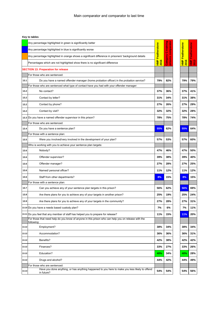|       | Any percentage highlighted in green is significantly better                                                      |                         | ator                           |                    |                     |
|-------|------------------------------------------------------------------------------------------------------------------|-------------------------|--------------------------------|--------------------|---------------------|
|       | Any percentage highlighted in blue is significantly worse                                                        | <b>HMP Featherstone</b> | puring<br>compar               | Featherstone       | <b>Featherstone</b> |
|       | Any percentage highlighted in orange shows a significant difference in prisoners' background details             |                         | O<br><b>Aobe:</b><br><b>SC</b> |                    |                     |
|       | Percentages which are not highlighted show there is no significant difference                                    | 2016                    | $\ddot{\vec{a}}$<br>Б          | <b>HMP</b><br>2016 | Ê<br><b>C</b>       |
|       | <b>SECTION 13: Preparation for release</b>                                                                       |                         |                                |                    |                     |
|       | For those who are sentenced:                                                                                     |                         |                                |                    |                     |
| 13.1  | Do you have a named offender manager (home probation officer) in the probation service?                          | 79%                     | 82%                            | 79%                | 79%                 |
|       | For those who are sentenced what type of contact have you had with your offender manager:                        |                         |                                |                    |                     |
| 13.2  | No contact?                                                                                                      | 37%                     | 36%                            | 37%                | 41%                 |
| 13.2  | Contact by letter?                                                                                               | 31%                     | 34%                            | 31%                | 38%                 |
| 13.2  | Contact by phone?                                                                                                | 27%                     | 26%                            | 27%                | 29%                 |
| 13.2  | Contact by visit?                                                                                                | 32%                     | 32%                            | 32%                | 28%                 |
|       | 13.3 Do you have a named offender supervisor in this prison?                                                     | 78%                     | 75%                            | 78%                | 74%                 |
|       | For those who are sentenced:                                                                                     |                         |                                |                    |                     |
| 13.4  | Do you have a sentence plan?                                                                                     | 55%                     | 62%                            | 55%                | 64%                 |
|       | For those with a sentence plan:                                                                                  |                         |                                |                    |                     |
| 13.5  | Were you involved/very involved in the development of your plan?                                                 | 57%                     | 53%                            | 57%                | 60%                 |
|       | Who is working with you to achieve your sentence plan targets:                                                   |                         |                                |                    |                     |
| 13.6  | Nobody?                                                                                                          | 47%                     | 46%                            | 47%                | 50%                 |
| 13.6  | Offender supervisor?                                                                                             | 39%                     | 38%                            | 39%                | 40%                 |
| 13.6  | Offender manager?                                                                                                | 27%                     | 28%                            | 27%                | 25%                 |
| 13.6  | Named/ personal officer?                                                                                         | 11%                     | 12%                            | 11%                | 12%                 |
| 13.6  | Staff from other departments?                                                                                    | 8%                      | 15%                            | 8%                 | 15%                 |
|       | For those with a sentence plan:                                                                                  |                         |                                |                    |                     |
| 13.7  | Can you achieve any of your sentence plan targets in this prison?                                                | 56%                     | 62%                            | 56%                | 69%                 |
| 13.8  | Are there plans for you to achieve any of your targets in another prison?                                        | 25%                     | 19%                            | 25%                | 24%                 |
| 13.9  | Are there plans for you to achieve any of your targets in the community?                                         | 27%                     | 28%                            | 27%                | 31%                 |
|       | 13.10 Do you have a needs based custody plan?                                                                    | 7%                      | 6%                             | 7%                 | 11%                 |
|       | 13.11 Do you feel that any member of staff has helped you to prepare for release?                                | 11%                     | 15%                            | 11%                | 20%                 |
|       | For those that need help do you know of anyone in this prison who can help you on release with the<br>following: |                         |                                |                    |                     |
| 13.12 | Employment?                                                                                                      | 38%                     | 34%                            | 38%                | 34%                 |
| 13.12 | Accommodation?                                                                                                   | 36%                     | 36%                            | 36%                | 31%                 |
| 13.12 | Benefits?                                                                                                        | 42%                     | 38%                            | 42%                | 42%                 |
| 13.12 | Finances?                                                                                                        | 33%                     | 27%                            | 33%                | 26%                 |
| 13.12 | Education?                                                                                                       | 40%                     | 34%                            | 40%                | 28%                 |
| 13.12 | Drugs and alcohol?                                                                                               | 44%                     | 42%                            | 44%                | 49%                 |
|       | For those who are sentenced:                                                                                     |                         |                                |                    |                     |
| 13.13 | Have you done anything, or has anything happened to you here to make you less likely to offend                   | 54%                     | 54%                            | 54%                | 56%                 |
|       | in future?                                                                                                       |                         |                                |                    |                     |

**HMP Featherstone**  <mark>HMP Featherstone</mark><br>2016 **HMP Featherstone 2013**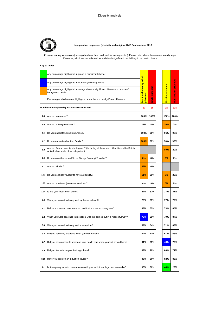

#### **Key question responses (ethnicity and religion) HMP Featherstone 2016**

**Prisoner survey responses** (missing data have been excluded for each question). Please note: where there are apparently large differences, which are not indicated as statistically significant, this is likely to be due to chance.

|      | Any percentage highlighted in green is significantly better                                                                           |                                 |                 |                         |            |
|------|---------------------------------------------------------------------------------------------------------------------------------------|---------------------------------|-----------------|-------------------------|------------|
|      | Any percentage highlighted in blue is significantly worse                                                                             |                                 |                 |                         | prisoners  |
|      | Any percentage highlighted in orange shows a significant difference in prisoners'<br>background details                               | <b>Black and minority ethni</b> | White prisoners | <b>Muslim prisoners</b> |            |
|      | Percentages which are not highlighted show there is no significant difference                                                         | prisoners                       |                 |                         | Non-Muslim |
|      | Number of completed questionnaires returned                                                                                           | 57                              | 89              | 26                      | 116        |
| 1.3  | Are you sentenced?                                                                                                                    | 100%                            | 100%            | 100%                    | 100%       |
| 1.5  | Are you a foreign national?                                                                                                           | 11%                             | 8%              | 20%                     | 7%         |
| 1.6  | Do you understand spoken English?                                                                                                     | 100%                            | 98%             | 96%                     | 98%        |
| 1.7  | Do you understand written English?                                                                                                    | 100%                            | 97%             | 96%                     | 97%        |
| 1.8  | Are you from a minority ethnic group? (Including all those who did not tick white British,<br>white Irish or white other categories.) |                                 |                 | 80%                     | 29%        |
| 1.9  | Do you consider yourself to be Gypsy/ Romany/ Traveller?                                                                              | 0%                              | 8%              | 0%                      | 6%         |
| 1.1  | Are you Muslim?                                                                                                                       | 38%                             | 6%              |                         |            |
| 1.12 | Do you consider yourself to have a disability?                                                                                        | <b>11%</b>                      | 29%             | 8%                      | 26%        |
| 1.13 | Are you a veteran (ex-armed services)?                                                                                                | 4%                              | 9%              | 0%                      | 9%         |
| 1.14 | Is this your first time in prison?                                                                                                    | 27%                             | 32%             | 27%                     | 31%        |
| 2.6  | Were you treated well/very well by the escort staff?                                                                                  | 76%                             | 69%             | 77%                     | 72%        |
| 2.7  | Before you arrived here were you told that you were coming here?                                                                      | 63%                             | 67%             | 73%                     | 65%        |
| 3.2  | When you were searched in reception, was this carried out in a respectful way?                                                        | 78%                             | 89%             | 79%                     | 87%        |
| 3.3  | Were you treated well/very well in reception?                                                                                         | 59%                             | 64%             | 71%                     | 63%        |
| 3.4  | Did you have any problems when you first arrived?                                                                                     | 64%                             | 71%             | 61%                     | 68%        |
| 3.7  | Did you have access to someone from health care when you first arrived here?                                                          | 61%                             | 69%             | 48%                     | 70%        |
| 3.9  | Did you feel safe on your first night here?                                                                                           | 69%                             | 72%             | 66%                     | 71%        |
| 3.10 | Have you been on an induction course?                                                                                                 | 88%                             | 86%             | 92%                     | 86%        |
| 4.1  | Is it easy/very easy to communicate with your solicitor or legal representative?                                                      | 33%                             | 30%             | 44%                     | 29%        |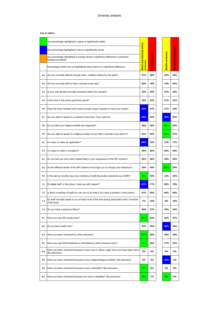|     | Any percentage highlighted in green is significantly better                                                 |                                  |                |                         |                      |
|-----|-------------------------------------------------------------------------------------------------------------|----------------------------------|----------------|-------------------------|----------------------|
|     | Any percentage highlighted in blue is significantly worse                                                   |                                  |                |                         |                      |
|     | Any percentage highlighted in orange shows a significant difference in prisoners'<br>background details     | <b>Black and minority ethnic</b> |                | <b>Muslim prisoners</b> | Non-Muslim prisoners |
|     | Percentages which are not highlighted show there is no significant difference                               | prisoners                        | White prisoner |                         |                      |
| 4.4 | Are you normally offered enough clean, suitable clothes for the week?                                       | 47%                              | 38%            | 32%                     | 44%                  |
| 4.4 | Are you normally able to have a shower every day?                                                           | 83%                              | 78%            | 74%                     | 81%                  |
| 4.4 | Is your cell call bell normally answered within five minutes?                                               | 23%                              | 25%            | 21%                     | 25%                  |
| 4.5 | Is the food in this prison good/very good?                                                                  | 18%                              | 23%            | 27%                     | 21%                  |
| 4.6 | Does the shop / canteen sell a wide enough range of goods to meet your needs?                               | 22%                              | 37%            | 27%                     | 33%                  |
| 4.7 | Are you able to speak to a Listener at any time, if you want to?                                            | 40%                              | 54%            | 35%                     | 52%                  |
| 4.8 | Do you feel your religious beliefs are respected?                                                           | 48%                              | 42%            | 65%                     | 40%                  |
| 4.9 | Are you able to speak to a religious leader of your faith in private if you want to?                        | 51%                              | 52%            | 73%                     | 47%                  |
| 5.1 | Is it easy to make an application?                                                                          | 68%                              | 79%            | 72%                     | 77%                  |
| 5.3 | Is it easy to make a complaint?                                                                             | 46%                              | 56%            | 50%                     | 55%                  |
| 6.1 | Do you feel you have been treated fairly in your experience of the IEP scheme?                              | 52%                              | 46%            | 40%                     | 52%                  |
| 6.2 | Do the different levels of the IEP scheme encourage you to change your behaviour?                           | 35%                              | 44%            | 63%                     | 38%                  |
| 6.3 | In the last six months have any members of staff physically restrained you (C&R)?                           | 9%                               | 20%            | 12%                     | 16%                  |
| 7.1 | Do most staff, in this prison, treat you with respect?                                                      | 67%                              | 77%            | 66%                     | 76%                  |
| 7.2 | Is there a member of staff you can turn to for help if you have a problem in this prison?                   | 67%                              | 63%            | 60%                     | 66%                  |
| 7.3 | Do staff normally speak to you at least most of the time during association time? (most/all<br>of the time) | 7%                               | 13%            | 8%                      | 12%                  |
| 7.4 | Do you have a personal officer?                                                                             | 30%                              | 37%            | 40%                     | 34%                  |
| 8.1 | Have you ever felt unsafe here?                                                                             | 47%                              | 63%            | 56%                     | 57%                  |
| 8.2 | Do you feel unsafe now?                                                                                     | 33%                              | 40%            | 50%                     | 35%                  |
| 8.3 | Have you been victimised by other prisoners?                                                                | 21%                              | 49%            | 38%                     | 38%                  |
| 8.5 | Have you ever felt threatened or intimidated by other prisoners here?                                       | 6%                               | 29%            | 17%                     | 21%                  |
| 8.5 | Have you been victimised because of your race or ethnic origin since you have been here?<br>(By prisoners)  | 6%                               | 5%             | 9%                      | 5%                   |
| 8.5 | Have you been victimised because of your religion/religious beliefs? (By prisoners)                         | 6%                               | 4%             | 13%                     | 3%                   |
| 8.5 | Have you been victimised because of your nationality? (By prisoners)                                        | 2%                               | 8%             | 4%                      | 6%                   |
| 8.5 | Have you been victimised because you have a disability? (By prisoners)                                      | 0%                               | 7%             | $0\%$                   | 5%                   |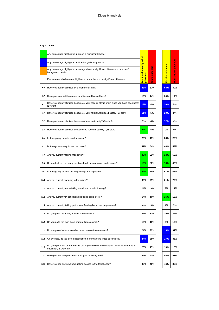|      | Any percentage highlighted in green is significantly better                                                      | <b>Black and minority ethnic</b> |          |  |                         |                      |
|------|------------------------------------------------------------------------------------------------------------------|----------------------------------|----------|--|-------------------------|----------------------|
|      | Any percentage highlighted in blue is significantly worse                                                        |                                  | Ø        |  |                         |                      |
|      | Any percentage highlighted in orange shows a significant difference in prisoners'<br>background details          |                                  | prisoner |  | <b>Muslim prisoners</b> | Non-Muslim prisoners |
|      | Percentages which are not highlighted show there is no significant difference                                    | prisoners                        | White    |  |                         |                      |
| 8.6  | Have you been victimised by a member of staff?                                                                   | 43%                              | 32%      |  | 58%                     | 30%                  |
| 8.7  | Have you ever felt threatened or intimidated by staff here?                                                      | 19%                              | 14%      |  | 20%                     | 14%                  |
| 8.7  | Have you been victimised because of your race or ethnic origin since you have been here?<br>(By staff)           | 13%                              | 4%       |  | 20%                     | 5%                   |
| 8.7  | Have you been victimised because of your religion/religious beliefs? (By staff)                                  | 11%                              | 5%       |  | 20%                     | 5%                   |
| 8.7  | Have you been victimised because of your nationality? (By staff)                                                 | 7%                               | 4%       |  | 12%                     | 4%                   |
| 8.7  | Have you been victimised because you have a disability? (By staff)                                               | 0%                               | 5%       |  | 0%                      | 4%                   |
| 9.1  | Is it easy/very easy to see the doctor?                                                                          | 26%                              | 19%      |  | 28%                     | 20%                  |
| 9.1  | Is it easy/ very easy to see the nurse?                                                                          | 47%                              | 54%      |  | 48%                     | 53%                  |
| 9.4  | Are you currently taking medication?                                                                             | 30%                              | 61%      |  | 24%                     | 56%                  |
| 9.6  | Do you feel you have any emotional well being/mental health issues?                                              | 19%                              | 50%      |  | 16%                     | 43%                  |
| 10.3 | Is it easy/very easy to get illegal drugs in this prison?                                                        | 52%                              | 69%      |  | 61%                     | 63%                  |
| 11.2 | Are you currently working in the prison?                                                                         | 66%                              | 71%      |  | 61%                     | 72%                  |
|      | 11.2 Are you currently undertaking vocational or skills training?                                                | 14%                              | 9%       |  | 9%                      | 11%                  |
|      | 11.2 Are you currently in education (including basic skills)?                                                    | 14%                              | 16%      |  | 26%                     | 13%                  |
|      | 11.2 Are you currently taking part in an offending behaviour programme?                                          | 4%                               | 3%       |  | 4%                      | 3%                   |
|      | 11.4 Do you go to the library at least once a week?                                                              | 35%                              | 37%      |  | 39%                     | 35%                  |
| 11.6 | Do you go to the gym three or more times a week?                                                                 | 16%                              | 15%      |  | 9%                      | 17%                  |
| 11.7 | Do you go outside for exercise three or more times a week?                                                       | 24%                              | 29%      |  | 13%                     | 31%                  |
| 11.8 | On average, do you go on association more than five times each week?                                             | 24%                              | 35%      |  | 17%                     | 35%                  |
| 11.9 | Do you spend ten or more hours out of your cell on a weekday? (This includes hours at<br>education, at work etc) | 20%                              | 15%      |  | 13%                     | 18%                  |
| 12.2 | Have you had any problems sending or receiving mail?                                                             | 56%                              | 52%      |  | 54%                     | 51%                  |
| 12.3 | Have you had any problems getting access to the telephones?                                                      | 33%                              | 40%      |  | 46%                     | 35%                  |
|      |                                                                                                                  |                                  |          |  |                         |                      |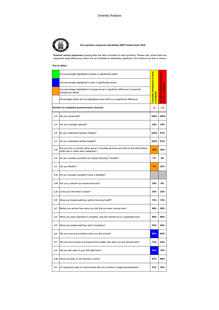

## **Key question responses (disability) HMP Featherstone 2016**

**Prisoner survey responses** (missing data has been excluded for each question). Please note: where there are apparently large differences, which are not indicated as statistically significant, this is likely to be due to chance.

## **Key to tables**

|                                             | Any percentage highlighted in green is significantly better                                                                           |                                    |                                          |
|---------------------------------------------|---------------------------------------------------------------------------------------------------------------------------------------|------------------------------------|------------------------------------------|
|                                             | Any percentage highlighted in blue is significantly worse                                                                             |                                    |                                          |
|                                             | Any percentage highlighted in orange shows a significant difference in prisoners'<br>background details                               | <b>Consider themselves to have</b> | consider themselves<br>have a disability |
|                                             | Percentages which are not highlighted show there is no significant difference                                                         | disability<br>$\omega$             | ĕ<br>å<br>$\overline{2}$                 |
| Number of completed questionnaires returned |                                                                                                                                       | 32                                 | 116                                      |
| 1.3                                         | Are you sentenced?                                                                                                                    | 100%                               | 100%                                     |
| 1.5                                         | Are you a foreign national?                                                                                                           | 10%                                | 10%                                      |
| 1.6                                         | Do you understand spoken English?                                                                                                     | 100%                               | 97%                                      |
| 1.7                                         | Do you understand written English?                                                                                                    | 100%                               | 97%                                      |
| 1.8                                         | Are you from a minority ethnic group? (Including all those who did not tick white British,<br>white Irish or white other categories.) | 19%                                | 45%                                      |
| 1.9                                         | Do you consider yourself to be Gypsy/ Romany/ Traveller?                                                                              | 7%                                 | 5%                                       |
| 1.1                                         | Are you Muslim?                                                                                                                       | 7%                                 | 22%                                      |
| 1.12                                        | Do you consider yourself to have a disability?                                                                                        |                                    |                                          |
| 1.13                                        | Are you a veteran (ex-armed services)?                                                                                                | 10%                                | 6%                                       |
| 1.14                                        | Is this your first time in prison?                                                                                                    | 22%                                | 33%                                      |
| 2.6                                         | Were you treated well/very well by the escort staff?                                                                                  | 72%                                | 72%                                      |
| 2.7                                         | Before you arrived here were you told that you were coming here?                                                                      | 58%                                | 68%                                      |
| 3.2                                         | When you were searched in reception, was this carried out in a respectful way?                                                        | 80%                                | 86%                                      |
| 3.3                                         | Were you treated well/very well in reception?                                                                                         | 53%                                | 65%                                      |
| 3.4                                         | Did you have any problems when you first arrived?                                                                                     | 88%                                | 62%                                      |
| 3.7                                         | Did you have access to someone from health care when you first arrived here?                                                          | 72%                                | 63%                                      |
| 3.9                                         | Did you feel safe on your first night here?                                                                                           | 55%                                | 75%                                      |
| 3.10                                        | Have you been on an induction course?                                                                                                 | 87%                                | 86%                                      |
| 4.1                                         | Is it easy/very easy to communicate with your solicitor or legal representative?                                                      | 31%                                | 32%                                      |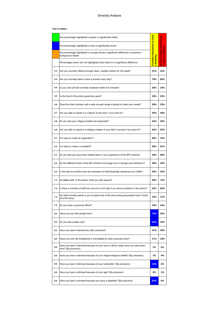## **Key to tables**

|     | Any percentage highlighted in green is significantly better                                                  | <b>Consider themselves to have</b><br>disability<br>$\mathfrak{m}$ | consider themselves<br>have a disability<br>Do not<br>$\overline{a}$ |
|-----|--------------------------------------------------------------------------------------------------------------|--------------------------------------------------------------------|----------------------------------------------------------------------|
|     | Any percentage highlighted in blue is significantly worse                                                    |                                                                    |                                                                      |
|     | Any percentage highlighted in orange shows a significant difference in prisoners'<br>background details      |                                                                    |                                                                      |
|     | Percentages which are not highlighted show there is no significant difference                                |                                                                    |                                                                      |
| 4.4 | Are you normally offered enough clean, suitable clothes for the week?                                        | 41%                                                                | 42%                                                                  |
| 4.4 | Are you normally able to have a shower every day?                                                            | 78%                                                                | 80%                                                                  |
| 4.4 | Is your cell call bell normally answered within five minutes?                                                | 26%                                                                | 24%                                                                  |
| 4.5 | Is the food in this prison good/very good?                                                                   | 19%                                                                | 23%                                                                  |
| 4.6 | Does the shop / canteen sell a wide enough range of goods to meet your needs?                                | 26%                                                                | 33%                                                                  |
| 4.7 | Are you able to speak to a Listener at any time, if you want to?                                             | 45%                                                                | 49%                                                                  |
| 4.8 | Do you feel your religious beliefs are respected?                                                            | 42%                                                                | 45%                                                                  |
| 4.9 | Are you able to speak to a religious leader of your faith in private if you want to?                         | 52%                                                                | 52%                                                                  |
| 5.1 | Is it easy to make an application?                                                                           | 68%                                                                | 76%                                                                  |
| 5.3 | Is it easy to make a complaint?                                                                              | 58%                                                                | 51%                                                                  |
| 6.1 | Do you feel you have been treated fairly in your experience of the IEP scheme?                               | 40%                                                                | 50%                                                                  |
| 6.2 | Do the different levels of the IEP scheme encourage you to change your behaviour?                            | 38%                                                                | 42%                                                                  |
| 6.3 | In the last six months have any members of staff physically restrained you (C&R)?                            | 20%                                                                | 15%                                                                  |
| 7.1 | Do most staff, in this prison, treat you with respect?                                                       | 69%                                                                | 75%                                                                  |
| 7.2 | Is there a member of staff you can turn to for help if you have a problem in this prison?                    | 62%                                                                | 65%                                                                  |
| 7.3 | Do staff normally speak to you at least most of the time during association time? (most/<br>all of the time) | 10%                                                                | 11%                                                                  |
| 7.4 | Do you have a personal officer?                                                                              | 33%                                                                | 34%                                                                  |
| 8.1 | Have you ever felt unsafe here?                                                                              | 74%                                                                | 52%                                                                  |
| 8.2 | Do you feel unsafe now?                                                                                      | 52%                                                                | 33%                                                                  |
| 8.3 | Have you been victimised by other prisoners?                                                                 | 47%                                                                | 36%                                                                  |
| 8.5 | Have you ever felt threatened or intimidated by other prisoners here?                                        | 27%                                                                | 18%                                                                  |
| 8.5 | Have you been victimised because of your race or ethnic origin since you have been<br>here? (By prisoners)   | 7%                                                                 | 5%                                                                   |
| 8.5 | Have you been victimised because of your religion/religious beliefs? (By prisoners)                          | 7%                                                                 | 4%                                                                   |
| 8.5 | Have you been victimised because of your nationality? (By prisoners)                                         | 13%                                                                | 4%                                                                   |
| 8.5 | Have you been victimised because of your age? (By prisoners)                                                 | 3%                                                                 | 1%                                                                   |
| 8.5 | Have you been victimised because you have a disability? (By prisoners)                                       | 20%                                                                | 0%                                                                   |